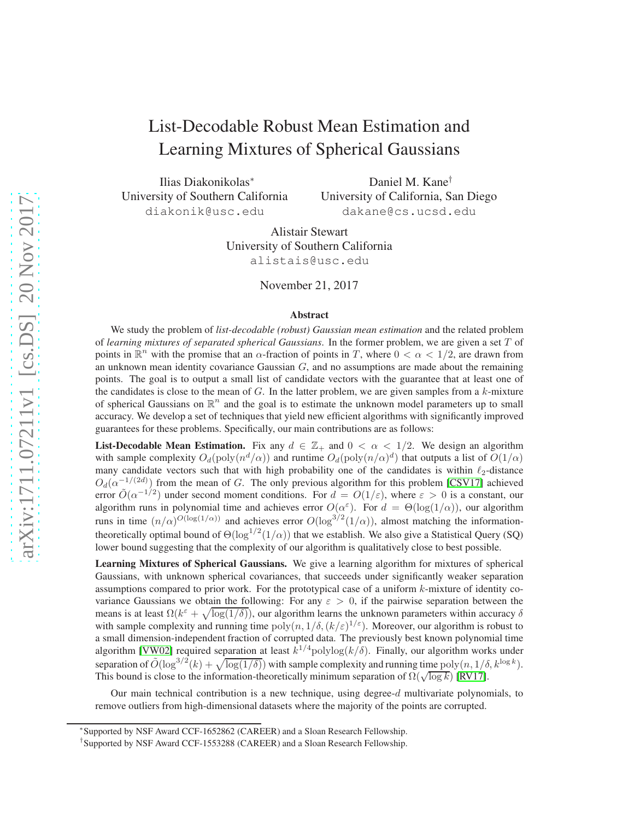# List-Decodable Robust Mean Estimation and Learning Mixtures of Spherical Gaussians

Ilias Diakonikolas<sup>∗</sup> University of Southern California diakonik@usc.edu

Daniel M. Kane† University of California, San Diego dakane@cs.ucsd.edu

Alistair Stewart University of Southern California alistais@usc.edu

November 21, 2017

#### Abstract

We study the problem of *list-decodable (robust) Gaussian mean estimation* and the related problem of *learning mixtures of separated spherical Gaussians*. In the former problem, we are given a set T of points in  $\mathbb{R}^n$  with the promise that an  $\alpha$ -fraction of points in T, where  $0 < \alpha < 1/2$ , are drawn from an unknown mean identity covariance Gaussian  $G$ , and no assumptions are made about the remaining points. The goal is to output a small list of candidate vectors with the guarantee that at least one of the candidates is close to the mean of  $G$ . In the latter problem, we are given samples from a  $k$ -mixture of spherical Gaussians on  $\mathbb{R}^n$  and the goal is to estimate the unknown model parameters up to small accuracy. We develop a set of techniques that yield new efficient algorithms with significantly improved guarantees for these problems. Specifically, our main contributions are as follows:

**List-Decodable Mean Estimation.** Fix any  $d \in \mathbb{Z}_+$  and  $0 < \alpha < 1/2$ . We design an algorithm with sample complexity  $O_d(\text{poly}(n^d/\alpha))$  and runtime  $O_d(\text{poly}(n/\alpha)^d)$  that outputs a list of  $O(1/\alpha)$ many candidate vectors such that with high probability one of the candidates is within  $\ell_2$ -distance  $O_d(\alpha^{-1/(2d)})$  from the mean of G. The only previous algorithm for this problem [\[CSV17\]](#page-56-0) achieved error  $\tilde{O}(\alpha^{-1/2})$  under second moment conditions. For  $d = O(1/\varepsilon)$ , where  $\varepsilon > 0$  is a constant, our algorithm runs in polynomial time and achieves error  $O(\alpha^{\epsilon})$ . For  $d = \Theta(\log(1/\alpha))$ , our algorithm runs in time  $(n/\alpha)^{O(\log(1/\alpha))}$  and achieves error  $O(\log^{3/2}(1/\alpha))$ , almost matching the informationtheoretically optimal bound of  $\Theta(\log^{1/2}(1/\alpha))$  that we establish. We also give a Statistical Query (SQ) lower bound suggesting that the complexity of our algorithm is qualitatively close to best possible.

Learning Mixtures of Spherical Gaussians. We give a learning algorithm for mixtures of spherical Gaussians, with unknown spherical covariances, that succeeds under significantly weaker separation assumptions compared to prior work. For the prototypical case of a uniform  $k$ -mixture of identity covariance Gaussians we obtain the following: For any  $\varepsilon > 0$ , if the pairwise separation between the means is at least  $\Omega(k^{\varepsilon} + \sqrt{\log(1/\delta)})$ , our algorithm learns the unknown parameters within accuracy  $\delta$ with sample complexity and running time  $poly(n, 1/\delta, (k/\varepsilon)^{1/\varepsilon})$ . Moreover, our algorithm is robust to a small dimension-independent fraction of corrupted data. The previously best known polynomial time algorithm [\[VW02\]](#page-58-0) required separation at least  $k^{1/4}$ polylog $(k/\delta)$ . Finally, our algorithm works under separation of  $\tilde{O}(\log^{3/2}(k) + \sqrt{\log(1/\delta)})$  with sample complexity and running time  $\text{poly}(n, 1/\delta, k^{\log k})$ . This bound is close to the information-theoretically minimum separation of  $\Omega(\sqrt{\log k})$  [\[RV17\]](#page-58-1).

Our main technical contribution is a new technique, using degree- $d$  multivariate polynomials, to remove outliers from high-dimensional datasets where the majority of the points are corrupted.

<sup>∗</sup>Supported by NSF Award CCF-1652862 (CAREER) and a Sloan Research Fellowship.

<sup>†</sup> Supported by NSF Award CCF-1553288 (CAREER) and a Sloan Research Fellowship.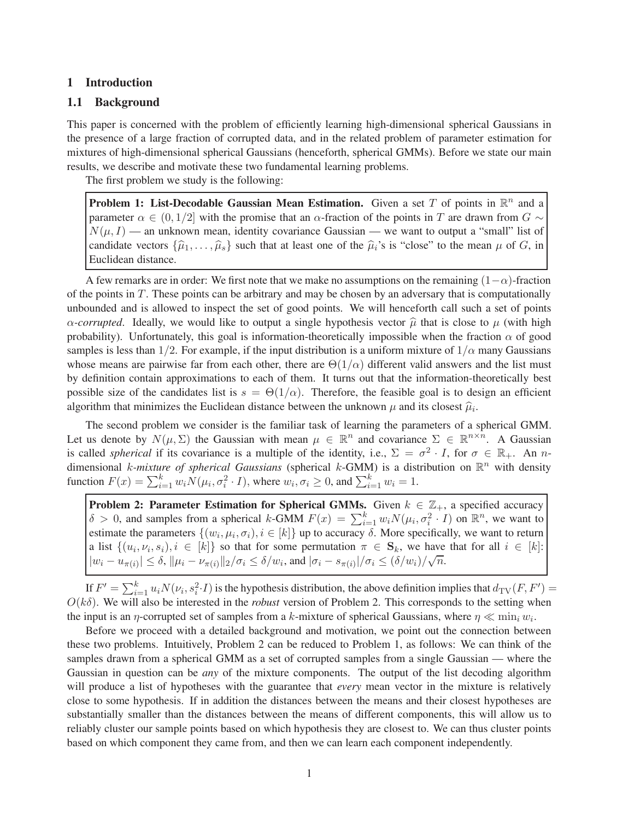# 1 Introduction

# 1.1 Background

This paper is concerned with the problem of efficiently learning high-dimensional spherical Gaussians in the presence of a large fraction of corrupted data, and in the related problem of parameter estimation for mixtures of high-dimensional spherical Gaussians (henceforth, spherical GMMs). Before we state our main results, we describe and motivate these two fundamental learning problems.

The first problem we study is the following:

**Problem 1: List-Decodable Gaussian Mean Estimation.** Given a set T of points in  $\mathbb{R}^n$  and a parameter  $\alpha \in (0, 1/2]$  with the promise that an  $\alpha$ -fraction of the points in T are drawn from  $G \sim$  $N(\mu, I)$  — an unknown mean, identity covariance Gaussian — we want to output a "small" list of candidate vectors  $\{\hat{\mu}_1, \ldots, \hat{\mu}_s\}$  such that at least one of the  $\hat{\mu}_i$ 's is "close" to the mean  $\mu$  of G, in Euclidean distance.

A few remarks are in order: We first note that we make no assumptions on the remaining  $(1-\alpha)$ -fraction of the points in  $T$ . These points can be arbitrary and may be chosen by an adversary that is computationally unbounded and is allowed to inspect the set of good points. We will henceforth call such a set of points  $\alpha$ -corrupted. Ideally, we would like to output a single hypothesis vector  $\hat{\mu}$  that is close to  $\mu$  (with high probability). Unfortunately, this goal is information-theoretically impossible when the fraction  $\alpha$  of good samples is less than 1/2. For example, if the input distribution is a uniform mixture of  $1/\alpha$  many Gaussians whose means are pairwise far from each other, there are  $\Theta(1/\alpha)$  different valid answers and the list must by definition contain approximations to each of them. It turns out that the information-theoretically best possible size of the candidates list is  $s = \Theta(1/\alpha)$ . Therefore, the feasible goal is to design an efficient algorithm that minimizes the Euclidean distance between the unknown  $\mu$  and its closest  $\hat{\mu}_i$ .

The second problem we consider is the familiar task of learning the parameters of a spherical GMM. Let us denote by  $N(\mu, \Sigma)$  the Gaussian with mean  $\mu \in \mathbb{R}^n$  and covariance  $\Sigma \in \mathbb{R}^{n \times n}$ . A Gaussian is called *spherical* if its covariance is a multiple of the identity, i.e.,  $\Sigma = \sigma^2 \cdot I$ , for  $\sigma \in \mathbb{R}_+$ . An *n*dimensional *k-mixture of spherical Gaussians* (spherical *k*-GMM) is a distribution on  $\mathbb{R}^n$  with density function  $F(x) = \sum_{i=1}^{k} w_i N(\mu_i, \sigma_i^2 \cdot I)$ , where  $w_i, \sigma_i \ge 0$ , and  $\sum_{i=1}^{k} w_i = 1$ .

**Problem 2: Parameter Estimation for Spherical GMMs.** Given  $k \in \mathbb{Z}_+$ , a specified accuracy  $\delta > 0$ , and samples from a spherical k-GMM  $F(x) = \sum_{i=1}^{k} w_i N(\mu_i, \sigma_i^2 \cdot I)$  on  $\mathbb{R}^n$ , we want to estimate the parameters  $\{(w_i, \mu_i, \sigma_i), i \in [k]\}$  up to accuracy  $\delta$ . More specifically, we want to return a list  $\{(u_i, v_i, s_i), i \in [k]\}$  so that for some permutation  $\pi \in S_k$ , we have that for all  $i \in [k]$ :  $|w_i - u_{\pi(i)}| \leq \delta, \|\mu_i - \nu_{\pi(i)}\|_2/\sigma_i \leq \delta/w_i$ , and  $|\sigma_i - s_{\pi(i)}|/\sigma_i \leq (\delta/w_i)/\sqrt{n}$ .

If  $F' = \sum_{i=1}^{k} u_i N(\nu_i, s_i^2 \cdot I)$  is the hypothesis distribution, the above definition implies that  $d_{\text{TV}}(F, F') =$  $O(k\delta)$ . We will also be interested in the *robust* version of Problem 2. This corresponds to the setting when the input is an  $\eta$ -corrupted set of samples from a k-mixture of spherical Gaussians, where  $\eta \ll \min_i w_i$ .

Before we proceed with a detailed background and motivation, we point out the connection between these two problems. Intuitively, Problem 2 can be reduced to Problem 1, as follows: We can think of the samples drawn from a spherical GMM as a set of corrupted samples from a single Gaussian — where the Gaussian in question can be *any* of the mixture components. The output of the list decoding algorithm will produce a list of hypotheses with the guarantee that *every* mean vector in the mixture is relatively close to some hypothesis. If in addition the distances between the means and their closest hypotheses are substantially smaller than the distances between the means of different components, this will allow us to reliably cluster our sample points based on which hypothesis they are closest to. We can thus cluster points based on which component they came from, and then we can learn each component independently.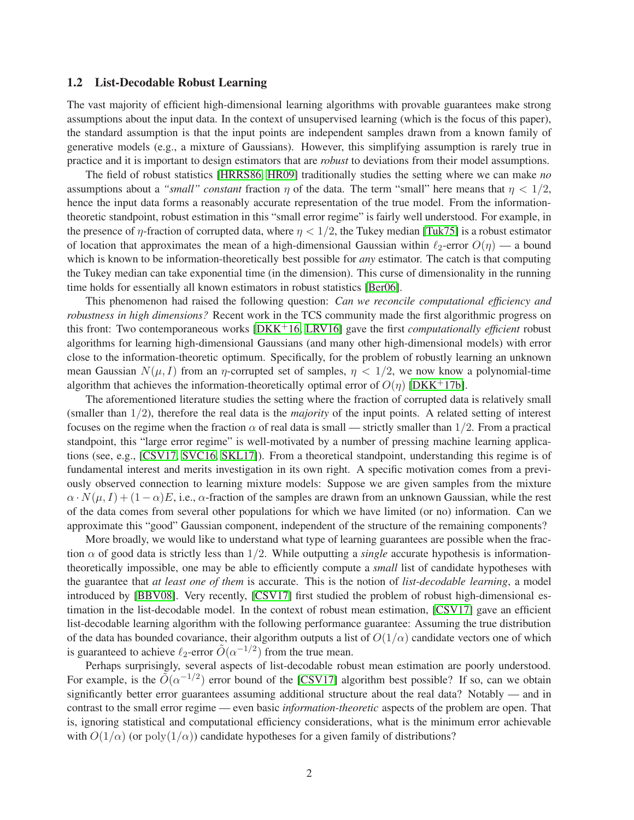## <span id="page-2-0"></span>1.2 List-Decodable Robust Learning

The vast majority of efficient high-dimensional learning algorithms with provable guarantees make strong assumptions about the input data. In the context of unsupervised learning (which is the focus of this paper), the standard assumption is that the input points are independent samples drawn from a known family of generative models (e.g., a mixture of Gaussians). However, this simplifying assumption is rarely true in practice and it is important to design estimators that are *robust* to deviations from their model assumptions.

The field of robust statistics [\[HRRS86,](#page-57-0) [HR09\]](#page-57-1) traditionally studies the setting where we can make *no* assumptions about a *"small" constant* fraction  $\eta$  of the data. The term "small" here means that  $\eta < 1/2$ , hence the input data forms a reasonably accurate representation of the true model. From the informationtheoretic standpoint, robust estimation in this "small error regime" is fairly well understood. For example, in the presence of  $\eta$ -fraction of corrupted data, where  $\eta < 1/2$ , the Tukey median [\[Tuk75\]](#page-58-2) is a robust estimator of location that approximates the mean of a high-dimensional Gaussian within  $\ell_2$ -error  $O(\eta)$  — a bound which is known to be information-theoretically best possible for *any* estimator. The catch is that computing the Tukey median can take exponential time (in the dimension). This curse of dimensionality in the running time holds for essentially all known estimators in robust statistics [\[Ber06\]](#page-56-1).

This phenomenon had raised the following question: *Can we reconcile computational efficiency and robustness in high dimensions?* Recent work in the TCS community made the first algorithmic progress on this front: Two contemporaneous works [\[DKK](#page-56-2)+16, [LRV16\]](#page-57-2) gave the first *computationally efficient* robust algorithms for learning high-dimensional Gaussians (and many other high-dimensional models) with error close to the information-theoretic optimum. Specifically, for the problem of robustly learning an unknown mean Gaussian  $N(\mu, I)$  from an  $\eta$ -corrupted set of samples,  $\eta < 1/2$ , we now know a polynomial-time algorithm that achieves the information-theoretically optimal error of  $O(\eta)$  [\[DKK](#page-56-3)<sup>+</sup>17b].

The aforementioned literature studies the setting where the fraction of corrupted data is relatively small (smaller than 1/2), therefore the real data is the *majority* of the input points. A related setting of interest focuses on the regime when the fraction  $\alpha$  of real data is small — strictly smaller than  $1/2$ . From a practical standpoint, this "large error regime" is well-motivated by a number of pressing machine learning applications (see, e.g., [\[CSV17,](#page-56-0) [SVC16,](#page-58-3) [SKL17\]](#page-58-4)). From a theoretical standpoint, understanding this regime is of fundamental interest and merits investigation in its own right. A specific motivation comes from a previously observed connection to learning mixture models: Suppose we are given samples from the mixture  $\alpha \cdot N(\mu, I) + (1 - \alpha)E$ , i.e.,  $\alpha$ -fraction of the samples are drawn from an unknown Gaussian, while the rest of the data comes from several other populations for which we have limited (or no) information. Can we approximate this "good" Gaussian component, independent of the structure of the remaining components?

More broadly, we would like to understand what type of learning guarantees are possible when the fraction  $\alpha$  of good data is strictly less than  $1/2$ . While outputting a *single* accurate hypothesis is informationtheoretically impossible, one may be able to efficiently compute a *small* list of candidate hypotheses with the guarantee that *at least one of them* is accurate. This is the notion of *list-decodable learning*, a model introduced by [\[BBV08\]](#page-56-4). Very recently, [\[CSV17\]](#page-56-0) first studied the problem of robust high-dimensional estimation in the list-decodable model. In the context of robust mean estimation, [\[CSV17\]](#page-56-0) gave an efficient list-decodable learning algorithm with the following performance guarantee: Assuming the true distribution of the data has bounded covariance, their algorithm outputs a list of  $O(1/\alpha)$  candidate vectors one of which is guaranteed to achieve  $\ell_2$ -error  $\tilde{O}(\alpha^{-1/2})$  from the true mean.

Perhaps surprisingly, several aspects of list-decodable robust mean estimation are poorly understood. For example, is the  $\tilde{O}(\alpha^{-1/2})$  error bound of the [\[CSV17\]](#page-56-0) algorithm best possible? If so, can we obtain significantly better error guarantees assuming additional structure about the real data? Notably — and in contrast to the small error regime — even basic *information-theoretic* aspects of the problem are open. That is, ignoring statistical and computational efficiency considerations, what is the minimum error achievable with  $O(1/\alpha)$  (or poly $(1/\alpha)$ ) candidate hypotheses for a given family of distributions?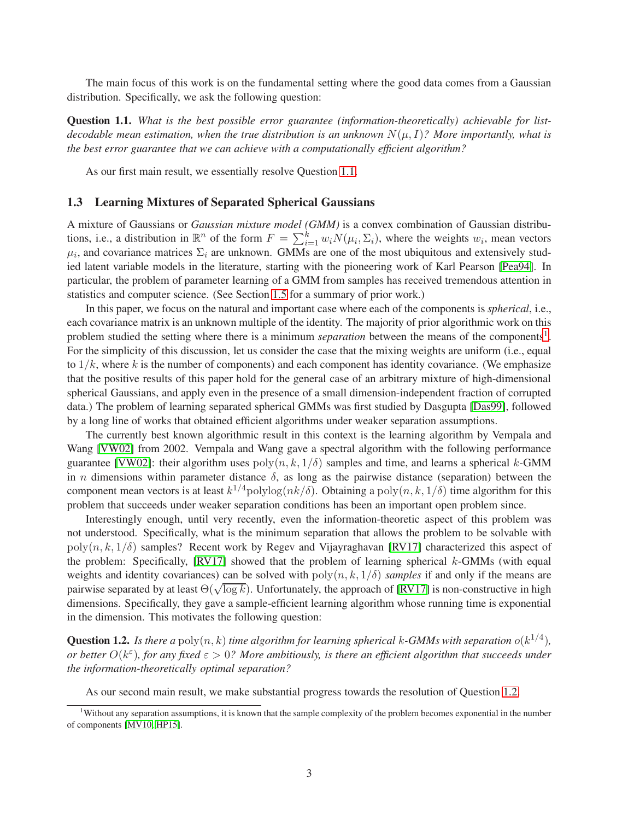The main focus of this work is on the fundamental setting where the good data comes from a Gaussian distribution. Specifically, we ask the following question:

<span id="page-3-0"></span>Question 1.1. *What is the best possible error guarantee (information-theoretically) achievable for listdecodable mean estimation, when the true distribution is an unknown*  $N(\mu, I)$ ? More importantly, what is *the best error guarantee that we can achieve with a computationally efficient algorithm?*

As our first main result, we essentially resolve Question [1.1.](#page-3-0)

# 1.3 Learning Mixtures of Separated Spherical Gaussians

A mixture of Gaussians or *Gaussian mixture model (GMM)* is a convex combination of Gaussian distributions, i.e., a distribution in  $\mathbb{R}^n$  of the form  $F = \sum_{i=1}^k w_i N(\mu_i, \Sigma_i)$ , where the weights  $w_i$ , mean vectors  $\mu_i$ , and covariance matrices  $\Sigma_i$  are unknown. GMMs are one of the most ubiquitous and extensively studied latent variable models in the literature, starting with the pioneering work of Karl Pearson [\[Pea94\]](#page-58-5). In particular, the problem of parameter learning of a GMM from samples has received tremendous attention in statistics and computer science. (See Section [1.5](#page-7-0) for a summary of prior work.)

In this paper, we focus on the natural and important case where each of the components is *spherical*, i.e., each covariance matrix is an unknown multiple of the identity. The majority of prior algorithmic work on this problem studied the setting where there is a minimum *separation* between the means of the components<sup>[1](#page-3-1)</sup>. For the simplicity of this discussion, let us consider the case that the mixing weights are uniform (i.e., equal to  $1/k$ , where k is the number of components) and each component has identity covariance. (We emphasize that the positive results of this paper hold for the general case of an arbitrary mixture of high-dimensional spherical Gaussians, and apply even in the presence of a small dimension-independent fraction of corrupted data.) The problem of learning separated spherical GMMs was first studied by Dasgupta [\[Das99\]](#page-56-5), followed by a long line of works that obtained efficient algorithms under weaker separation assumptions.

The currently best known algorithmic result in this context is the learning algorithm by Vempala and Wang [\[VW02\]](#page-58-0) from 2002. Vempala and Wang gave a spectral algorithm with the following performance guarantee [\[VW02\]](#page-58-0): their algorithm uses  $poly(n, k, 1/\delta)$  samples and time, and learns a spherical k-GMM in n dimensions within parameter distance  $\delta$ , as long as the pairwise distance (separation) between the component mean vectors is at least  $k^{1/4}$ polylog $(nk/\delta)$ . Obtaining a poly $(n, k, 1/\delta)$  time algorithm for this problem that succeeds under weaker separation conditions has been an important open problem since.

Interestingly enough, until very recently, even the information-theoretic aspect of this problem was not understood. Specifically, what is the minimum separation that allows the problem to be solvable with  $poly(n, k, 1/\delta)$  samples? Recent work by Regev and Vijayraghavan [\[RV17\]](#page-58-1) characterized this aspect of the problem: Specifically,  $[RV17]$  showed that the problem of learning spherical k-GMMs (with equal weights and identity covariances) can be solved with  $poly(n, k, 1/\delta)$  *samples* if and only if the means are pairwise separated by at least  $\Theta(\sqrt{\log k})$ . Unfortunately, the approach of [\[RV17\]](#page-58-1) is non-constructive in high dimensions. Specifically, they gave a sample-efficient learning algorithm whose running time is exponential in the dimension. This motivates the following question:

<span id="page-3-2"></span>**Question 1.2.** Is there a  $poly(n, k)$  time algorithm for learning spherical k-GMMs with separation  $o(k^{1/4})$ , *or better*  $O(k^{\varepsilon})$ , for any fixed  $\varepsilon > 0$ ? More ambitiously, is there an efficient algorithm that succeeds under *the information-theoretically optimal separation?*

As our second main result, we make substantial progress towards the resolution of Question [1.2.](#page-3-2)

<span id="page-3-1"></span><sup>&</sup>lt;sup>1</sup>Without any separation assumptions, it is known that the sample complexity of the problem becomes exponential in the number of components [\[MV10,](#page-58-6) [HP15\]](#page-57-3).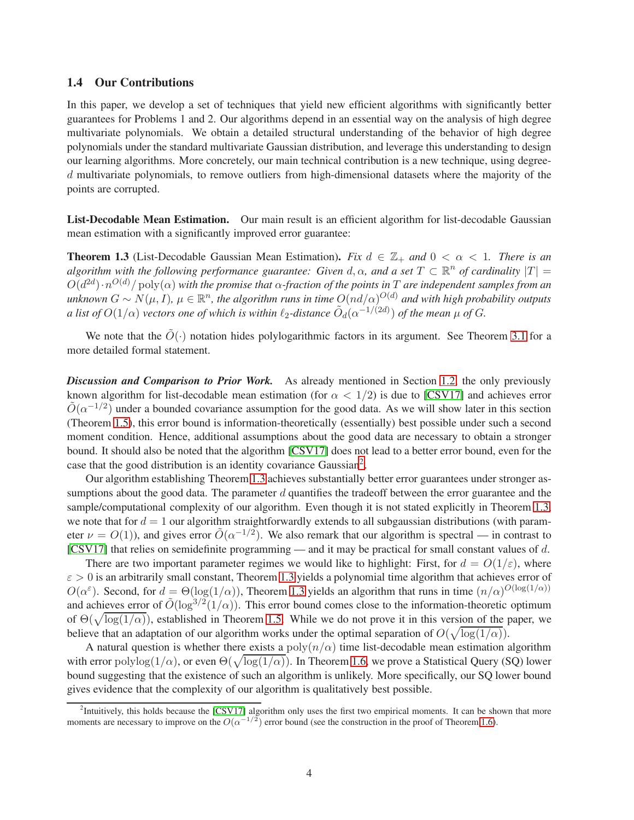# 1.4 Our Contributions

In this paper, we develop a set of techniques that yield new efficient algorithms with significantly better guarantees for Problems 1 and 2. Our algorithms depend in an essential way on the analysis of high degree multivariate polynomials. We obtain a detailed structural understanding of the behavior of high degree polynomials under the standard multivariate Gaussian distribution, and leverage this understanding to design our learning algorithms. More concretely, our main technical contribution is a new technique, using degreed multivariate polynomials, to remove outliers from high-dimensional datasets where the majority of the points are corrupted.

List-Decodable Mean Estimation. Our main result is an efficient algorithm for list-decodable Gaussian mean estimation with a significantly improved error guarantee:

<span id="page-4-1"></span>**Theorem 1.3** (List-Decodable Gaussian Mean Estimation). Fix  $d \in \mathbb{Z}_+$  and  $0 < \alpha < 1$ . There is an *algorithm with the following performance guarantee: Given*  $d, \alpha$ *, and a set*  $T \subset \mathbb{R}^n$  *of cardinality*  $|T| =$  $O(d^{2d}) \cdot n^{O(d)} / \text{poly}(\alpha)$  *with the promise that*  $\alpha$ -fraction of the points in T are independent samples from an *unknown*  $G$  ∼  $N(\mu, I)$ ,  $\mu \in \mathbb{R}^n$ , the algorithm runs in time  $O(nd/\alpha)^{O(d)}$  and with high probability outputs *a list of*  $O(1/\alpha)$  *vectors one of which is within*  $\ell_2$ -distance  $\tilde O_d(\alpha^{-1/(2d)})$  *of the mean*  $\mu$  *of G.* 

We note that the  $\tilde{O}(\cdot)$  notation hides polylogarithmic factors in its argument. See Theorem [3.1](#page-13-0) for a more detailed formal statement.

*Discussion and Comparison to Prior Work.* As already mentioned in Section [1.2,](#page-2-0) the only previously known algorithm for list-decodable mean estimation (for  $\alpha < 1/2$ ) is due to [\[CSV17\]](#page-56-0) and achieves error  $\tilde{O}(\alpha^{-1/2})$  under a bounded covariance assumption for the good data. As we will show later in this section (Theorem [1.5\)](#page-7-1), this error bound is information-theoretically (essentially) best possible under such a second moment condition. Hence, additional assumptions about the good data are necessary to obtain a stronger bound. It should also be noted that the algorithm [\[CSV17\]](#page-56-0) does not lead to a better error bound, even for the case that the good distribution is an identity covariance Gaussian<sup>[2](#page-4-0)</sup>.

Our algorithm establishing Theorem [1.3](#page-4-1) achieves substantially better error guarantees under stronger assumptions about the good data. The parameter  $d$  quantifies the tradeoff between the error guarantee and the sample/computational complexity of our algorithm. Even though it is not stated explicitly in Theorem [1.3,](#page-4-1) we note that for  $d = 1$  our algorithm straightforwardly extends to all subgaussian distributions (with parameter  $\nu = O(1)$ ), and gives error  $\tilde{O}(\alpha^{-1/2})$ . We also remark that our algorithm is spectral — in contrast to [\[CSV17\]](#page-56-0) that relies on semidefinite programming — and it may be practical for small constant values of  $d$ .

There are two important parameter regimes we would like to highlight: First, for  $d = O(1/\varepsilon)$ , where  $\varepsilon > 0$  is an arbitrarily small constant, Theorem [1.3](#page-4-1) yields a polynomial time algorithm that achieves error of  $O(\alpha^{\varepsilon})$ . Second, for  $d = \Theta(\log(1/\alpha))$ , Theorem [1.3](#page-4-1) yields an algorithm that runs in time  $(n/\alpha)^{O(\log(1/\alpha))}$ and achieves error of  $\tilde{O}(\log^{3/2}(1/\alpha))$ . This error bound comes close to the information-theoretic optimum of  $\Theta(\sqrt{\log(1/\alpha)})$ , established in Theorem [1.5.](#page-7-1) While we do not prove it in this version of the paper, we believe that an adaptation of our algorithm works under the optimal separation of  $O(\sqrt{\log(1/\alpha)})$ .

A natural question is whether there exists a  $poly(n/\alpha)$  time list-decodable mean estimation algorithm with error polylog( $1/\alpha$ ), or even  $\Theta(\sqrt{\log(1/\alpha)})$ . In Theorem [1.6,](#page-7-2) we prove a Statistical Query (SQ) lower bound suggesting that the existence of such an algorithm is unlikely. More specifically, our SQ lower bound gives evidence that the complexity of our algorithm is qualitatively best possible.

<span id="page-4-0"></span><sup>&</sup>lt;sup>2</sup>Intuitively, this holds because the [\[CSV17\]](#page-56-0) algorithm only uses the first two empirical moments. It can be shown that more moments are necessary to improve on the  $O(\alpha^{-1/2})$  error bound (see the construction in the proof of Theorem [1.6\)](#page-7-2).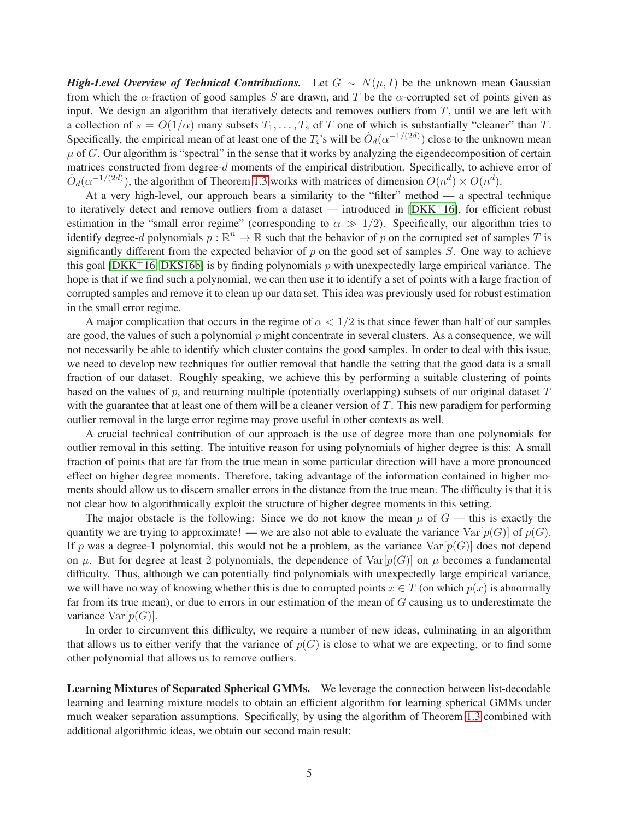*High-Level Overview of Technical Contributions.* Let  $G \sim N(\mu, I)$  be the unknown mean Gaussian from which the  $\alpha$ -fraction of good samples S are drawn, and T be the  $\alpha$ -corrupted set of points given as input. We design an algorithm that iteratively detects and removes outliers from  $T$ , until we are left with a collection of  $s = O(1/\alpha)$  many subsets  $T_1, \ldots, T_s$  of T one of which is substantially "cleaner" than T. Specifically, the empirical mean of at least one of the  $T_i$ 's will be  $\tilde{O}_d(\alpha^{-1/(2d)})$  close to the unknown mean  $\mu$  of G. Our algorithm is "spectral" in the sense that it works by analyzing the eigendecomposition of certain matrices constructed from degree-d moments of the empirical distribution. Specifically, to achieve error of  $\tilde{O}_d(\alpha^{-1/(2d)})$ , the algorithm of Theorem [1.3](#page-4-1) works with matrices of dimension  $O(n^d) \times O(n^d)$ .

At a very high-level, our approach bears a similarity to the "filter" method — a spectral technique to iteratively detect and remove outliers from a dataset — introduced in  $[DKK^+16]$ , for efficient robust estimation in the "small error regime" (corresponding to  $\alpha \gg 1/2$ ). Specifically, our algorithm tries to identify degree-d polynomials  $p : \mathbb{R}^n \to \mathbb{R}$  such that the behavior of p on the corrupted set of samples T is significantly different from the expected behavior of  $p$  on the good set of samples  $S$ . One way to achieve this goal  $[DKK^+16, DKS16b]$  $[DKK^+16, DKS16b]$  is by finding polynomials p with unexpectedly large empirical variance. The hope is that if we find such a polynomial, we can then use it to identify a set of points with a large fraction of corrupted samples and remove it to clean up our data set. This idea was previously used for robust estimation in the small error regime.

A major complication that occurs in the regime of  $\alpha < 1/2$  is that since fewer than half of our samples are good, the values of such a polynomial  $p$  might concentrate in several clusters. As a consequence, we will not necessarily be able to identify which cluster contains the good samples. In order to deal with this issue, we need to develop new techniques for outlier removal that handle the setting that the good data is a small fraction of our dataset. Roughly speaking, we achieve this by performing a suitable clustering of points based on the values of  $p$ , and returning multiple (potentially overlapping) subsets of our original dataset  $T$ with the guarantee that at least one of them will be a cleaner version of  $T$ . This new paradigm for performing outlier removal in the large error regime may prove useful in other contexts as well.

A crucial technical contribution of our approach is the use of degree more than one polynomials for outlier removal in this setting. The intuitive reason for using polynomials of higher degree is this: A small fraction of points that are far from the true mean in some particular direction will have a more pronounced effect on higher degree moments. Therefore, taking advantage of the information contained in higher moments should allow us to discern smaller errors in the distance from the true mean. The difficulty is that it is not clear how to algorithmically exploit the structure of higher degree moments in this setting.

The major obstacle is the following: Since we do not know the mean  $\mu$  of  $G$  — this is exactly the quantity we are trying to approximate! — we are also not able to evaluate the variance  $\text{Var}[p(G)]$  of  $p(G)$ . If p was a degree-1 polynomial, this would not be a problem, as the variance  $\text{Var}[p(G)]$  does not depend on  $\mu$ . But for degree at least 2 polynomials, the dependence of  $Var[p(G)]$  on  $\mu$  becomes a fundamental difficulty. Thus, although we can potentially find polynomials with unexpectedly large empirical variance, we will have no way of knowing whether this is due to corrupted points  $x \in T$  (on which  $p(x)$  is abnormally far from its true mean), or due to errors in our estimation of the mean of G causing us to underestimate the variance  $Var[p(G)]$ .

In order to circumvent this difficulty, we require a number of new ideas, culminating in an algorithm that allows us to either verify that the variance of  $p(G)$  is close to what we are expecting, or to find some other polynomial that allows us to remove outliers.

Learning Mixtures of Separated Spherical GMMs. We leverage the connection between list-decodable learning and learning mixture models to obtain an efficient algorithm for learning spherical GMMs under much weaker separation assumptions. Specifically, by using the algorithm of Theorem [1.3](#page-4-1) combined with additional algorithmic ideas, we obtain our second main result: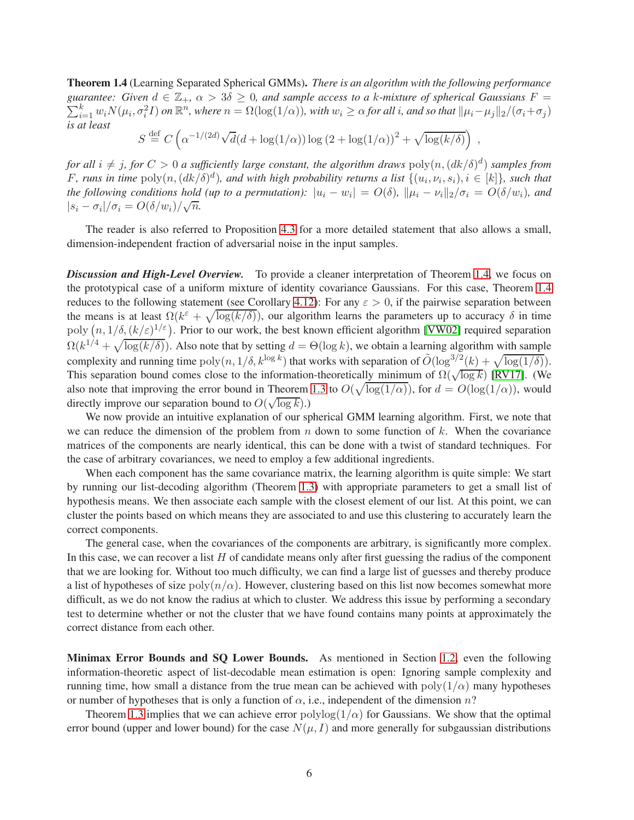<span id="page-6-0"></span>Theorem 1.4 (Learning Separated Spherical GMMs). *There is an algorithm with the following performance* guarantee: Given  $d \in \mathbb{Z}_+$ ,  $\alpha > 3\delta \ge 0$ , and sample access to a k-mixture of spherical Gaussians  $F = \sum_{i=1}^k w_i N(\mu_i, \sigma_i^2 I)$  on  $\mathbb{R}^n$ , where  $n = \Omega(\log(1/\alpha))$ , with  $w_i \ge \alpha$  for all i, and so that  $\|\mu_i - \mu_j\|_2/(\sigma_i +$ *is at least*

$$
S \stackrel{\text{def}}{=} C \left( \alpha^{-1/(2d)} \sqrt{d} (d + \log(1/\alpha)) \log (2 + \log(1/\alpha))^2 + \sqrt{\log(k/\delta)} \right) ,
$$

*for all*  $i \neq j$ , for  $C > 0$  *a sufficiently large constant, the algorithm draws*  $poly(n, (dk/\delta)^d)$  *samples from* F, runs in time  $poly(n, (dk/\delta)^d)$ , and with high probability returns a list  $\{(u_i, \nu_i, s_i), i \in [k]\}$ , such that *the following conditions hold (up to a permutation):*  $|u_i - w_i| = O(\delta)$ ,  $\|\mu_i - \nu_i\|_2 / \sigma_i = O(\delta / w_i)$ , and  $|s_i - \sigma_i| / \sigma_i = O(\delta/w_i) / \sqrt{n}.$ 

The reader is also referred to Proposition [4.3](#page-42-0) for a more detailed statement that also allows a small, dimension-independent fraction of adversarial noise in the input samples.

*Discussion and High-Level Overview.* To provide a cleaner interpretation of Theorem [1.4,](#page-6-0) we focus on the prototypical case of a uniform mixture of identity covariance Gaussians. For this case, Theorem [1.4](#page-6-0) reduces to the following statement (see Corollary [4.12\)](#page-48-0): For any  $\varepsilon > 0$ , if the pairwise separation between the means is at least  $\Omega(k^{\varepsilon} + \sqrt{\log(k/\delta)})$ , our algorithm learns the parameters up to accuracy  $\delta$  in time poly  $(n, 1/\delta, (k/\varepsilon)^{1/\varepsilon})$ . Prior to our work, the best known efficient algorithm [\[VW02\]](#page-58-0) required separation  $\Omega(k^{1/4} + \sqrt{\log(k/\delta)})$ . Also note that by setting  $d = \Theta(\log k)$ , we obtain a learning algorithm with sample complexity and running time  $poly(n, 1/\delta, k^{\log k})$  that works with separation of  $\tilde{O}(\log^{3/2}(k) + \sqrt{\log(1/\delta)})$ . This separation bound comes close to the information-theoretically minimum of  $\Omega(\sqrt{\log k})$  [\[RV17\]](#page-58-1). (We also note that improving the error bound in Theorem [1.3](#page-4-1) to  $O(\sqrt{\log(1/\alpha)})$ , for  $d = O(\log(1/\alpha))$ , would directly improve our separation bound to  $O(\sqrt{\log k})$ .)

We now provide an intuitive explanation of our spherical GMM learning algorithm. First, we note that we can reduce the dimension of the problem from  $n$  down to some function of k. When the covariance matrices of the components are nearly identical, this can be done with a twist of standard techniques. For the case of arbitrary covariances, we need to employ a few additional ingredients.

When each component has the same covariance matrix, the learning algorithm is quite simple: We start by running our list-decoding algorithm (Theorem [1.3\)](#page-4-1) with appropriate parameters to get a small list of hypothesis means. We then associate each sample with the closest element of our list. At this point, we can cluster the points based on which means they are associated to and use this clustering to accurately learn the correct components.

The general case, when the covariances of the components are arbitrary, is significantly more complex. In this case, we can recover a list  $H$  of candidate means only after first guessing the radius of the component that we are looking for. Without too much difficulty, we can find a large list of guesses and thereby produce a list of hypotheses of size  $poly(n/\alpha)$ . However, clustering based on this list now becomes somewhat more difficult, as we do not know the radius at which to cluster. We address this issue by performing a secondary test to determine whether or not the cluster that we have found contains many points at approximately the correct distance from each other.

Minimax Error Bounds and SQ Lower Bounds. As mentioned in Section [1.2,](#page-2-0) even the following information-theoretic aspect of list-decodable mean estimation is open: Ignoring sample complexity and running time, how small a distance from the true mean can be achieved with  $poly(1/\alpha)$  many hypotheses or number of hypotheses that is only a function of  $\alpha$ , i.e., independent of the dimension n?

Theorem [1.3](#page-4-1) implies that we can achieve error polylog( $1/\alpha$ ) for Gaussians. We show that the optimal error bound (upper and lower bound) for the case  $N(\mu, I)$  and more generally for subgaussian distributions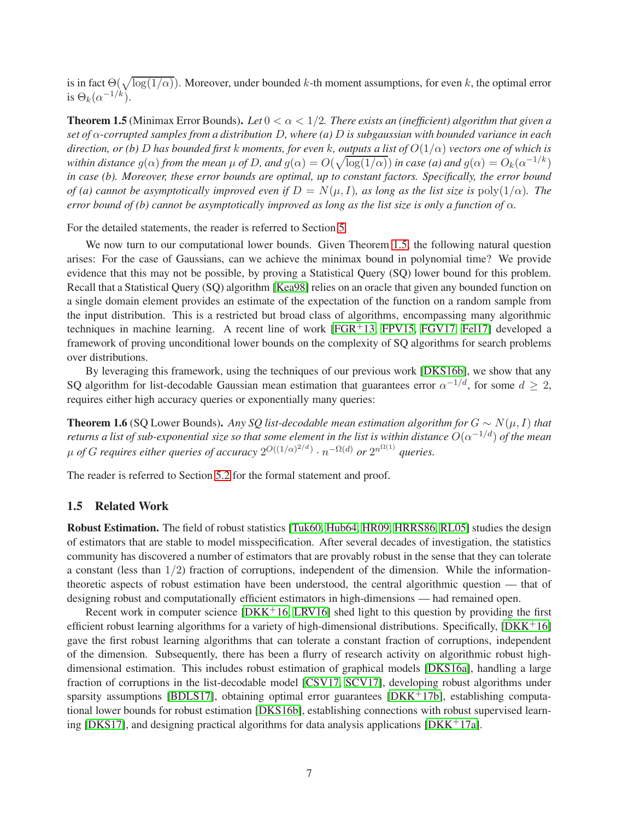is in fact  $\Theta(\sqrt{\log(1/\alpha)})$ . Moreover, under bounded k-th moment assumptions, for even k, the optimal error is  $\Theta_k(\alpha^{-1/k})$ .

<span id="page-7-1"></span>**Theorem 1.5** (Minimax Error Bounds). Let  $0 < \alpha < 1/2$ . There exists an (inefficient) algorithm that given a *set of* α*-corrupted samples from a distribution* D*, where (a)* D *is subgaussian with bounded variance in each direction, or (b)* D *has bounded first* k *moments, for even* k*, outputs a list of* O(1/α) *vectors one of which is within distance*  $g(\alpha)$  *from the mean*  $\mu$  *of* D, and  $g(\alpha) = O(\sqrt{\log(1/\alpha)})$  *in case* (*a*) *and*  $g(\alpha) = O_k(\alpha^{-1/k})$ *in case (b). Moreover, these error bounds are optimal, up to constant factors. Specifically, the error bound of (a) cannot be asymptotically improved even if*  $D = N(\mu, I)$ *, as long as the list size is* poly $(1/\alpha)$ *. The error bound of (b) cannot be asymptotically improved as long as the list size is only a function of*  $\alpha$ *.* 

For the detailed statements, the reader is referred to Section [5.](#page-49-0)

We now turn to our computational lower bounds. Given Theorem [1.5,](#page-7-1) the following natural question arises: For the case of Gaussians, can we achieve the minimax bound in polynomial time? We provide evidence that this may not be possible, by proving a Statistical Query (SQ) lower bound for this problem. Recall that a Statistical Query (SQ) algorithm [\[Kea98\]](#page-57-4) relies on an oracle that given any bounded function on a single domain element provides an estimate of the expectation of the function on a random sample from the input distribution. This is a restricted but broad class of algorithms, encompassing many algorithmic techniques in machine learning. A recent line of work [\[FGR](#page-57-5)+13, [FPV15,](#page-57-6) [FGV17,](#page-57-7) [Fel17\]](#page-57-8) developed a framework of proving unconditional lower bounds on the complexity of SQ algorithms for search problems over distributions.

By leveraging this framework, using the techniques of our previous work [\[DKS16b\]](#page-56-6), we show that any SQ algorithm for list-decodable Gaussian mean estimation that guarantees error  $\alpha^{-1/d}$ , for some  $d \geq 2$ , requires either high accuracy queries or exponentially many queries:

<span id="page-7-2"></span>Theorem 1.6 (SQ Lower Bounds). *Any SQ list-decodable mean estimation algorithm for*  $G ∼ N(μ, I)$  *that returns a list of sub-exponential size so that some element in the list is within distance*  $O(\alpha^{-1/d})$  *of the mean*  $\mu$  of G requires either queries of accuracy  $2^{O((1/\alpha)^{2/d})} \cdot n^{-\Omega(d)}$  or  $2^{n^{\Omega(1)}}$  queries.

The reader is referred to Section [5.2](#page-54-0) for the formal statement and proof.

# <span id="page-7-0"></span>1.5 Related Work

Robust Estimation. The field of robust statistics [\[Tuk60,](#page-58-7) [Hub64,](#page-57-9) [HR09,](#page-57-1) [HRRS86,](#page-57-0) [RL05\]](#page-58-8) studies the design of estimators that are stable to model misspecification. After several decades of investigation, the statistics community has discovered a number of estimators that are provably robust in the sense that they can tolerate a constant (less than 1/2) fraction of corruptions, independent of the dimension. While the informationtheoretic aspects of robust estimation have been understood, the central algorithmic question — that of designing robust and computationally efficient estimators in high-dimensions — had remained open.

Recent work in computer science  $[DKK^+16, LRV16]$  $[DKK^+16, LRV16]$  $[DKK^+16, LRV16]$  shed light to this question by providing the first efficient robust learning algorithms for a variety of high-dimensional distributions. Specifically,  $[DKK<sup>+</sup>16]$  $[DKK<sup>+</sup>16]$ gave the first robust learning algorithms that can tolerate a constant fraction of corruptions, independent of the dimension. Subsequently, there has been a flurry of research activity on algorithmic robust highdimensional estimation. This includes robust estimation of graphical models [\[DKS16a\]](#page-56-7), handling a large fraction of corruptions in the list-decodable model [\[CSV17,](#page-56-0) [SCV17\]](#page-58-9), developing robust algorithms under sparsity assumptions [\[BDLS17\]](#page-56-8), obtaining optimal error guarantees  $[DKK^+17b]$ , establishing computational lower bounds for robust estimation [\[DKS16b\]](#page-56-6), establishing connections with robust supervised learning [\[DKS17\]](#page-56-9), and designing practical algorithms for data analysis applications [\[DKK](#page-56-10)+17a].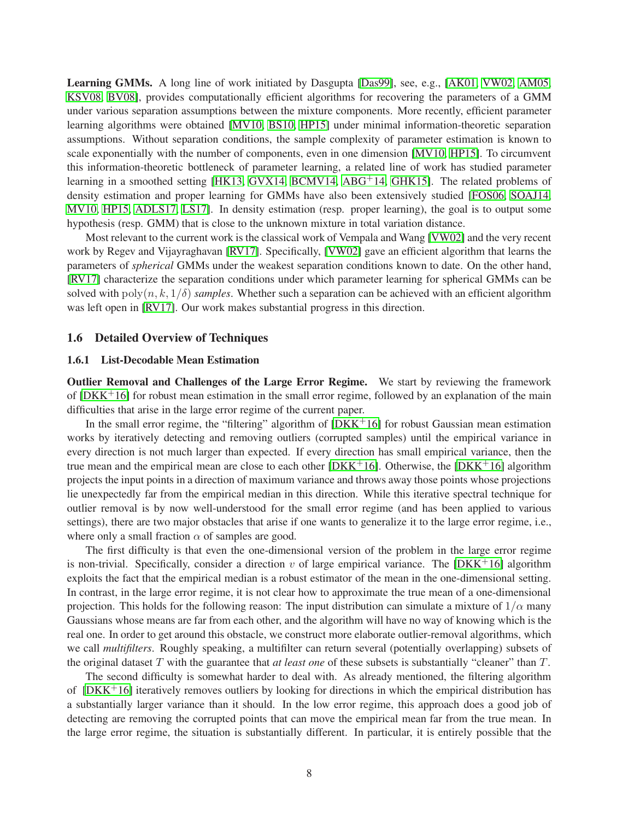Learning GMMs. A long line of work initiated by Dasgupta [\[Das99\]](#page-56-5), see, e.g., [\[AK01,](#page-55-0) [VW02,](#page-58-0) [AM05,](#page-56-11) [KSV08,](#page-57-10) [BV08\]](#page-56-12), provides computationally efficient algorithms for recovering the parameters of a GMM under various separation assumptions between the mixture components. More recently, efficient parameter learning algorithms were obtained [\[MV10,](#page-58-6) [BS10,](#page-56-13) [HP15\]](#page-57-3) under minimal information-theoretic separation assumptions. Without separation conditions, the sample complexity of parameter estimation is known to scale exponentially with the number of components, even in one dimension [\[MV10,](#page-58-6) [HP15\]](#page-57-3). To circumvent this information-theoretic bottleneck of parameter learning, a related line of work has studied parameter learning in a smoothed setting [\[HK13,](#page-57-11) [GVX14,](#page-57-12) [BCMV14,](#page-56-14) [ABG](#page-55-1)<sup>+</sup>14, [GHK15\]](#page-57-13). The related problems of density estimation and proper learning for GMMs have also been extensively studied [\[FOS06,](#page-57-14) [SOAJ14,](#page-58-10) [MV10,](#page-58-6) [HP15,](#page-57-3) [ADLS17,](#page-55-2) [LS17\]](#page-58-11). In density estimation (resp. proper learning), the goal is to output some hypothesis (resp. GMM) that is close to the unknown mixture in total variation distance.

Most relevant to the current work is the classical work of Vempala and Wang [\[VW02\]](#page-58-0) and the very recent work by Regev and Vijayraghavan [\[RV17\]](#page-58-1). Specifically, [\[VW02\]](#page-58-0) gave an efficient algorithm that learns the parameters of *spherical* GMMs under the weakest separation conditions known to date. On the other hand, [\[RV17\]](#page-58-1) characterize the separation conditions under which parameter learning for spherical GMMs can be solved with  $poly(n, k, 1/\delta)$  *samples*. Whether such a separation can be achieved with an efficient algorithm was left open in [\[RV17\]](#page-58-1). Our work makes substantial progress in this direction.

## 1.6 Detailed Overview of Techniques

## 1.6.1 List-Decodable Mean Estimation

Outlier Removal and Challenges of the Large Error Regime. We start by reviewing the framework of  $[DKK<sup>+</sup>16]$  for robust mean estimation in the small error regime, followed by an explanation of the main difficulties that arise in the large error regime of the current paper.

In the small error regime, the "filtering" algorithm of  $[DKK^+16]$  for robust Gaussian mean estimation works by iteratively detecting and removing outliers (corrupted samples) until the empirical variance in every direction is not much larger than expected. If every direction has small empirical variance, then the true mean and the empirical mean are close to each other [\[DKK](#page-56-2)<sup>+</sup>16]. Otherwise, the [\[DKK](#page-56-2)<sup>+</sup>16] algorithm projects the input points in a direction of maximum variance and throws away those points whose projections lie unexpectedly far from the empirical median in this direction. While this iterative spectral technique for outlier removal is by now well-understood for the small error regime (and has been applied to various settings), there are two major obstacles that arise if one wants to generalize it to the large error regime, i.e., where only a small fraction  $\alpha$  of samples are good.

The first difficulty is that even the one-dimensional version of the problem in the large error regime is non-trivial. Specifically, consider a direction v of large empirical variance. The  $[DKK^+16]$  algorithm exploits the fact that the empirical median is a robust estimator of the mean in the one-dimensional setting. In contrast, in the large error regime, it is not clear how to approximate the true mean of a one-dimensional projection. This holds for the following reason: The input distribution can simulate a mixture of  $1/\alpha$  many Gaussians whose means are far from each other, and the algorithm will have no way of knowing which is the real one. In order to get around this obstacle, we construct more elaborate outlier-removal algorithms, which we call *multifilters*. Roughly speaking, a multifilter can return several (potentially overlapping) subsets of the original dataset T with the guarantee that *at least one* of these subsets is substantially "cleaner" than T.

The second difficulty is somewhat harder to deal with. As already mentioned, the filtering algorithm of  $[DKK^+16]$  iteratively removes outliers by looking for directions in which the empirical distribution has a substantially larger variance than it should. In the low error regime, this approach does a good job of detecting are removing the corrupted points that can move the empirical mean far from the true mean. In the large error regime, the situation is substantially different. In particular, it is entirely possible that the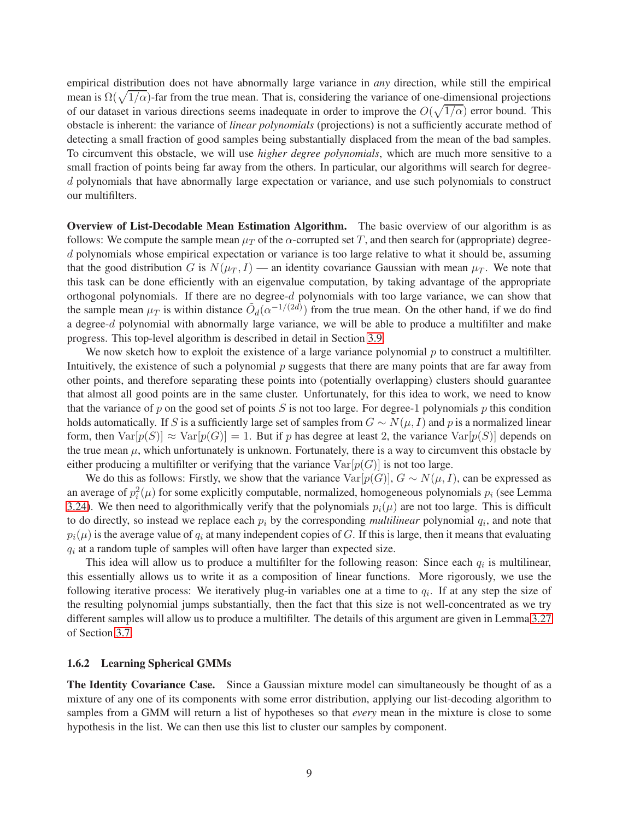empirical distribution does not have abnormally large variance in *any* direction, while still the empirical mean is  $\Omega(\sqrt{1/\alpha})$ -far from the true mean. That is, considering the variance of one-dimensional projections of our dataset in various directions seems inadequate in order to improve the  $O(\sqrt{1/\alpha})$  error bound. This obstacle is inherent: the variance of *linear polynomials* (projections) is not a sufficiently accurate method of detecting a small fraction of good samples being substantially displaced from the mean of the bad samples. To circumvent this obstacle, we will use *higher degree polynomials*, which are much more sensitive to a small fraction of points being far away from the others. In particular, our algorithms will search for degreed polynomials that have abnormally large expectation or variance, and use such polynomials to construct our multifilters.

Overview of List-Decodable Mean Estimation Algorithm. The basic overview of our algorithm is as follows: We compute the sample mean  $\mu_T$  of the  $\alpha$ -corrupted set T, and then search for (appropriate) degreed polynomials whose empirical expectation or variance is too large relative to what it should be, assuming that the good distribution G is  $N(\mu_T, I)$  — an identity covariance Gaussian with mean  $\mu_T$ . We note that this task can be done efficiently with an eigenvalue computation, by taking advantage of the appropriate orthogonal polynomials. If there are no degree-d polynomials with too large variance, we can show that the sample mean  $\mu_T$  is within distance  $\tilde{O}_d(\alpha^{-1/(2d)})$  from the true mean. On the other hand, if we do find a degree-d polynomial with abnormally large variance, we will be able to produce a multifilter and make progress. This top-level algorithm is described in detail in Section [3.9.](#page-38-0)

We now sketch how to exploit the existence of a large variance polynomial  $p$  to construct a multifilter. Intuitively, the existence of such a polynomial  $p$  suggests that there are many points that are far away from other points, and therefore separating these points into (potentially overlapping) clusters should guarantee that almost all good points are in the same cluster. Unfortunately, for this idea to work, we need to know that the variance of p on the good set of points S is not too large. For degree-1 polynomials p this condition holds automatically. If S is a sufficiently large set of samples from  $G \sim N(\mu, I)$  and p is a normalized linear form, then  $Var[p(S)] \approx Var[p(G)] = 1$ . But if p has degree at least 2, the variance  $Var[p(S)]$  depends on the true mean  $\mu$ , which unfortunately is unknown. Fortunately, there is a way to circumvent this obstacle by either producing a multifilter or verifying that the variance  $Var[p(G)]$  is not too large.

We do this as follows: Firstly, we show that the variance  $Var[p(G)]$ ,  $G \sim N(\mu, I)$ , can be expressed as an average of  $p_i^2(\mu)$  for some explicitly computable, normalized, homogeneous polynomials  $p_i$  (see Lemma [3.24\)](#page-28-0). We then need to algorithmically verify that the polynomials  $p_i(\mu)$  are not too large. This is difficult to do directly, so instead we replace each  $p_i$  by the corresponding *multilinear* polynomial  $q_i$ , and note that  $p_i(\mu)$  is the average value of  $q_i$  at many independent copies of G. If this is large, then it means that evaluating  $q_i$  at a random tuple of samples will often have larger than expected size.

This idea will allow us to produce a multifilter for the following reason: Since each  $q_i$  is multilinear, this essentially allows us to write it as a composition of linear functions. More rigorously, we use the following iterative process: We iteratively plug-in variables one at a time to  $q_i$ . If at any step the size of the resulting polynomial jumps substantially, then the fact that this size is not well-concentrated as we try different samples will allow us to produce a multifilter. The details of this argument are given in Lemma [3.27](#page-32-0) of Section [3.7.](#page-32-1)

#### 1.6.2 Learning Spherical GMMs

The Identity Covariance Case. Since a Gaussian mixture model can simultaneously be thought of as a mixture of any one of its components with some error distribution, applying our list-decoding algorithm to samples from a GMM will return a list of hypotheses so that *every* mean in the mixture is close to some hypothesis in the list. We can then use this list to cluster our samples by component.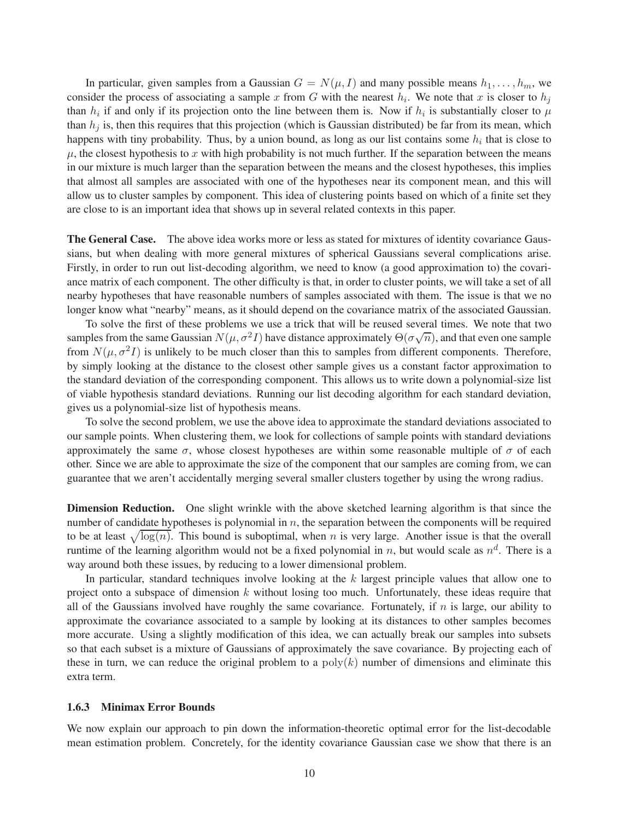In particular, given samples from a Gaussian  $G = N(\mu, I)$  and many possible means  $h_1, \ldots, h_m$ , we consider the process of associating a sample x from G with the nearest  $h_i$ . We note that x is closer to  $h_j$ than  $h_i$  if and only if its projection onto the line between them is. Now if  $h_i$  is substantially closer to  $\mu$ than  $h_j$  is, then this requires that this projection (which is Gaussian distributed) be far from its mean, which happens with tiny probability. Thus, by a union bound, as long as our list contains some  $h_i$  that is close to  $\mu$ , the closest hypothesis to x with high probability is not much further. If the separation between the means in our mixture is much larger than the separation between the means and the closest hypotheses, this implies that almost all samples are associated with one of the hypotheses near its component mean, and this will allow us to cluster samples by component. This idea of clustering points based on which of a finite set they are close to is an important idea that shows up in several related contexts in this paper.

The General Case. The above idea works more or less as stated for mixtures of identity covariance Gaussians, but when dealing with more general mixtures of spherical Gaussians several complications arise. Firstly, in order to run out list-decoding algorithm, we need to know (a good approximation to) the covariance matrix of each component. The other difficulty is that, in order to cluster points, we will take a set of all nearby hypotheses that have reasonable numbers of samples associated with them. The issue is that we no longer know what "nearby" means, as it should depend on the covariance matrix of the associated Gaussian.

To solve the first of these problems we use a trick that will be reused several times. We note that two samples from the same Gaussian  $N(\mu, \sigma^2 I)$  have distance approximately  $\Theta(\sigma\sqrt{n})$ , and that even one sample from  $N(\mu, \sigma^2 I)$  is unlikely to be much closer than this to samples from different components. Therefore, by simply looking at the distance to the closest other sample gives us a constant factor approximation to the standard deviation of the corresponding component. This allows us to write down a polynomial-size list of viable hypothesis standard deviations. Running our list decoding algorithm for each standard deviation, gives us a polynomial-size list of hypothesis means.

To solve the second problem, we use the above idea to approximate the standard deviations associated to our sample points. When clustering them, we look for collections of sample points with standard deviations approximately the same  $\sigma$ , whose closest hypotheses are within some reasonable multiple of  $\sigma$  of each other. Since we are able to approximate the size of the component that our samples are coming from, we can guarantee that we aren't accidentally merging several smaller clusters together by using the wrong radius.

**Dimension Reduction.** One slight wrinkle with the above sketched learning algorithm is that since the number of candidate hypotheses is polynomial in n, the separation between the components will be required to be at least  $\sqrt{\log(n)}$ . This bound is suboptimal, when n is very large. Another issue is that the overall runtime of the learning algorithm would not be a fixed polynomial in n, but would scale as  $n^d$ . There is a way around both these issues, by reducing to a lower dimensional problem.

In particular, standard techniques involve looking at the k largest principle values that allow one to project onto a subspace of dimension  $k$  without losing too much. Unfortunately, these ideas require that all of the Gaussians involved have roughly the same covariance. Fortunately, if  $n$  is large, our ability to approximate the covariance associated to a sample by looking at its distances to other samples becomes more accurate. Using a slightly modification of this idea, we can actually break our samples into subsets so that each subset is a mixture of Gaussians of approximately the save covariance. By projecting each of these in turn, we can reduce the original problem to a  $poly(k)$  number of dimensions and eliminate this extra term.

## 1.6.3 Minimax Error Bounds

We now explain our approach to pin down the information-theoretic optimal error for the list-decodable mean estimation problem. Concretely, for the identity covariance Gaussian case we show that there is an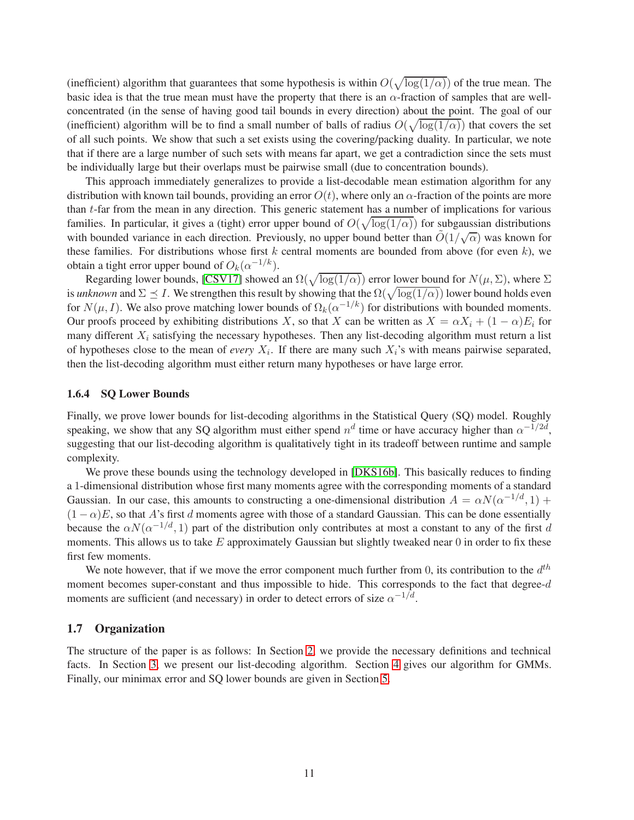(inefficient) algorithm that guarantees that some hypothesis is within  $O(\sqrt{\log(1/\alpha)})$  of the true mean. The basic idea is that the true mean must have the property that there is an  $\alpha$ -fraction of samples that are wellconcentrated (in the sense of having good tail bounds in every direction) about the point. The goal of our (inefficient) algorithm will be to find a small number of balls of radius  $O(\sqrt{\log(1/\alpha)})$  that covers the set of all such points. We show that such a set exists using the covering/packing duality. In particular, we note that if there are a large number of such sets with means far apart, we get a contradiction since the sets must be individually large but their overlaps must be pairwise small (due to concentration bounds).

This approach immediately generalizes to provide a list-decodable mean estimation algorithm for any distribution with known tail bounds, providing an error  $O(t)$ , where only an  $\alpha$ -fraction of the points are more than t-far from the mean in any direction. This generic statement has a number of implications for various families. In particular, it gives a (tight) error upper bound of  $O(\sqrt{\log(1/\alpha)})$  for subgaussian distributions with bounded variance in each direction. Previously, no upper bound better than  $\tilde{O}(1/\sqrt{\alpha})$  was known for these families. For distributions whose first  $k$  central moments are bounded from above (for even  $k$ ), we obtain a tight error upper bound of  $O_k(\alpha^{-1/k})$ .

Regarding lower bounds, [\[CSV17\]](#page-56-0) showed an  $\Omega(\sqrt{\log(1/\alpha)})$  error lower bound for  $N(\mu, \Sigma)$ , where  $\Sigma$ is *unknown* and  $\Sigma \leq I$ . We strengthen this result by showing that the  $\Omega(\sqrt{\log(1/\alpha)})$  lower bound holds even for  $N(\mu, I)$ . We also prove matching lower bounds of  $\Omega_k(\alpha^{-1/k})$  for distributions with bounded moments. Our proofs proceed by exhibiting distributions X, so that X can be written as  $X = \alpha X_i + (1 - \alpha)E_i$  for many different  $X_i$  satisfying the necessary hypotheses. Then any list-decoding algorithm must return a list of hypotheses close to the mean of *every*  $X_i$ . If there are many such  $X_i$ 's with means pairwise separated, then the list-decoding algorithm must either return many hypotheses or have large error.

## 1.6.4 SQ Lower Bounds

Finally, we prove lower bounds for list-decoding algorithms in the Statistical Query (SQ) model. Roughly speaking, we show that any SQ algorithm must either spend  $n^d$  time or have accuracy higher than  $\alpha^{-1/2d}$ , suggesting that our list-decoding algorithm is qualitatively tight in its tradeoff between runtime and sample complexity.

We prove these bounds using the technology developed in [\[DKS16b\]](#page-56-6). This basically reduces to finding a 1-dimensional distribution whose first many moments agree with the corresponding moments of a standard Gaussian. In our case, this amounts to constructing a one-dimensional distribution  $A = \alpha N(\alpha^{-1/d}, 1) +$  $(1 - \alpha)E$ , so that A's first d moments agree with those of a standard Gaussian. This can be done essentially because the  $\alpha N(\alpha^{-1/d}, 1)$  part of the distribution only contributes at most a constant to any of the first d moments. This allows us to take  $E$  approximately Gaussian but slightly tweaked near  $0$  in order to fix these first few moments.

We note however, that if we move the error component much further from 0, its contribution to the  $d^{th}$ moment becomes super-constant and thus impossible to hide. This corresponds to the fact that degree-d moments are sufficient (and necessary) in order to detect errors of size  $\alpha^{-1/d}$ .

## 1.7 Organization

The structure of the paper is as follows: In Section [2,](#page-12-0) we provide the necessary definitions and technical facts. In Section [3,](#page-13-1) we present our list-decoding algorithm. Section [4](#page-40-0) gives our algorithm for GMMs. Finally, our minimax error and SQ lower bounds are given in Section [5.](#page-49-0)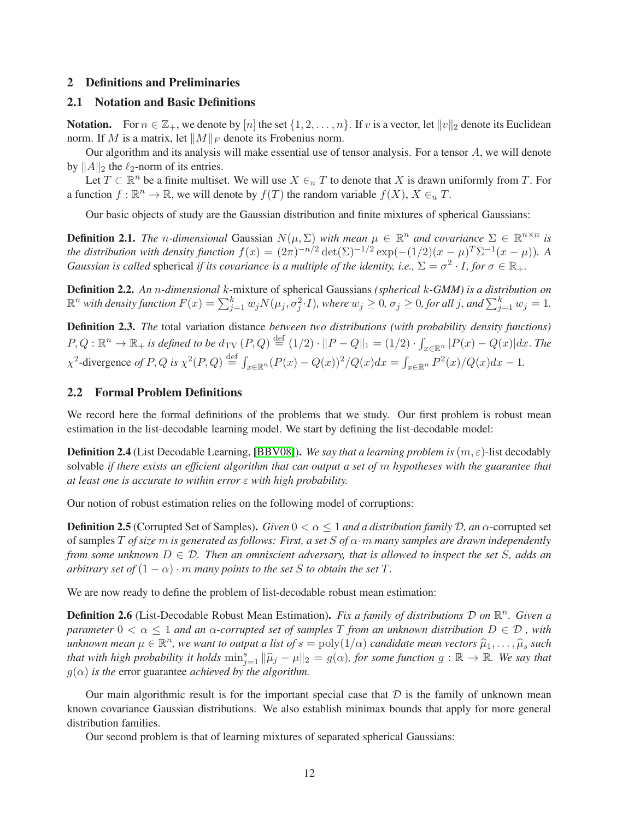# <span id="page-12-0"></span>2 Definitions and Preliminaries

# 2.1 Notation and Basic Definitions

Notation. For  $n \in \mathbb{Z}_+$ , we denote by  $[n]$  the set  $\{1, 2, \ldots, n\}$ . If v is a vector, let  $||v||_2$  denote its Euclidean norm. If M is a matrix, let  $||M||_F$  denote its Frobenius norm.

Our algorithm and its analysis will make essential use of tensor analysis. For a tensor A, we will denote by  $||A||_2$  the  $\ell_2$ -norm of its entries.

Let  $T \subset \mathbb{R}^n$  be a finite multiset. We will use  $X \in_u T$  to denote that X is drawn uniformly from T. For a function  $f : \mathbb{R}^n \to \mathbb{R}$ , we will denote by  $f(T)$  the random variable  $f(X)$ ,  $X \in_u T$ .

Our basic objects of study are the Gaussian distribution and finite mixtures of spherical Gaussians:

**Definition 2.1.** *The n-dimensional* Gaussian  $N(\mu, \Sigma)$  *with mean*  $\mu \in \mathbb{R}^n$  *and covariance*  $\Sigma \in \mathbb{R}^{n \times n}$  *is the distribution with density function*  $f(x) = (2\pi)^{-n/2} \det(\Sigma)^{-1/2} \exp(-(1/2)(x-\mu)^T \Sigma^{-1}(x-\mu))$ . A *Gaussian is called spherical if its covariance is a multiple of the identity, i.e.,*  $\Sigma = \sigma^2 \cdot I$ *, for*  $\sigma \in \mathbb{R}_+$ *.* 

Definition 2.2. *An* n*-dimensional* k-mixture of spherical Gaussians *(spherical* k*-GMM) is a distribution on*  $\mathbb{R}^n$  with density function  $F(x) = \sum_{j=1}^k w_j N(\mu_j, \sigma_j^2 \cdot I)$ , where  $w_j \ge 0$ ,  $\sigma_j \ge 0$ , for all j, and  $\sum_{j=1}^k w_j = 1$ .

Definition 2.3. *The* total variation distance *between two distributions (with probability density functions)*  $P,Q:\mathbb{R}^n\to\mathbb{R}_+$  is defined to be  $d_{\text{TV}}\left(P,Q\right)\overset{\text{def}}{=} (1/2)\cdot\|P-Q\|_1 = (1/2)\cdot\int_{x\in\mathbb{R}^n}|P(x)-Q(x)|dx$ . The  $\chi^2$ -divergence *of* P, Q is  $\chi^2(P,Q) \stackrel{\text{def}}{=} \int_{x \in \mathbb{R}^n} (P(x) - Q(x))^2 / Q(x) dx = \int_{x \in \mathbb{R}^n} P^2(x) / Q(x) dx - 1$ .

# 2.2 Formal Problem Definitions

We record here the formal definitions of the problems that we study. Our first problem is robust mean estimation in the list-decodable learning model. We start by defining the list-decodable model:

**Definition 2.4** (List Decodable Learning, [\[BBV08\]](#page-56-4)). *We say that a learning problem is*  $(m, \varepsilon)$ -list decodably solvable *if there exists an efficient algorithm that can output a set of* m *hypotheses with the guarantee that at least one is accurate to within error* ε *with high probability.*

Our notion of robust estimation relies on the following model of corruptions:

**Definition 2.5** (Corrupted Set of Samples). *Given*  $0 < \alpha \leq 1$  *and a distribution family* D, *an*  $\alpha$ -corrupted set of samples T *of size* m *is generated as follows: First, a set* S *of* α·m *many samples are drawn independently from some unknown*  $D \in \mathcal{D}$ . Then an omniscient adversary, that is allowed to inspect the set S, adds an *arbitrary set of*  $(1 - \alpha) \cdot m$  *many points to the set* S *to obtain the set* T.

We are now ready to define the problem of list-decodable robust mean estimation:

**Definition 2.6** (List-Decodable Robust Mean Estimation). *Fix a family of distributions* D on  $\mathbb{R}^n$ . Given a *parameter*  $0 < \alpha \leq 1$  *and an*  $\alpha$ -corrupted set of samples T from an unknown distribution  $D \in \mathcal{D}$ , with  $\mu$  *unknown mean*  $\mu \in \mathbb{R}^n$ , we want to output a list of  $s = \text{poly}(1/\alpha)$  candidate mean vectors  $\widehat{\mu}_1, \ldots, \widehat{\mu}_s$  such *that with high probability it holds*  $\min_{j=1}^{s} ||\hat{\mu}_{j} - \mu||_2 = g(\alpha)$ *, for some function*  $g : \mathbb{R} \to \mathbb{R}$ *. We say that*  $g(\alpha)$  *is the* error guarantee *achieved by the algorithm*.

Our main algorithmic result is for the important special case that  $D$  is the family of unknown mean known covariance Gaussian distributions. We also establish minimax bounds that apply for more general distribution families.

Our second problem is that of learning mixtures of separated spherical Gaussians: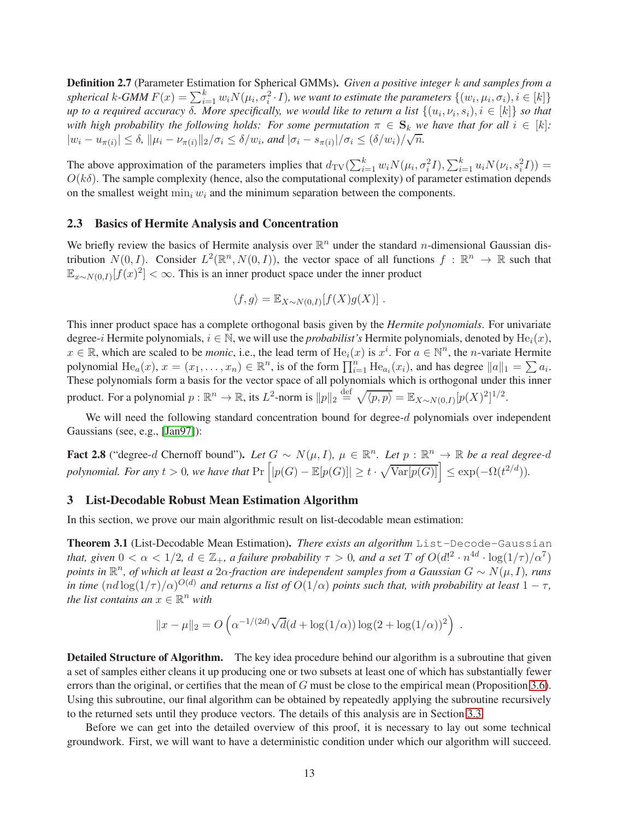Definition 2.7 (Parameter Estimation for Spherical GMMs). *Given a positive integer* k *and samples from a*  $spherical k$ -GMM  $F(x) = \sum_{i=1}^{k} w_i N(\mu_i, \sigma_i^2 \cdot I)$ , we want to estimate the parameters  $\{(w_i, \mu_i, \sigma_i), i \in [k]\}$ *up to a required accuracy*  $\delta$ . More specifically, we would like to return a list  $\{(u_i, \nu_i, s_i), i \in [k]\}$  so that *with high probability the following holds: For some permutation*  $\pi \in S_k$  *we have that for all*  $i \in [k]$ *:*  $|w_i - u_{\pi(i)}| \leq \delta, \, \|\mu_i - \nu_{\pi(i)}\|_2 / \sigma_i \leq \delta / w_i, \text{ and } |\sigma_i - s_{\pi(i)}| / \sigma_i \leq (\delta / w_i) / \sqrt{n}.$ 

The above approximation of the parameters implies that  $d_{\text{TV}}(\sum_{i=1}^k w_i N(\mu_i, \sigma_i^2 I), \sum_{i=1}^k u_i N(\nu_i, s_i^2 I)) =$  $O(k\delta)$ . The sample complexity (hence, also the computational complexity) of parameter estimation depends on the smallest weight  $\min_i w_i$  and the minimum separation between the components.

## 2.3 Basics of Hermite Analysis and Concentration

We briefly review the basics of Hermite analysis over  $\mathbb{R}^n$  under the standard *n*-dimensional Gaussian distribution  $N(0, I)$ . Consider  $L^2(\mathbb{R}^n, N(0, I))$ , the vector space of all functions  $f : \mathbb{R}^n \to \mathbb{R}$  such that  $\mathbb{E}_{x \sim N(0,I)}[f(x)^2] < \infty$ . This is an inner product space under the inner product

$$
\langle f, g \rangle = \mathbb{E}_{X \sim N(0,I)}[f(X)g(X)].
$$

This inner product space has a complete orthogonal basis given by the *Hermite polynomials*. For univariate degree-i Hermite polynomials,  $i \in \mathbb{N}$ , we will use the *probabilist's* Hermite polynomials, denoted by He<sub>i</sub> $(x)$ ,  $x \in \mathbb{R}$ , which are scaled to be *monic*, i.e., the lead term of  $He_i(x)$  is  $x^i$ . For  $a \in \mathbb{N}^n$ , the *n*-variate Hermite polynomial  $\text{He}_a(x)$ ,  $x = (x_1, \ldots, x_n) \in \mathbb{R}^n$ , is of the form  $\prod_{i=1}^n \text{He}_{a_i}(x_i)$ , and has degree  $||a||_1 = \sum a_i$ . These polynomials form a basis for the vector space of all polynomials which is orthogonal under this inner product. For a polynomial  $p : \mathbb{R}^n \to \mathbb{R}$ , its  $L^2$ -norm is  $||p||_2 \stackrel{\text{def}}{=} \sqrt{\langle p, p \rangle} = \mathbb{E}_{X \sim N(0, I)}[p(X)^2]^{1/2}$ .

We will need the following standard concentration bound for degree-d polynomials over independent Gaussians (see, e.g., [\[Jan97\]](#page-57-15)):

**Fact 2.8** ("degree-*d* Chernoff bound"). Let  $G \sim N(\mu, I)$ ,  $\mu \in \mathbb{R}^n$ . Let  $p : \mathbb{R}^n \to \mathbb{R}$  be a real degree-d  $polynomial$ *. For any*  $t > 0$ *, we have that*  $Pr\left[ |p(G) - \mathbb{E}[p(G)] | \geq t \cdot \sqrt{Var[p(G)]} \right] \leq exp(-\Omega(t^{2/d}))$ *.* 

# <span id="page-13-1"></span>3 List-Decodable Robust Mean Estimation Algorithm

In this section, we prove our main algorithmic result on list-decodable mean estimation:

<span id="page-13-0"></span>Theorem 3.1 (List-Decodable Mean Estimation). *There exists an algorithm* List-Decode-Gaussian *that, given*  $0 < \alpha < 1/2$ ,  $d \in \mathbb{Z}_+$ , a failure probability  $\tau > 0$ , and a set T of  $O(d!^2 \cdot n^{4d} \cdot \log(1/\tau)/\alpha^7)$ *points in*  $\mathbb{R}^n$ , *of which at least a* 2 $\alpha$ -fraction are independent samples from a Gaussian  $G \sim N(\mu, I)$ *, runs in time*  $(nd \log(1/\tau)/\alpha)^{O(d)}$  *and returns a list of*  $O(1/\alpha)$  *points such that, with probability at least*  $1 - \tau$ *, the list contains an*  $x \in \mathbb{R}^n$  *with* 

$$
||x - \mu||_2 = O\left(\alpha^{-1/(2d)}\sqrt{d}(d + \log(1/\alpha))\log(2 + \log(1/\alpha))^2\right).
$$

**Detailed Structure of Algorithm.** The key idea procedure behind our algorithm is a subroutine that given a set of samples either cleans it up producing one or two subsets at least one of which has substantially fewer errors than the original, or certifies that the mean of G must be close to the empirical mean (Proposition [3.6\)](#page-18-0). Using this subroutine, our final algorithm can be obtained by repeatedly applying the subroutine recursively to the returned sets until they produce vectors. The details of this analysis are in Section [3.3.](#page-18-1)

Before we can get into the detailed overview of this proof, it is necessary to lay out some technical groundwork. First, we will want to have a deterministic condition under which our algorithm will succeed.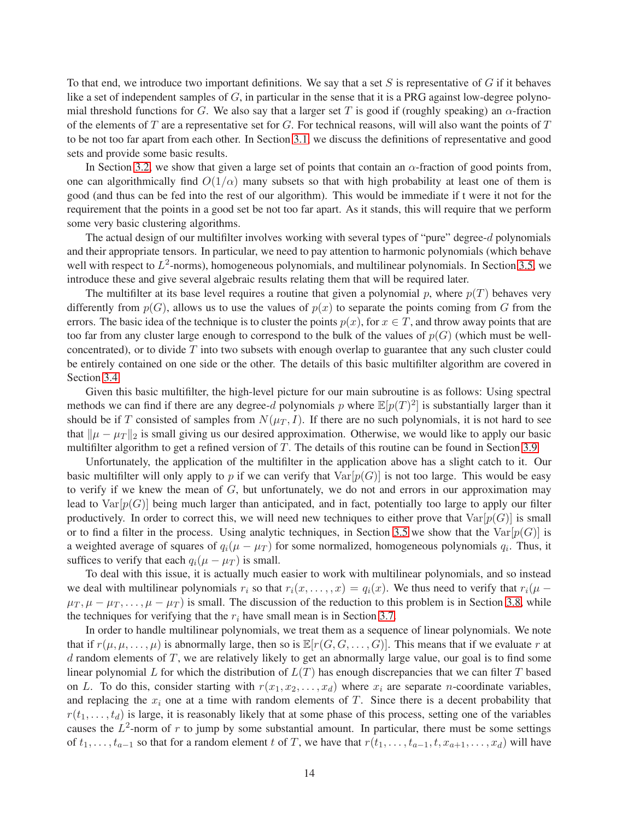To that end, we introduce two important definitions. We say that a set S is representative of  $G$  if it behaves like a set of independent samples of  $G$ , in particular in the sense that it is a PRG against low-degree polynomial threshold functions for G. We also say that a larger set T is good if (roughly speaking) an  $\alpha$ -fraction of the elements of T are a representative set for G. For technical reasons, will will also want the points of  $T$ to be not too far apart from each other. In Section [3.1,](#page-15-0) we discuss the definitions of representative and good sets and provide some basic results.

In Section [3.2,](#page-16-0) we show that given a large set of points that contain an  $\alpha$ -fraction of good points from, one can algorithmically find  $O(1/\alpha)$  many subsets so that with high probability at least one of them is good (and thus can be fed into the rest of our algorithm). This would be immediate if t were it not for the requirement that the points in a good set be not too far apart. As it stands, this will require that we perform some very basic clustering algorithms.

The actual design of our multifilter involves working with several types of "pure" degree-d polynomials and their appropriate tensors. In particular, we need to pay attention to harmonic polynomials (which behave well with respect to  $L^2$ -norms), homogeneous polynomials, and multilinear polynomials. In Section [3.5,](#page-27-0) we introduce these and give several algebraic results relating them that will be required later.

The multifilter at its base level requires a routine that given a polynomial p, where  $p(T)$  behaves very differently from  $p(G)$ , allows us to use the values of  $p(x)$  to separate the points coming from G from the errors. The basic idea of the technique is to cluster the points  $p(x)$ , for  $x \in T$ , and throw away points that are too far from any cluster large enough to correspond to the bulk of the values of  $p(G)$  (which must be wellconcentrated), or to divide  $T$  into two subsets with enough overlap to guarantee that any such cluster could be entirely contained on one side or the other. The details of this basic multifilter algorithm are covered in Section [3.4.](#page-19-0)

Given this basic multifilter, the high-level picture for our main subroutine is as follows: Using spectral methods we can find if there are any degree-d polynomials p where  $\mathbb{E}[p(T)^2]$  is substantially larger than it should be if T consisted of samples from  $N(\mu_T, I)$ . If there are no such polynomials, it is not hard to see that  $\|\mu - \mu_T\|_2$  is small giving us our desired approximation. Otherwise, we would like to apply our basic multifilter algorithm to get a refined version of T. The details of this routine can be found in Section [3.9.](#page-38-0)

Unfortunately, the application of the multifilter in the application above has a slight catch to it. Our basic multifilter will only apply to p if we can verify that  $Var[p(G)]$  is not too large. This would be easy to verify if we knew the mean of  $G$ , but unfortunately, we do not and errors in our approximation may lead to  $\text{Var}[p(G)]$  being much larger than anticipated, and in fact, potentially too large to apply our filter productively. In order to correct this, we will need new techniques to either prove that  $\text{Var}[p(G)]$  is small or to find a filter in the process. Using analytic techniques, in Section [3.5](#page-27-0) we show that the  $Var[p(G)]$  is a weighted average of squares of  $q_i(\mu - \mu_T)$  for some normalized, homogeneous polynomials  $q_i$ . Thus, it suffices to verify that each  $q_i(\mu - \mu_T)$  is small.

To deal with this issue, it is actually much easier to work with multilinear polynomials, and so instead we deal with multilinear polynomials  $r_i$  so that  $r_i(x, \ldots, x) = q_i(x)$ . We thus need to verify that  $r_i(\mu \mu_T, \mu - \mu_T, \dots, \mu - \mu_T$  is small. The discussion of the reduction to this problem is in Section [3.8,](#page-35-0) while the techniques for verifying that the  $r_i$  have small mean is in Section [3.7.](#page-32-1)

In order to handle multilinear polynomials, we treat them as a sequence of linear polynomials. We note that if  $r(\mu, \mu, \dots, \mu)$  is abnormally large, then so is  $\mathbb{E}[r(G, G, \dots, G)]$ . This means that if we evaluate r at d random elements of  $T$ , we are relatively likely to get an abnormally large value, our goal is to find some linear polynomial L for which the distribution of  $L(T)$  has enough discrepancies that we can filter T based on L. To do this, consider starting with  $r(x_1, x_2, \ldots, x_d)$  where  $x_i$  are separate n-coordinate variables, and replacing the  $x_i$  one at a time with random elements of T. Since there is a decent probability that  $r(t_1, \ldots, t_d)$  is large, it is reasonably likely that at some phase of this process, setting one of the variables causes the  $L^2$ -norm of r to jump by some substantial amount. In particular, there must be some settings of  $t_1, \ldots, t_{a-1}$  so that for a random element t of T, we have that  $r(t_1, \ldots, t_{a-1}, t, x_{a+1}, \ldots, x_d)$  will have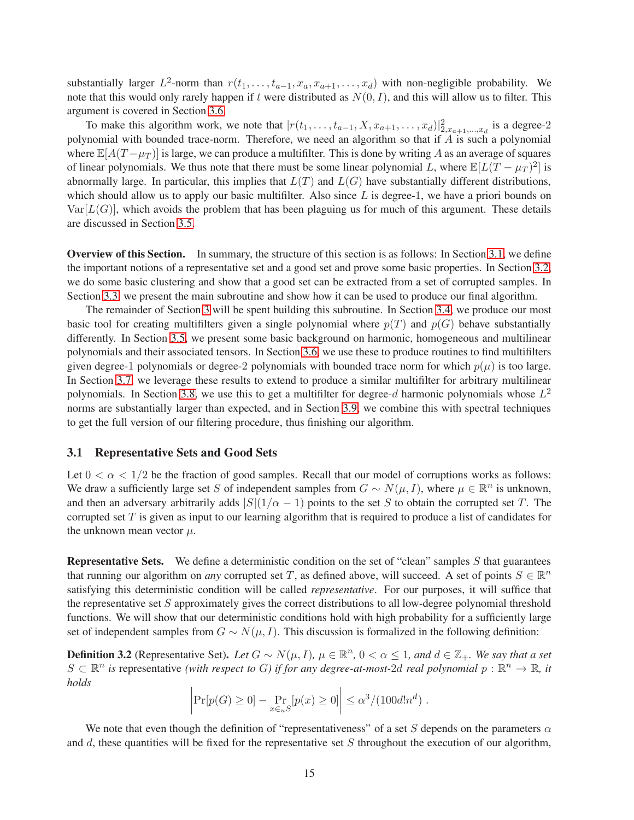substantially larger  $L^2$ -norm than  $r(t_1, \ldots, t_{a-1}, x_a, x_{a+1}, \ldots, x_d)$  with non-negligible probability. We note that this would only rarely happen if t were distributed as  $N(0, I)$ , and this will allow us to filter. This argument is covered in Section [3.6.](#page-31-0)

To make this algorithm work, we note that  $|r(t_1, \ldots, t_{a-1}, X, x_{a+1}, \ldots, x_d)|_{2, x_{a+1}, \ldots, x_d}^2$  is a degree-2 polynomial with bounded trace-norm. Therefore, we need an algorithm so that if  $\overline{A}$  is such a polynomial where  $\mathbb{E}[A(T - \mu_T)]$  is large, we can produce a multifilter. This is done by writing A as an average of squares of linear polynomials. We thus note that there must be some linear polynomial L, where  $\mathbb{E}[L(T - \mu_T)^2]$  is abnormally large. In particular, this implies that  $L(T)$  and  $L(G)$  have substantially different distributions, which should allow us to apply our basic multifilter. Also since  $L$  is degree-1, we have a priori bounds on  $Var[L(G)]$ , which avoids the problem that has been plaguing us for much of this argument. These details are discussed in Section [3.5.](#page-27-0)

Overview of this Section. In summary, the structure of this section is as follows: In Section [3.1,](#page-15-0) we define the important notions of a representative set and a good set and prove some basic properties. In Section [3.2,](#page-16-0) we do some basic clustering and show that a good set can be extracted from a set of corrupted samples. In Section [3.3,](#page-18-1) we present the main subroutine and show how it can be used to produce our final algorithm.

The remainder of Section [3](#page-13-1) will be spent building this subroutine. In Section [3.4,](#page-19-0) we produce our most basic tool for creating multifilters given a single polynomial where  $p(T)$  and  $p(G)$  behave substantially differently. In Section [3.5,](#page-27-0) we present some basic background on harmonic, homogeneous and multilinear polynomials and their associated tensors. In Section [3.6,](#page-31-0) we use these to produce routines to find multifilters given degree-1 polynomials or degree-2 polynomials with bounded trace norm for which  $p(\mu)$  is too large. In Section [3.7,](#page-32-1) we leverage these results to extend to produce a similar multifilter for arbitrary multilinear polynomials. In Section [3.8,](#page-35-0) we use this to get a multifilter for degree-d harmonic polynomials whose  $L^2$ norms are substantially larger than expected, and in Section [3.9,](#page-38-0) we combine this with spectral techniques to get the full version of our filtering procedure, thus finishing our algorithm.

## <span id="page-15-0"></span>3.1 Representative Sets and Good Sets

Let  $0 < \alpha < 1/2$  be the fraction of good samples. Recall that our model of corruptions works as follows: We draw a sufficiently large set S of independent samples from  $G \sim N(\mu, I)$ , where  $\mu \in \mathbb{R}^n$  is unknown, and then an adversary arbitrarily adds  $|S|(1/\alpha - 1)$  points to the set S to obtain the corrupted set T. The corrupted set  $T$  is given as input to our learning algorithm that is required to produce a list of candidates for the unknown mean vector  $\mu$ .

**Representative Sets.** We define a deterministic condition on the set of "clean" samples S that guarantees that running our algorithm on *any* corrupted set T, as defined above, will succeed. A set of points  $S \in \mathbb{R}^n$ satisfying this deterministic condition will be called *representative*. For our purposes, it will suffice that the representative set  $S$  approximately gives the correct distributions to all low-degree polynomial threshold functions. We will show that our deterministic conditions hold with high probability for a sufficiently large set of independent samples from  $G \sim N(\mu, I)$ . This discussion is formalized in the following definition:

<span id="page-15-1"></span>**Definition 3.2** (Representative Set). Let  $G \sim N(\mu, I)$ ,  $\mu \in \mathbb{R}^n$ ,  $0 < \alpha \leq 1$ , and  $d \in \mathbb{Z}_+$ . We say that a set  $S \subset \mathbb{R}^n$  is representative *(with respect to G) if for any degree-at-most-2d real polynomial*  $p : \mathbb{R}^n \to \mathbb{R}$ , it *holds*

$$
\left|\Pr[p(G) \ge 0] - \Pr_{x \in uS}[p(x) \ge 0]\right| \le \alpha^3/(100d!n^d) .
$$

We note that even though the definition of "representativeness" of a set S depends on the parameters  $\alpha$ and  $d$ , these quantities will be fixed for the representative set  $S$  throughout the execution of our algorithm,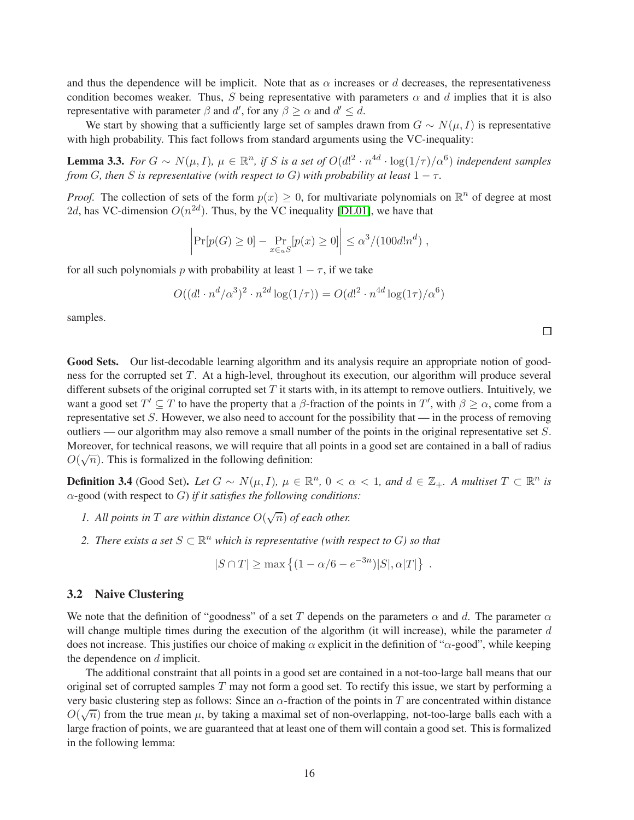and thus the dependence will be implicit. Note that as  $\alpha$  increases or d decreases, the representativeness condition becomes weaker. Thus, S being representative with parameters  $\alpha$  and d implies that it is also representative with parameter  $\beta$  and  $d'$ , for any  $\beta \ge \alpha$  and  $d' \le d$ .

We start by showing that a sufficiently large set of samples drawn from  $G \sim N(\mu, I)$  is representative with high probability. This fact follows from standard arguments using the VC-inequality:

<span id="page-16-1"></span>**Lemma 3.3.** *For*  $G \sim N(\mu, I)$ ,  $\mu \in \mathbb{R}^n$ , if S is a set of  $O(d!^2 \cdot n^{4d} \cdot \log(1/\tau)/\alpha^6)$  independent samples *from G*, then *S* is representative (with respect to *G*) with probability at least  $1 - \tau$ .

*Proof.* The collection of sets of the form  $p(x) \ge 0$ , for multivariate polynomials on  $\mathbb{R}^n$  of degree at most 2d, has VC-dimension  $O(n^{2d})$ . Thus, by the VC inequality [\[DL01\]](#page-56-15), we have that

$$
\left|\Pr[p(G) \ge 0] - \Pr_{x \in u} [p(x) \ge 0]\right| \le \alpha^3 / (100d!n^d) ,
$$

for all such polynomials p with probability at least  $1 - \tau$ , if we take

$$
O((d! \cdot n^d/\alpha^3)^2 \cdot n^{2d} \log(1/\tau)) = O(d!^2 \cdot n^{4d} \log(1/\tau)/\alpha^6)
$$

samples.

Good Sets. Our list-decodable learning algorithm and its analysis require an appropriate notion of goodness for the corrupted set T. At a high-level, throughout its execution, our algorithm will produce several different subsets of the original corrupted set  $T$  it starts with, in its attempt to remove outliers. Intuitively, we want a good set  $T' \subseteq T$  to have the property that a  $\beta$ -fraction of the points in  $T'$ , with  $\beta \ge \alpha$ , come from a representative set  $S$ . However, we also need to account for the possibility that — in the process of removing outliers — our algorithm may also remove a small number of the points in the original representative set S. Moreover, for technical reasons, we will require that all points in a good set are contained in a ball of radius  $O(\sqrt{n})$ . This is formalized in the following definition:

**Definition 3.4** (Good Set). Let  $G \sim N(\mu, I)$ ,  $\mu \in \mathbb{R}^n$ ,  $0 < \alpha < 1$ , and  $d \in \mathbb{Z}_+$ . A multiset  $T \subset \mathbb{R}^n$  is α-good (with respect to G) *if it satisfies the following conditions:*

- *1. All points in*  $T$  *are within distance*  $O(\sqrt{n})$  *of each other.*
- 2. There exists a set  $S \subset \mathbb{R}^n$  which is representative (with respect to G) so that

$$
|S \cap T| \ge \max \left\{ (1 - \alpha/6 - e^{-3n})|S|, \alpha |T| \right\} .
$$

## <span id="page-16-0"></span>3.2 Naive Clustering

We note that the definition of "goodness" of a set T depends on the parameters  $\alpha$  and d. The parameter  $\alpha$ will change multiple times during the execution of the algorithm (it will increase), while the parameter  $d$ does not increase. This justifies our choice of making  $\alpha$  explicit in the definition of " $\alpha$ -good", while keeping the dependence on d implicit.

The additional constraint that all points in a good set are contained in a not-too-large ball means that our original set of corrupted samples  $T$  may not form a good set. To rectify this issue, we start by performing a very basic clustering step as follows: Since an  $\alpha$ -fraction of the points in T are concentrated within distance  $O(\sqrt{n})$  from the true mean  $\mu$ , by taking a maximal set of non-overlapping, not-too-large balls each with a large fraction of points, we are guaranteed that at least one of them will contain a good set. This is formalized in the following lemma: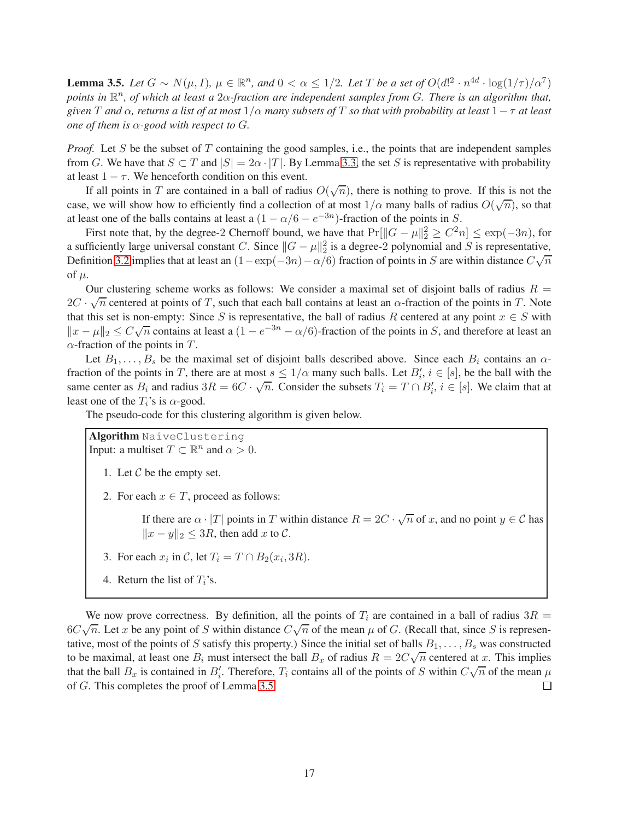<span id="page-17-0"></span>**Lemma 3.5.** *Let*  $G \sim N(\mu, I)$ ,  $\mu \in \mathbb{R}^n$ , and  $0 < \alpha \leq 1/2$ . *Let* T *be a set of*  $O(d!^2 \cdot n^{4d} \cdot \log(1/\tau)/\alpha^7)$ *points in* R n *, of which at least a* 2α*-fraction are independent samples from* G*. There is an algorithm that, given* T *and* α*, returns a list of at most* 1/α *many subsets of* T *so that with probability at least* 1− τ *at least one of them is*  $\alpha$ -good with respect to G.

*Proof.* Let S be the subset of T containing the good samples, i.e., the points that are independent samples from G. We have that  $S \subset T$  and  $|S| = 2\alpha \cdot |T|$ . By Lemma [3.3,](#page-16-1) the set S is representative with probability at least  $1 - \tau$ . We henceforth condition on this event.

If all points in T are contained in a ball of radius  $O(\sqrt{n})$ , there is nothing to prove. If this is not the case, we will show how to efficiently find a collection of at most  $1/\alpha$  many balls of radius  $O(\sqrt{n})$ , so that at least one of the balls contains at least a  $(1 - \alpha/6 - e^{-3n})$ -fraction of the points in S.

First note that, by the degree-2 Chernoff bound, we have that  $Pr[||G - \mu||_2^2 \ge C^2 n] \le exp(-3n)$ , for a sufficiently large universal constant C. Since  $||G - \mu||_2^2$  is a degree-2 polynomial and S is representative, Definition [3.2](#page-15-1) implies that at least an  $(1 - \exp(-3n) - \alpha/6)$  fraction of points in S are within distance  $C\sqrt{n}$ of  $\mu$ .

Our clustering scheme works as follows: We consider a maximal set of disjoint balls of radius  $R =$  $2C \cdot \sqrt{n}$  centered at points of T, such that each ball contains at least an  $\alpha$ -fraction of the points in T. Note that this set is non-empty: Since S is representative, the ball of radius R centered at any point  $x \in S$  with  $||x - \mu||_2 \leq C \sqrt{n}$  contains at least a  $(1 - e^{-3n} - \alpha/6)$ -fraction of the points in S, and therefore at least an  $\alpha$ -fraction of the points in T.

Let  $B_1, \ldots, B_s$  be the maximal set of disjoint balls described above. Since each  $B_i$  contains an  $\alpha$ fraction of the points in T, there are at most  $s \leq 1/\alpha$  many such balls. Let  $B'_i$ ,  $i \in [s]$ , be the ball with the same center as  $B_i$  and radius  $3R = 6C \cdot \sqrt{n}$ . Consider the subsets  $T_i = T \cap B'_i$ ,  $i \in [s]$ . We claim that at least one of the  $T_i$ 's is  $\alpha$ -good.

The pseudo-code for this clustering algorithm is given below.

Algorithm NaiveClustering Input: a multiset  $T \subset \mathbb{R}^n$  and  $\alpha > 0$ .

1. Let  $C$  be the empty set.

2. For each  $x \in T$ , proceed as follows:

If there are  $\alpha \cdot |T|$  points in T within distance  $R = 2C \cdot \sqrt{n}$  of x, and no point  $y \in C$  has  $||x - y||_2 \leq 3R$ , then add x to C.

- 3. For each  $x_i$  in C, let  $T_i = T \cap B_2(x_i, 3R)$ .
- 4. Return the list of  $T_i$ 's.

We now prove correctness. By definition, all the points of  $T_i$  are contained in a ball of radius  $3R =$  $6C\sqrt{n}$ . Let x be any point of S within distance  $C\sqrt{n}$  of the mean  $\mu$  of G. (Recall that, since S is representative, most of the points of S satisfy this property.) Since the initial set of balls  $B_1, \ldots, B_s$  was constructed to be maximal, at least one  $B_i$  must intersect the ball  $B_x$  of radius  $R = 2C\sqrt{n}$  centered at x. This implies that the ball  $B_x$  is contained in  $B'_i$ . Therefore,  $T_i$  contains all of the points of S within  $C\sqrt{n}$  of the mean  $\mu$ of G. This completes the proof of Lemma [3.5.](#page-17-0)  $\Box$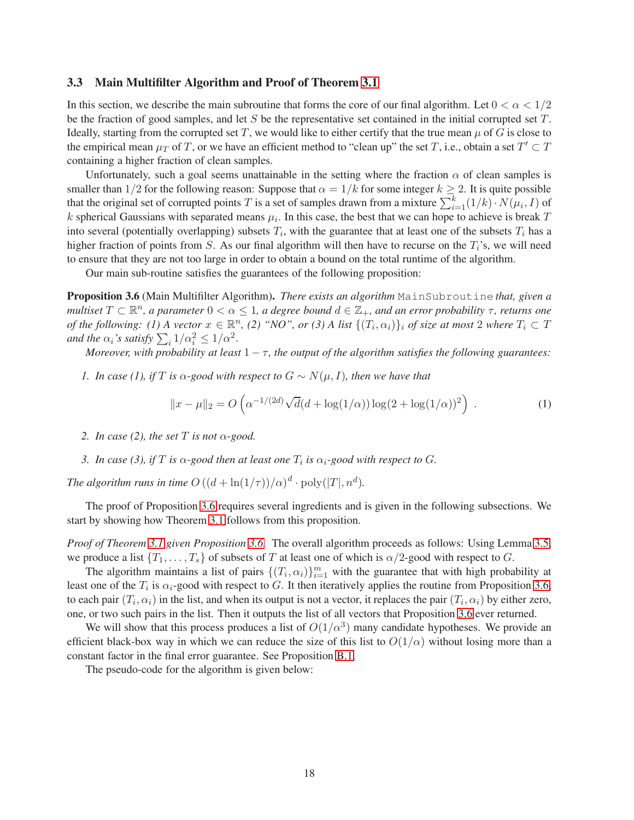## <span id="page-18-1"></span>3.3 Main Multifilter Algorithm and Proof of Theorem [3.1](#page-13-0)

In this section, we describe the main subroutine that forms the core of our final algorithm. Let  $0 < \alpha < 1/2$ be the fraction of good samples, and let  $S$  be the representative set contained in the initial corrupted set  $T$ . Ideally, starting from the corrupted set T, we would like to either certify that the true mean  $\mu$  of G is close to the empirical mean  $\mu_T$  of T, or we have an efficient method to "clean up" the set T, i.e., obtain a set  $T' \subset T$ containing a higher fraction of clean samples.

Unfortunately, such a goal seems unattainable in the setting where the fraction  $\alpha$  of clean samples is smaller than 1/2 for the following reason: Suppose that  $\alpha = 1/k$  for some integer  $k \ge 2$ . It is quite possible that the original set of corrupted points T is a set of samples drawn from a mixture  $\sum_{i=1}^{k} (1/k) \cdot N(\mu_i, I)$  of k spherical Gaussians with separated means  $\mu_i$ . In this case, the best that we can hope to achieve is break T into several (potentially overlapping) subsets  $T_i$ , with the guarantee that at least one of the subsets  $T_i$  has a higher fraction of points from S. As our final algorithm will then have to recurse on the  $T_i$ 's, we will need to ensure that they are not too large in order to obtain a bound on the total runtime of the algorithm.

Our main sub-routine satisfies the guarantees of the following proposition:

<span id="page-18-0"></span>Proposition 3.6 (Main Multifilter Algorithm). *There exists an algorithm* MainSubroutine *that, given a*  $multiset$   $T \subset \mathbb{R}^n$ , a parameter  $0 < \alpha \leq 1$ , a degree bound  $d \in \mathbb{Z}_+$ , and an error probability  $\tau$ , returns one *of the following:* (1) A vector  $x \in \mathbb{R}^n$ , (2) "NO", or (3) A list  $\{(T_i, \alpha_i)\}_i$  *of size at most* 2 *where*  $T_i \subset T$ *and the*  $\alpha_i$ *'s satisfy*  $\sum_i 1/\alpha_i^2 \leq 1/\alpha^2$ .

*Moreover, with probability at least*  $1 - \tau$ *, the output of the algorithm satisfies the following guarantees:* 

*1. In case (1), if T is*  $\alpha$ *-good with respect to*  $G \sim N(\mu, I)$ *, then we have that* 

$$
||x - \mu||_2 = O\left(\alpha^{-1/(2d)}\sqrt{d}(d + \log(1/\alpha))\log(2 + \log(1/\alpha))^2\right).
$$
 (1)

- *2. In case (2), the set*  $T$  *is not*  $\alpha$ -good.
- *3. In case (3), if*  $T$  *is*  $\alpha$ *-good then at least one*  $T_i$  *is*  $\alpha_i$ *-good with respect to G.*

*The algorithm runs in time*  $O((d + \ln(1/\tau))/\alpha)^d \cdot \text{poly}(|T|, n^d)$ *.* 

The proof of Proposition [3.6](#page-18-0) requires several ingredients and is given in the following subsections. We start by showing how Theorem [3.1](#page-13-0) follows from this proposition.

*Proof of Theorem [3.1](#page-13-0) given Proposition [3.6.](#page-18-0)* The overall algorithm proceeds as follows: Using Lemma [3.5,](#page-17-0) we produce a list  $\{T_1, \ldots, T_s\}$  of subsets of T at least one of which is  $\alpha/2$ -good with respect to G.

The algorithm maintains a list of pairs  $\{(T_i, \alpha_i)\}_{i=1}^m$  with the guarantee that with high probability at least one of the  $T_i$  is  $\alpha_i$ -good with respect to G. It then iteratively applies the routine from Proposition [3.6,](#page-18-0) to each pair  $(T_i, \alpha_i)$  in the list, and when its output is not a vector, it replaces the pair  $(T_i, \alpha_i)$  by either zero, one, or two such pairs in the list. Then it outputs the list of all vectors that Proposition [3.6](#page-18-0) ever returned.

We will show that this process produces a list of  $O(1/\alpha^3)$  many candidate hypotheses. We provide an efficient black-box way in which we can reduce the size of this list to  $O(1/\alpha)$  without losing more than a constant factor in the final error guarantee. See Proposition [B.1.](#page-59-0)

The pseudo-code for the algorithm is given below: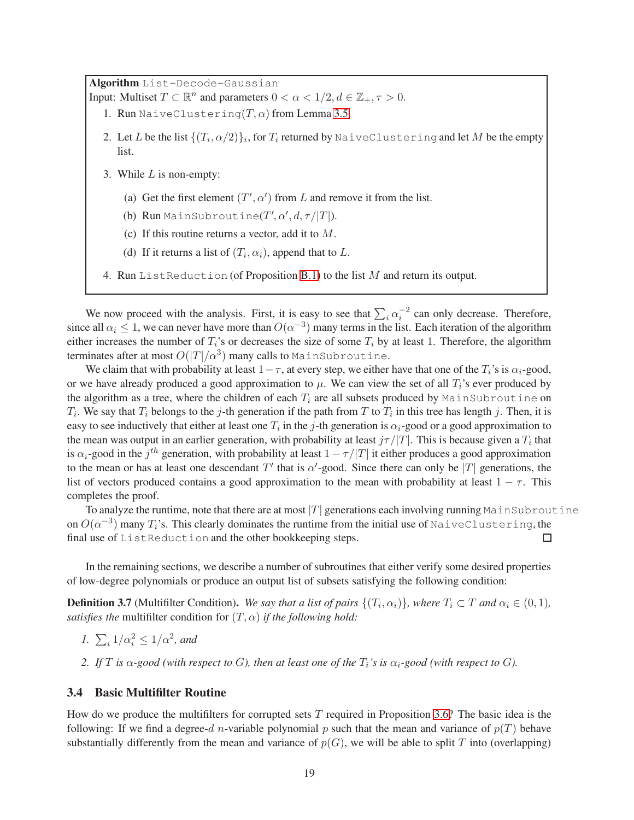Algorithm List-Decode-Gaussian Input: Multiset  $T \subset \mathbb{R}^n$  and parameters  $0 < \alpha < 1/2, d \in \mathbb{Z}_+, \tau > 0$ .

- 1. Run NaiveClustering $(T, \alpha)$  from Lemma [3.5.](#page-17-0)
- 2. Let L be the list  $\{(T_i, \alpha/2)\}\$ i, for  $T_i$  returned by NaiveClustering and let M be the empty list.
- 3. While  $L$  is non-empty:
	- (a) Get the first element  $(T', \alpha')$  from L and remove it from the list.
	- (b) Run MainSubroutine( $T', \alpha', d, \tau / |T|$ ).
	- (c) If this routine returns a vector, add it to  $M$ .
	- (d) If it returns a list of  $(T_i, \alpha_i)$ , append that to L.
- 4. Run ListReduction (of Proposition [B.1\)](#page-59-0) to the list M and return its output.

We now proceed with the analysis. First, it is easy to see that  $\sum_i \alpha_i^{-2}$  can only decrease. Therefore, since all  $\alpha_i \leq 1$ , we can never have more than  $O(\alpha^{-3})$  many terms in the list. Each iteration of the algorithm either increases the number of  $T_i$ 's or decreases the size of some  $T_i$  by at least 1. Therefore, the algorithm terminates after at most  $O(|T|/\alpha^3)$  many calls to <code>MainSubroutine.</code>

We claim that with probability at least  $1-\tau$ , at every step, we either have that one of the  $T_i$ 's is  $\alpha_i$ -good, or we have already produced a good approximation to  $\mu$ . We can view the set of all  $T_i$ 's ever produced by the algorithm as a tree, where the children of each  $T_i$  are all subsets produced by MainSubroutine on  $T_i$ . We say that  $T_i$  belongs to the j-th generation if the path from T to  $T_i$  in this tree has length j. Then, it is easy to see inductively that either at least one  $T_i$  in the j-th generation is  $\alpha_i$ -good or a good approximation to the mean was output in an earlier generation, with probability at least  $j\tau/|T|$ . This is because given a  $T_i$  that is  $\alpha_i$ -good in the  $j^{th}$  generation, with probability at least  $1 - \tau/|T|$  it either produces a good approximation to the mean or has at least one descendant T' that is  $\alpha'$ -good. Since there can only be |T| generations, the list of vectors produced contains a good approximation to the mean with probability at least  $1 - \tau$ . This completes the proof.

To analyze the runtime, note that there are at most  $|T|$  generations each involving running MainSubroutine on  $O(\alpha^{-3})$  many  $T_i$ 's. This clearly dominates the runtime from the initial use of NaiveClustering, the final use of ListReduction and the other bookkeeping steps.  $\Box$ 

In the remaining sections, we describe a number of subroutines that either verify some desired properties of low-degree polynomials or produce an output list of subsets satisfying the following condition:

**Definition 3.7** (Multifilter Condition). *We say that a list of pairs*  $\{(T_i, \alpha_i)\}\$ *, where*  $T_i \subset T$  *and*  $\alpha_i \in (0,1)$ *, satisfies the* multifilter condition for  $(T, \alpha)$  *if the following hold:* 

*1.*  $\sum_i 1/\alpha_i^2 \leq 1/\alpha^2$ , and

*2.* If T is  $\alpha$ -good (with respect to G), then at least one of the  $T_i$ 's is  $\alpha_i$ -good (with respect to G).

# <span id="page-19-0"></span>3.4 Basic Multifilter Routine

How do we produce the multifilters for corrupted sets  $T$  required in Proposition [3.6?](#page-18-0) The basic idea is the following: If we find a degree-d n-variable polynomial p such that the mean and variance of  $p(T)$  behave substantially differently from the mean and variance of  $p(G)$ , we will be able to split T into (overlapping)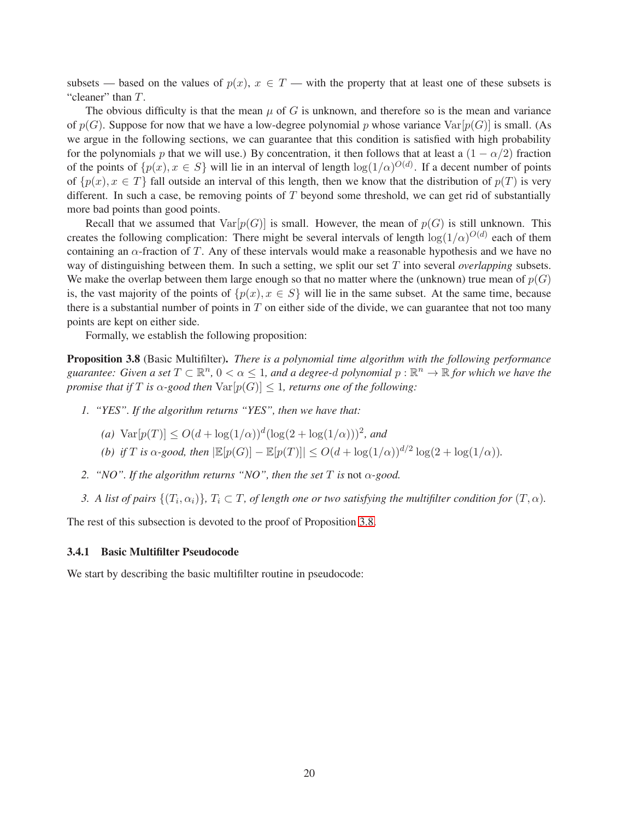subsets — based on the values of  $p(x)$ ,  $x \in T$  — with the property that at least one of these subsets is "cleaner" than  $T$ .

The obvious difficulty is that the mean  $\mu$  of G is unknown, and therefore so is the mean and variance of  $p(G)$ . Suppose for now that we have a low-degree polynomial p whose variance  $Var[p(G)]$  is small. (As we argue in the following sections, we can guarantee that this condition is satisfied with high probability for the polynomials p that we will use.) By concentration, it then follows that at least a  $(1 - \alpha/2)$  fraction of the points of  $\{p(x), x \in S\}$  will lie in an interval of length  $\log(1/\alpha)^{O(d)}$ . If a decent number of points of  $\{p(x), x \in T\}$  fall outside an interval of this length, then we know that the distribution of  $p(T)$  is very different. In such a case, be removing points of  $T$  beyond some threshold, we can get rid of substantially more bad points than good points.

Recall that we assumed that  $Var[p(G)]$  is small. However, the mean of  $p(G)$  is still unknown. This creates the following complication: There might be several intervals of length  $\log(1/\alpha)^{O(d)}$  each of them containing an  $\alpha$ -fraction of T. Any of these intervals would make a reasonable hypothesis and we have no way of distinguishing between them. In such a setting, we split our set T into several *overlapping* subsets. We make the overlap between them large enough so that no matter where the (unknown) true mean of  $p(G)$ is, the vast majority of the points of  $\{p(x), x \in S\}$  will lie in the same subset. At the same time, because there is a substantial number of points in  $T$  on either side of the divide, we can guarantee that not too many points are kept on either side.

Formally, we establish the following proposition:

<span id="page-20-0"></span>Proposition 3.8 (Basic Multifilter). *There is a polynomial time algorithm with the following performance* guarantee: Given a set  $T \subset \mathbb{R}^n$ ,  $0 < \alpha \leq 1$ , and a degree-d polynomial  $p : \mathbb{R}^n \to \mathbb{R}$  for which we have the *promise that if* T *is*  $\alpha$ -good then  $\text{Var}[p(G)] \leq 1$ , returns one of the following:

- *1. "YES". If the algorithm returns "YES", then we have that:*
	- *(a)*  $\text{Var}[p(T)] \le O(d + \log(1/\alpha))^d (\log(2 + \log(1/\alpha)))^2$ , and
	- *(b) if T is*  $\alpha$ -good, then  $\left| \mathbb{E}[p(G)] \mathbb{E}[p(T)] \right| \le O(d + \log(1/\alpha))^{d/2} \log(2 + \log(1/\alpha)).$
- *2. "NO". If the algorithm returns "NO", then the set*  $T$  *is not*  $\alpha$ *-good.*
- *3.* A list of pairs  $\{(T_i, \alpha_i)\}\$ ,  $T_i \subset T$ , of length one or two satisfying the multifilter condition for  $(T, \alpha)$ .

The rest of this subsection is devoted to the proof of Proposition [3.8.](#page-20-0)

## 3.4.1 Basic Multifilter Pseudocode

We start by describing the basic multifilter routine in pseudocode: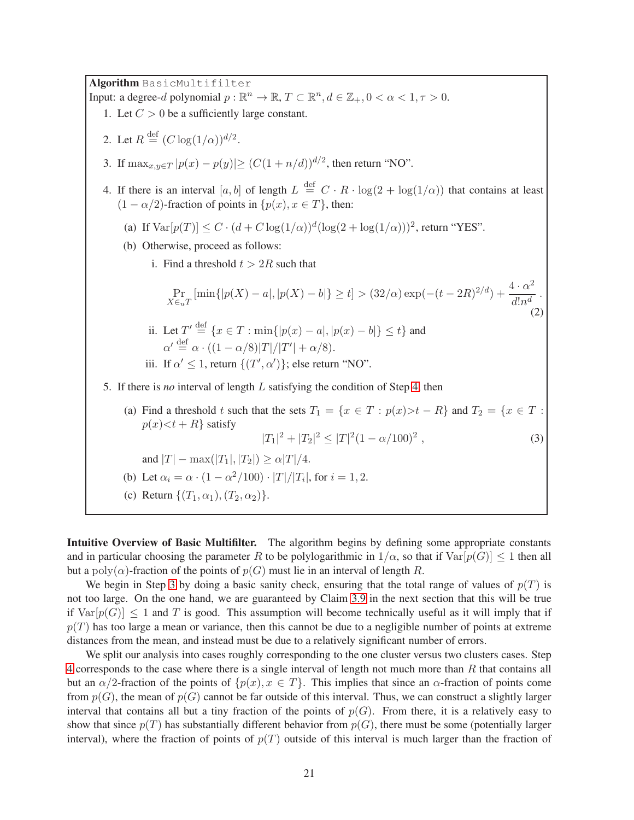<span id="page-21-7"></span><span id="page-21-6"></span><span id="page-21-4"></span><span id="page-21-1"></span><span id="page-21-0"></span>Algorithm BasicMultifilter Input: a degree-d polynomial  $p : \mathbb{R}^n \to \mathbb{R}$ ,  $T \subset \mathbb{R}^n$ ,  $d \in \mathbb{Z}_+$ ,  $0 < \alpha < 1$ ,  $\tau > 0$ . 1. Let  $C > 0$  be a sufficiently large constant. 2. Let  $R \stackrel{\text{def}}{=} (C \log(1/\alpha))^{d/2}$ . 3. If  $\max_{x,y \in T} |p(x) - p(y)| \ge (C(1 + n/d))^{d/2}$ , then return "NO". 4. If there is an interval  $[a, b]$  of length  $L \stackrel{\text{def}}{=} C \cdot R \cdot \log(2 + \log(1/\alpha))$  that contains at least  $(1 - \alpha/2)$ -fraction of points in  $\{p(x), x \in T\}$ , then: (a) If  $\text{Var}[p(T)] \leq C \cdot (d + C \log(1/\alpha))^d (\log(2 + \log(1/\alpha)))^2$ , return "YES". (b) Otherwise, proceed as follows: i. Find a threshold  $t > 2R$  such that  $\Pr_{X \in uT}[\min\{|p(X) - a|, |p(X) - b|\} \ge t] > (32/\alpha) \exp(-(t - 2R)^{2/d}) + \frac{4 \cdot \alpha^2}{d! n^d}$  $rac{1}{d!n^d}$ . (2) ii. Let  $T' \stackrel{\text{def}}{=} \{x \in T : \min\{|p(x) - a|, |p(x) - b|\} \le t\}$  and  $\alpha' \stackrel{\text{def}}{=} \alpha \cdot ((1 - \alpha/8)|T|/|T'| + \alpha/8).$ iii. If  $\alpha' \leq 1$ , return  $\{(T', \alpha')\}$ ; else return "NO". 5. If there is *no* interval of length L satisfying the condition of Step [4,](#page-21-0) then (a) Find a threshold t such that the sets  $T_1 = \{x \in T : p(x) > t - R\}$  and  $T_2 = \{x \in T : p(x) > t - R\}$  $p(x) < t + R$  satisfy  $|T_1|^2 + |T_2|^2 \le |T|^2 (1 - \alpha/100)^2$  $,$  (3) and  $|T| - \max(|T_1|, |T_2|) > \alpha |T|/4$ . (b) Let  $\alpha_i = \alpha \cdot (1 - \alpha^2/100) \cdot |T|/|T_i|$ , for  $i = 1, 2$ . (c) Return  $\{(T_1, \alpha_1), (T_2, \alpha_2)\}.$ 

<span id="page-21-8"></span><span id="page-21-5"></span><span id="page-21-3"></span><span id="page-21-2"></span>Intuitive Overview of Basic Multifilter. The algorithm begins by defining some appropriate constants and in particular choosing the parameter R to be polylogarithmic in  $1/\alpha$ , so that if  $\text{Var}[p(G)] \leq 1$  then all but a poly( $\alpha$ )-fraction of the points of  $p(G)$  must lie in an interval of length R.

We begin in Step [3](#page-21-1) by doing a basic sanity check, ensuring that the total range of values of  $p(T)$  is not too large. On the one hand, we are guaranteed by Claim [3.9](#page-22-0) in the next section that this will be true if  $Var[p(G)] \leq 1$  and T is good. This assumption will become technically useful as it will imply that if  $p(T)$  has too large a mean or variance, then this cannot be due to a negligible number of points at extreme distances from the mean, and instead must be due to a relatively significant number of errors.

We split our analysis into cases roughly corresponding to the one cluster versus two clusters cases. Step [4](#page-21-0) corresponds to the case where there is a single interval of length not much more than R that contains all but an  $\alpha/2$ -fraction of the points of  $\{p(x), x \in T\}$ . This implies that since an  $\alpha$ -fraction of points come from  $p(G)$ , the mean of  $p(G)$  cannot be far outside of this interval. Thus, we can construct a slightly larger interval that contains all but a tiny fraction of the points of  $p(G)$ . From there, it is a relatively easy to show that since  $p(T)$  has substantially different behavior from  $p(G)$ , there must be some (potentially larger interval), where the fraction of points of  $p(T)$  outside of this interval is much larger than the fraction of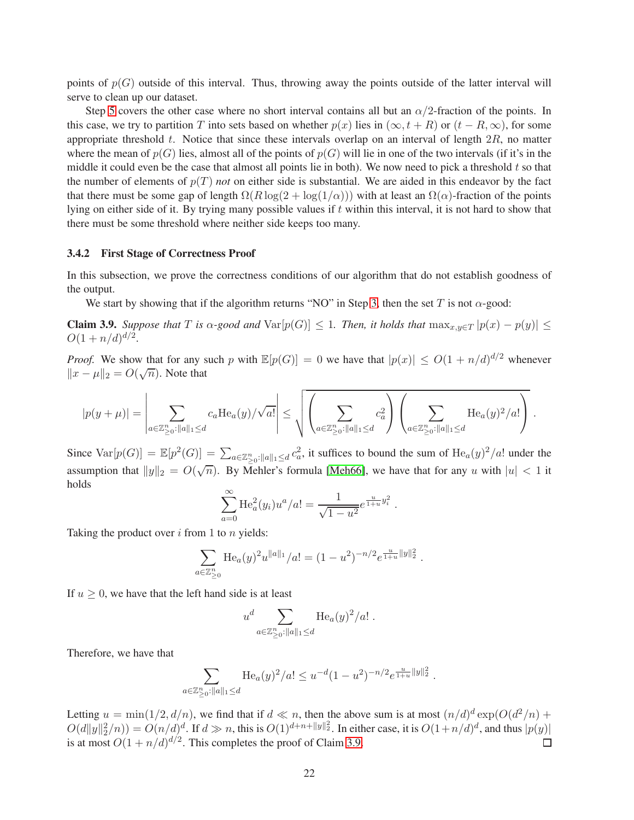points of  $p(G)$  outside of this interval. Thus, throwing away the points outside of the latter interval will serve to clean up our dataset.

Step [5](#page-21-2) covers the other case where no short interval contains all but an  $\alpha/2$ -fraction of the points. In this case, we try to partition T into sets based on whether  $p(x)$  lies in  $(\infty, t + R)$  or  $(t - R, \infty)$ , for some appropriate threshold t. Notice that since these intervals overlap on an interval of length  $2R$ , no matter where the mean of  $p(G)$  lies, almost all of the points of  $p(G)$  will lie in one of the two intervals (if it's in the middle it could even be the case that almost all points lie in both). We now need to pick a threshold  $t$  so that the number of elements of  $p(T)$  *not* on either side is substantial. We are aided in this endeavor by the fact that there must be some gap of length  $\Omega(R \log(2 + \log(1/\alpha)))$  with at least an  $\Omega(\alpha)$ -fraction of the points lying on either side of it. By trying many possible values if  $t$  within this interval, it is not hard to show that there must be some threshold where neither side keeps too many.

#### 3.4.2 First Stage of Correctness Proof

In this subsection, we prove the correctness conditions of our algorithm that do not establish goodness of the output.

We start by showing that if the algorithm returns "NO" in Step [3,](#page-21-1) then the set T is not  $\alpha$ -good:

<span id="page-22-0"></span>**Claim 3.9.** *Suppose that* T *is*  $\alpha$ -good and  $\text{Var}[p(G)] \leq 1$ . Then, it holds that  $\max_{x,y \in T} |p(x) - p(y)| \leq$  $O(1+n/d)^{d/2}$ .

*Proof.* We show that for any such p with  $\mathbb{E}[p(G)] = 0$  we have that  $|p(x)| \le O(1 + n/d)^{d/2}$  whenever  $||x - \mu||_2 = O(\sqrt{n}).$  Note that

$$
|p(y + \mu)| = \left| \sum_{a \in \mathbb{Z}_{\geq 0}^n : ||a||_1 \leq d} c_a \text{He}_a(y) / \sqrt{a!} \right| \leq \sqrt{\left( \sum_{a \in \mathbb{Z}_{\geq 0}^n : ||a||_1 \leq d} c_a^2 \right) \left( \sum_{a \in \mathbb{Z}_{\geq 0}^n : ||a||_1 \leq d} \text{He}_a(y)^2 / a! \right)}.
$$

Since  $\text{Var}[p(G)] = \mathbb{E}[p^2(G)] = \sum_{a \in \mathbb{Z}_{\geq 0}^n : ||a||_1 \leq d} c_a^2$ , it suffices to bound the sum of  $\text{He}_a(y)^2/a!$  under the assumption that  $||y||_2 = O(\sqrt{n})$ . By Mehler's formula [\[Meh66\]](#page-58-12), we have that for any u with  $|u| < 1$  it holds

$$
\sum_{a=0}^{\infty} \text{He}_a^2(y_i) u^a / a! = \frac{1}{\sqrt{1 - u^2}} e^{\frac{u}{1 + u} y_i^2}.
$$

Taking the product over  $i$  from 1 to  $n$  yields:

$$
\sum_{a \in \mathbb{Z}_{\geq 0}^n} \text{He}_a(y)^2 u^{\|a\|_1}/a! = (1 - u^2)^{-n/2} e^{\frac{u}{1 + u} \|y\|_2^2}.
$$

If  $u \geq 0$ , we have that the left hand side is at least

$$
u^d \sum_{a \in \mathbb{Z}_{\geq 0}^n: ||a||_1 \leq d} \text{He}_a(y)^2/a! .
$$

Therefore, we have that

$$
\sum_{a \in \mathbb{Z}_{\geq 0}^n: ||a||_1 \leq d} \text{He}_a(y)^2/a! \leq u^{-d} (1 - u^2)^{-n/2} e^{\frac{u}{1 + u} ||y||_2^2}.
$$

Letting  $u = \min(1/2, d/n)$ , we find that if  $d \ll n$ , then the above sum is at most  $(n/d)^d \exp(O(d^2/n) +$  $O(d||y||_2^2/n) = O(n/d)^d$ . If  $d \gg n$ , this is  $O(1)^{d+n+||y||_2^2}$ . In either case, it is  $O(1+n/d)^d$ , and thus  $|p(y)|$ is at most  $O(1 + n/d)^{d/2}$ . This completes the proof of Claim [3.9.](#page-22-0)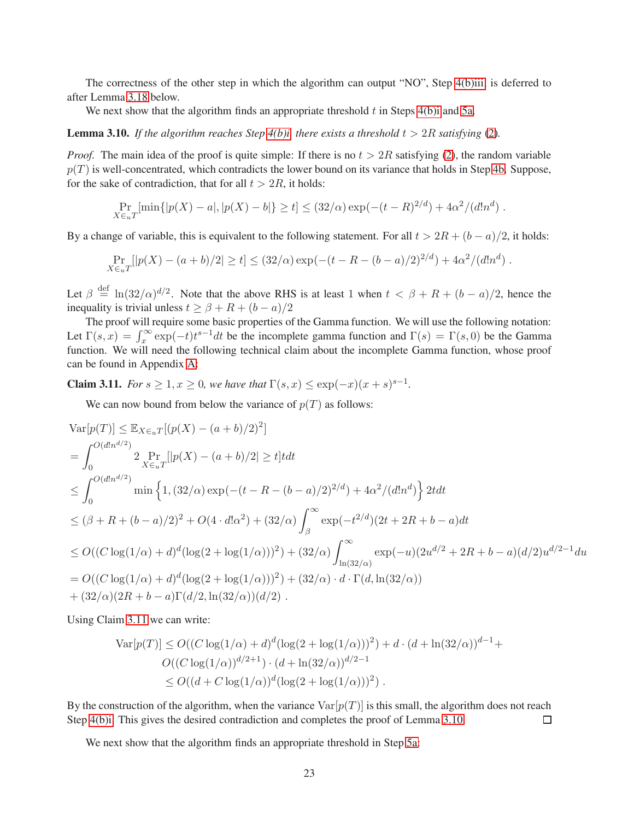The correctness of the other step in which the algorithm can output "NO", Step [4\(b\)iii,](#page-21-3) is deferred to after Lemma [3.18](#page-26-0) below.

We next show that the algorithm finds an appropriate threshold  $t$  in Steps [4\(b\)i](#page-21-4) and [5a.](#page-21-5)

<span id="page-23-1"></span>**Lemma 3.10.** If the algorithm reaches Step [4\(b\)i,](#page-21-4) there exists a threshold  $t > 2R$  satisfying [\(2\)](#page-21-6).

*Proof.* The main idea of the proof is quite simple: If there is no  $t > 2R$  satisfying [\(2\)](#page-21-6), the random variable  $p(T)$  is well-concentrated, which contradicts the lower bound on its variance that holds in Step [4b.](#page-21-7) Suppose, for the sake of contradiction, that for all  $t > 2R$ , it holds:

$$
\Pr_{X \in uT}[\min\{|p(X) - a|, |p(X) - b|\} \ge t] \le (32/\alpha) \exp(-(t - R)^{2/d}) + 4\alpha^2/(d!n^d).
$$

By a change of variable, this is equivalent to the following statement. For all  $t > 2R + (b - a)/2$ , it holds:

$$
\Pr_{X \in uT}[|p(X) - (a+b)/2| \ge t] \le (32/\alpha) \exp(-(t - R - (b-a)/2)^{2/d}) + 4\alpha^2/(d!n^d).
$$

Let  $\beta \stackrel{\text{def}}{=} \ln(32/\alpha)^{d/2}$ . Note that the above RHS is at least 1 when  $t < \beta + R + (b - a)/2$ , hence the inequality is trivial unless  $t \geq \beta + R + (b - a)/2$ 

The proof will require some basic properties of the Gamma function. We will use the following notation: Let  $\Gamma(s, x) = \int_x^{\infty} \exp(-t) t^{s-1} dt$  be the incomplete gamma function and  $\Gamma(s) = \Gamma(s, 0)$  be the Gamma function. We will need the following technical claim about the incomplete Gamma function, whose proof can be found in Appendix [A:](#page-59-1)

<span id="page-23-0"></span>**Claim 3.11.** *For*  $s \ge 1, x \ge 0$ *, we have that*  $\Gamma(s, x) \le \exp(-x)(x + s)^{s-1}$ *.* 

We can now bound from below the variance of  $p(T)$  as follows:

$$
\begin{split}\n\text{Var}[p(T)] &\leq \mathbb{E}_{X \in_u T}[(p(X) - (a+b)/2)^2] \\
&= \int_0^{O(d!n^{d/2})} 2 \Pr_{X \in_u T} [|p(X) - (a+b)/2| \geq t] t dt \\
&\leq \int_0^{O(d!n^{d/2})} \min\left\{ 1, (32/\alpha) \exp(-(t - R - (b - a)/2)^{2/d}) + 4\alpha^2/(d!n^d) \right\} 2t dt \\
&\leq (\beta + R + (b - a)/2)^2 + O(4 \cdot d! \alpha^2) + (32/\alpha) \int_\beta^\infty \exp(-t^{2/d}) (2t + 2R + b - a) dt \\
&\leq O((C \log(1/\alpha) + d)^d (\log(2 + \log(1/\alpha)))^2) + (32/\alpha) \int_{\ln(32/\alpha)}^\infty \exp(-u) (2u^{d/2} + 2R + b - a)(d/2) u^{d/2 - 1} du \\
&= O((C \log(1/\alpha) + d)^d (\log(2 + \log(1/\alpha)))^2) + (32/\alpha) \cdot d \cdot \Gamma(d, \ln(32/\alpha)) \\
&\quad + (32/\alpha)(2R + b - a) \Gamma(d/2, \ln(32/\alpha)) (d/2) \ .\n\end{split}
$$

Using Claim [3.11](#page-23-0) we can write:

$$
\operatorname{Var}[p(T)] \le O((C \log(1/\alpha) + d)^d (\log(2 + \log(1/\alpha)))^2) + d \cdot (d + \ln(32/\alpha))^{d-1} + O((C \log(1/\alpha))^{d/2+1}) \cdot (d + \ln(32/\alpha))^{d/2-1} \le O((d + C \log(1/\alpha))^{d} (\log(2 + \log(1/\alpha)))^2).
$$

By the construction of the algorithm, when the variance  $Var[p(T)]$  is this small, the algorithm does not reach Step [4\(b\)i.](#page-21-4) This gives the desired contradiction and completes the proof of Lemma [3.10.](#page-23-1)  $\Box$ 

We next show that the algorithm finds an appropriate threshold in Step [5a:](#page-21-5)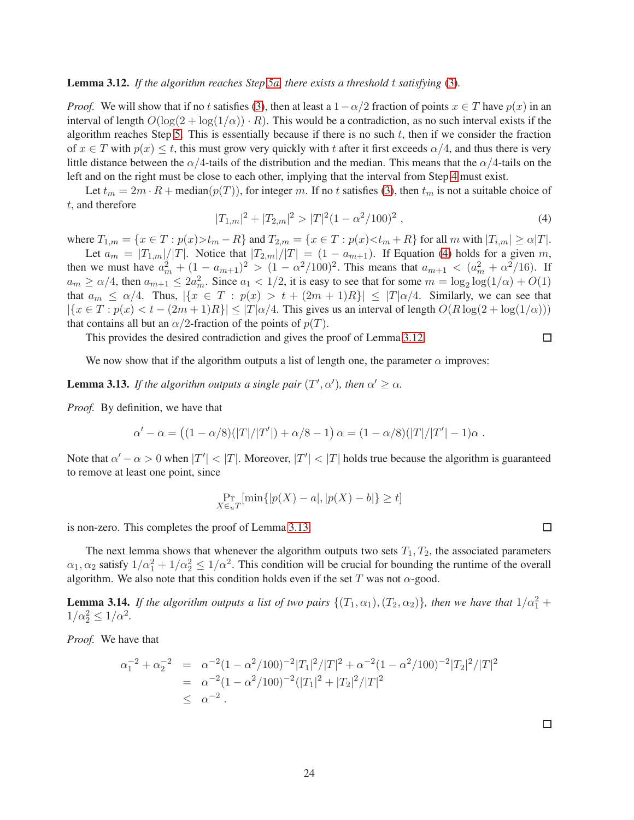#### <span id="page-24-1"></span>Lemma 3.12. *If the algorithm reaches Step [5a,](#page-21-5) there exists a threshold* t *satisfying* [\(3\)](#page-21-8)*.*

*Proof.* We will show that if no t satisfies [\(3\)](#page-21-8), then at least a  $1-\alpha/2$  fraction of points  $x \in T$  have  $p(x)$  in an interval of length  $O(\log(2 + \log(1/\alpha)) \cdot R)$ . This would be a contradiction, as no such interval exists if the algorithm reaches Step [5.](#page-21-2) This is essentially because if there is no such  $t$ , then if we consider the fraction of  $x \in T$  with  $p(x) \le t$ , this must grow very quickly with t after it first exceeds  $\alpha/4$ , and thus there is very little distance between the  $\alpha/4$ -tails of the distribution and the median. This means that the  $\alpha/4$ -tails on the left and on the right must be close to each other, implying that the interval from Step [4](#page-21-0) must exist.

Let  $t_m = 2m \cdot R + \text{median}(p(T))$ , for integer m. If no t satisfies [\(3\)](#page-21-8), then  $t_m$  is not a suitable choice of t, and therefore

<span id="page-24-0"></span>
$$
|T_{1,m}|^2 + |T_{2,m}|^2 > |T|^2 (1 - \alpha^2 / 100)^2 , \qquad (4)
$$

where  $T_{1,m} = \{x \in T : p(x) > t_m - R\}$  and  $T_{2,m} = \{x \in T : p(x) < t_m + R\}$  for all m with  $|T_{i,m}| \ge \alpha |T|$ .

Let  $a_m = |T_{1,m}|/|T|$ . Notice that  $|T_{2,m}|/|T| = (1 - a_{m+1})$ . If Equation [\(4\)](#page-24-0) holds for a given m, then we must have  $a_m^2 + (1 - a_{m+1})^2 > (1 - \alpha^2/100)^2$ . This means that  $a_{m+1} < (a_m^2 + \alpha^2/16)$ . If  $a_m \ge \alpha/4$ , then  $a_{m+1} \le 2a_m^2$ . Since  $a_1 < 1/2$ , it is easy to see that for some  $m = \log_2 \log(1/\alpha) + O(1)$ that  $a_m \le \alpha/4$ . Thus,  $|\{x \in T : p(x) > t + (2m + 1)R\}| \le |T|\alpha/4$ . Similarly, we can see that  $|\{x \in T : p(x) < t - (2m+1)R\}| \leq |T|\alpha/4$ . This gives us an interval of length  $O(R \log(2 + \log(1/\alpha)))$ that contains all but an  $\alpha/2$ -fraction of the points of  $p(T)$ .

This provides the desired contradiction and gives the proof of Lemma [3.12.](#page-24-1)

We now show that if the algorithm outputs a list of length one, the parameter  $\alpha$  improves:

<span id="page-24-2"></span>**Lemma 3.13.** *If the algorithm outputs a single pair*  $(T', \alpha')$ *, then*  $\alpha' \geq \alpha$ *.* 

*Proof.* By definition, we have that

$$
\alpha'-\alpha=\left((1-\alpha/8)(|T|/|T'|)+\alpha/8-1\right)\alpha=(1-\alpha/8)(|T|/|T'|-1)\alpha\;.
$$

Note that  $\alpha' - \alpha > 0$  when  $|T'| < |T|$ . Moreover,  $|T'| < |T|$  holds true because the algorithm is guaranteed to remove at least one point, since

$$
\Pr_{X \in uT}[\min\{|p(X) - a|, |p(X) - b|\} \ge t]
$$

is non-zero. This completes the proof of Lemma [3.13.](#page-24-2)

The next lemma shows that whenever the algorithm outputs two sets  $T_1, T_2$ , the associated parameters  $\alpha_1, \alpha_2$  satisfy  $1/\alpha_1^2 + 1/\alpha_2^2 \le 1/\alpha^2$ . This condition will be crucial for bounding the runtime of the overall algorithm. We also note that this condition holds even if the set T was not  $\alpha$ -good.

**Lemma 3.14.** *If the algorithm outputs a list of two pairs*  $\{(T_1, \alpha_1), (T_2, \alpha_2)\}\$ *, then we have that*  $1/\alpha_1^2 +$  $1/\alpha_2^2 \le 1/\alpha^2$ .

*Proof.* We have that

$$
\alpha_1^{-2} + \alpha_2^{-2} = \alpha^{-2} (1 - \alpha^2 / 100)^{-2} |T_1|^2 / |T|^2 + \alpha^{-2} (1 - \alpha^2 / 100)^{-2} |T_2|^2 / |T|^2
$$
  
=  $\alpha^{-2} (1 - \alpha^2 / 100)^{-2} (|T_1|^2 + |T_2|^2 / |T|^2$   
\$\leq \alpha^{-2}\$.

 $\Box$ 

 $\Box$ 

 $\Box$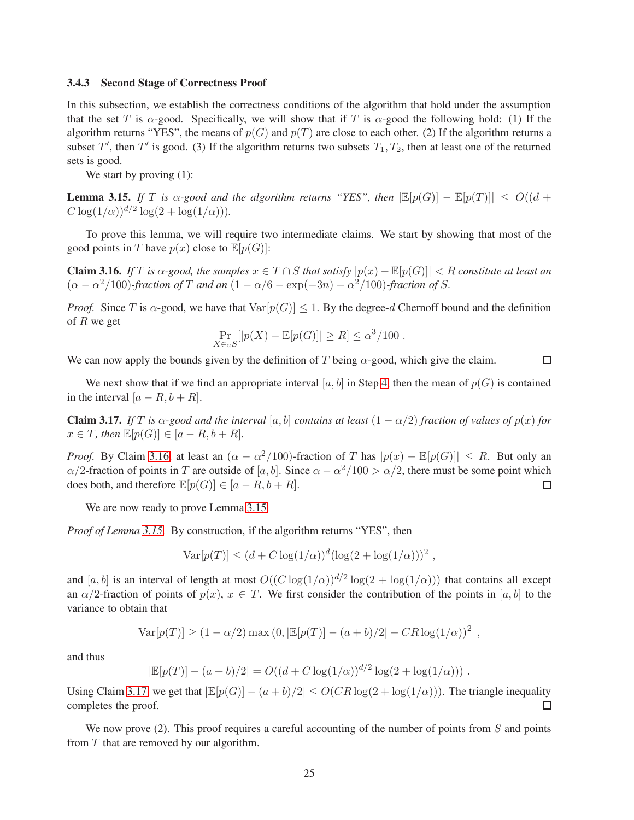#### 3.4.3 Second Stage of Correctness Proof

In this subsection, we establish the correctness conditions of the algorithm that hold under the assumption that the set T is  $\alpha$ -good. Specifically, we will show that if T is  $\alpha$ -good the following hold: (1) If the algorithm returns "YES", the means of  $p(G)$  and  $p(T)$  are close to each other. (2) If the algorithm returns a subset T', then T' is good. (3) If the algorithm returns two subsets  $T_1, T_2$ , then at least one of the returned sets is good.

We start by proving  $(1)$ :

<span id="page-25-1"></span>**Lemma 3.15.** *If* T is  $\alpha$ -good and the algorithm returns "YES", then  $\mathbb{E}[p(G)] - \mathbb{E}[p(T)] \le O((d +$  $C \log(1/\alpha)$ <sup> $d/2$ </sup>  $\log(2 + \log(1/\alpha))$ *)*.

To prove this lemma, we will require two intermediate claims. We start by showing that most of the good points in T have  $p(x)$  close to  $\mathbb{E}[p(G)]$ :

<span id="page-25-0"></span>**Claim 3.16.** *If* T *is*  $\alpha$ -good, the samples  $x \in T \cap S$  *that satisfy*  $|p(x) - \mathbb{E}[p(G)]| < R$  constitute at least an  $(\alpha - \alpha^2/100)$ *-fraction of* T *and an*  $(1 - \alpha/6 - \exp(-3n) - \alpha^2/100)$ *-fraction of* S.

*Proof.* Since T is  $\alpha$ -good, we have that  $Var[p(G)] \leq 1$ . By the degree-d Chernoff bound and the definition of  $R$  we get

$$
\Pr_{X \in uS} [|p(X) - \mathbb{E}[p(G)]| \ge R] \le \alpha^3/100.
$$

 $\Box$ 

We can now apply the bounds given by the definition of T being  $\alpha$ -good, which give the claim.

We next show that if we find an appropriate interval [a, b] in Step [4,](#page-21-0) then the mean of  $p(G)$  is contained in the interval  $[a - R, b + R]$ .

<span id="page-25-2"></span>**Claim 3.17.** *If* T is  $\alpha$ -good and the interval  $[a, b]$  contains at least  $(1 - \alpha/2)$  fraction of values of  $p(x)$  for  $x \in T$ , then  $\mathbb{E}[p(G)] \in [a-R, b+R]$ .

*Proof.* By Claim [3.16,](#page-25-0) at least an  $(\alpha - \alpha^2/100)$ -fraction of T has  $|p(x) - \mathbb{E}[p(G)]| \le R$ . But only an  $\alpha/2$ -fraction of points in T are outside of [a, b]. Since  $\alpha - \alpha^2/100 > \alpha/2$ , there must be some point which does both, and therefore  $\mathbb{E}[p(G)] \in [a - R, b + R]$ .  $\Box$ 

We are now ready to prove Lemma [3.15.](#page-25-1)

*Proof of Lemma [3.15.](#page-25-1)* By construction, if the algorithm returns "YES", then

$$
Var[p(T)] \le (d + C \log(1/\alpha))^d (\log(2 + \log(1/\alpha)))^2
$$
,

and  $[a, b]$  is an interval of length at most  $O((C \log(1/\alpha))^{d/2} \log(2 + \log(1/\alpha)))$  that contains all except an  $\alpha/2$ -fraction of points of  $p(x)$ ,  $x \in T$ . We first consider the contribution of the points in [a, b] to the variance to obtain that

Var
$$
[p(T)] \ge (1 - \alpha/2) \max(0, |\mathbb{E}[p(T)] - (a+b)/2| - CR \log(1/\alpha))^2
$$
,

and thus

$$
|\mathbb{E}[p(T)] - (a+b)/2| = O((d+C\log(1/\alpha))^{d/2}\log(2+\log(1/\alpha)))
$$
.

Using Claim [3.17,](#page-25-2) we get that  $|\mathbb{E}[p(G)] - (a+b)/2| \le O(CR \log(2 + \log(1/α)))$ . The triangle inequality completes the proof. □ completes the proof.

We now prove  $(2)$ . This proof requires a careful accounting of the number of points from S and points from T that are removed by our algorithm.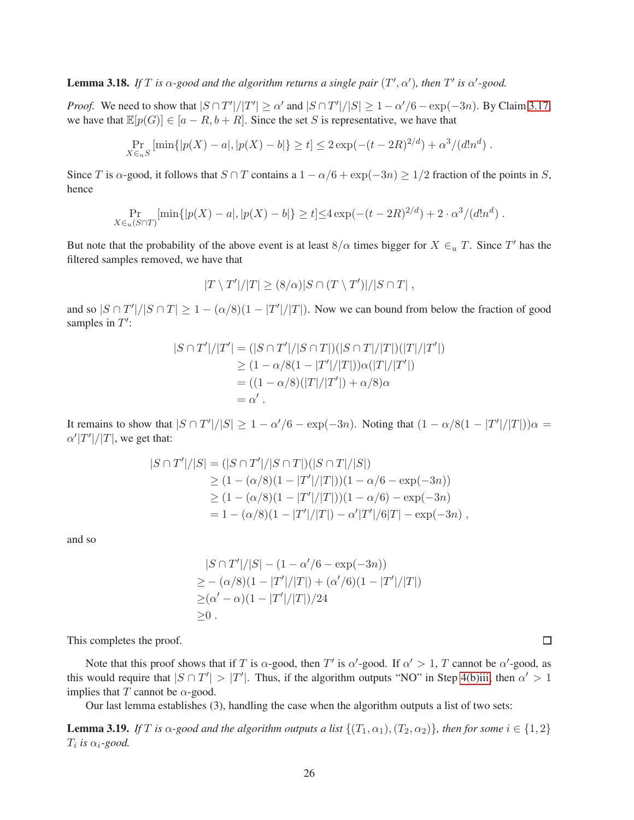<span id="page-26-0"></span>**Lemma 3.18.** *If* T *is*  $\alpha$ -good and the algorithm returns a single pair  $(T', \alpha')$ , then  $T'$  *is*  $\alpha'$ -good.

*Proof.* We need to show that  $|S \cap T'|/|T'| \ge \alpha'$  and  $|S \cap T'|/|S| \ge 1 - \alpha'/6 - \exp(-3n)$ . By Claim [3.17,](#page-25-2) we have that  $\mathbb{E}[p(G)] \in [a - R, b + R]$ . Since the set S is representative, we have that

$$
\Pr_{X \in uS} [\min\{|p(X) - a|, |p(X) - b|\} \ge t] \le 2 \exp(-(t - 2R)^{2/d}) + \alpha^3/(d!n^d) .
$$

Since T is  $\alpha$ -good, it follows that  $S \cap T$  contains a  $1 - \alpha/6 + \exp(-3n) \ge 1/2$  fraction of the points in S, hence

$$
\Pr_{X \in u(S \cap T)}[\min\{|p(X) - a|, |p(X) - b|\} \ge t] \le 4 \exp(-(t - 2R)^{2/d}) + 2 \cdot \alpha^3/(d!n^d).
$$

But note that the probability of the above event is at least  $8/\alpha$  times bigger for  $X \in_u T$ . Since T' has the filtered samples removed, we have that

$$
|T \setminus T'|/|T| \geq (8/\alpha)|S \cap (T \setminus T')|/|S \cap T|,
$$

and so  $|S \cap T'|/|S \cap T| \geq 1 - (\alpha/8)(1 - |T'|/|T|)$ . Now we can bound from below the fraction of good samples in  $T'$ :

$$
|S \cap T'|/|T'| = (|S \cap T'|/|S \cap T|)(|S \cap T|/|T|)(|T|/|T'|)
$$
  
\n
$$
\geq (1 - \alpha/8(1 - |T'|/|T|))\alpha(|T|/|T'|)
$$
  
\n
$$
= ((1 - \alpha/8)(|T|/|T'|) + \alpha/8)\alpha
$$
  
\n
$$
= \alpha'.
$$

It remains to show that  $|S \cap T'|/|S| \geq 1 - \alpha'/6 - \exp(-3n)$ . Noting that  $(1 - \alpha/8(1 - |T'|/|T|))\alpha =$  $\alpha' |T'|/|T|$ , we get that:

$$
|S \cap T'|/|S| = (|S \cap T'|/|S \cap T|)(|S \cap T|/|S|)
$$
  
\n
$$
\geq (1 - (\alpha/8)(1 - |T'|/|T|))(1 - \alpha/6 - \exp(-3n))
$$
  
\n
$$
\geq (1 - (\alpha/8)(1 - |T'|/|T|))(1 - \alpha/6) - \exp(-3n)
$$
  
\n
$$
= 1 - (\alpha/8)(1 - |T'|/|T|) - \alpha'|T'|/6|T| - \exp(-3n),
$$

and so

$$
|S \cap T'|/|S| - (1 - \alpha'/6 - \exp(-3n))
$$
  
\n
$$
\geq -(\alpha/8)(1 - |T'|/|T|) + (\alpha'/6)(1 - |T'|/|T|)
$$
  
\n
$$
\geq (\alpha' - \alpha)(1 - |T'|/|T|)/24
$$
  
\n
$$
\geq 0.
$$

This completes the proof.

Note that this proof shows that if T is  $\alpha$ -good, then T' is  $\alpha'$ -good. If  $\alpha' > 1$ , T cannot be  $\alpha'$ -good, as this would require that  $|S \cap T'| > |T'|$ . Thus, if the algorithm outputs "NO" in Step [4\(b\)iii,](#page-21-3) then  $\alpha' > 1$ implies that T cannot be  $\alpha$ -good.

Our last lemma establishes (3), handling the case when the algorithm outputs a list of two sets:

**Lemma 3.19.** *If* T *is*  $\alpha$ -good and the algorithm outputs a list  $\{(T_1, \alpha_1), (T_2, \alpha_2)\}\$ , then for some  $i \in \{1, 2\}$  $T_i$  is  $\alpha_i$ -good.

 $\Box$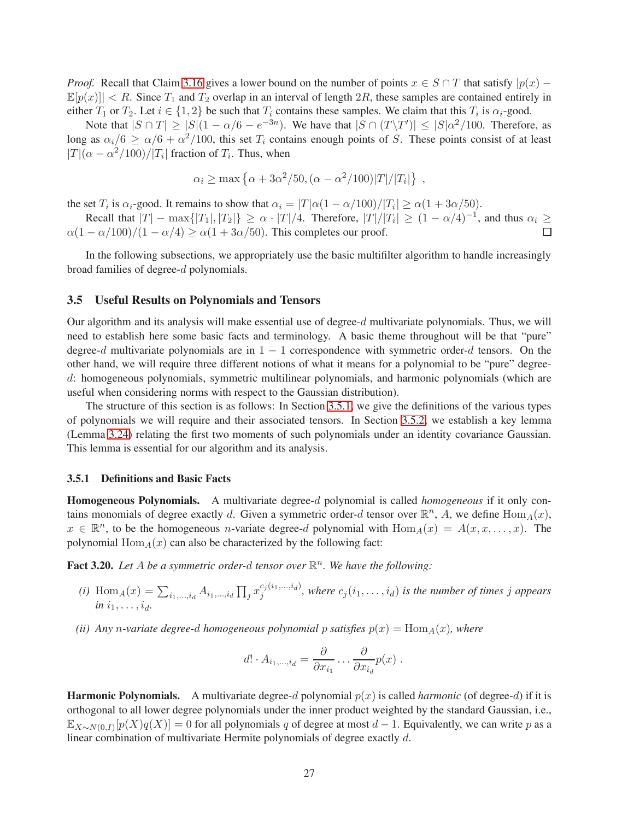*Proof.* Recall that Claim [3.16](#page-25-0) gives a lower bound on the number of points  $x \in S \cap T$  that satisfy  $|p(x) - p(x)|$  $\mathbb{E}[p(x)] < R$ . Since  $T_1$  and  $T_2$  overlap in an interval of length 2R, these samples are contained entirely in either  $T_1$  or  $T_2$ . Let  $i \in \{1,2\}$  be such that  $T_i$  contains these samples. We claim that this  $T_i$  is  $\alpha_i$ -good.

Note that  $|S \cap T| \ge |S|(1 - \alpha/6 - e^{-3n})$ . We have that  $|S \cap (T\Yeta)| \le |S|\alpha^2/100$ . Therefore, as long as  $\alpha_i/6 \ge \alpha/6 + \alpha^2/100$ , this set  $T_i$  contains enough points of S. These points consist of at least  $|T|(\alpha - \alpha^2/100)/|T_i|$  fraction of  $T_i$ . Thus, when

$$
\alpha_i \ge \max\left\{\alpha + 3\alpha^2/50, (\alpha - \alpha^2/100)|T|/|T_i|\right\} ,
$$

the set  $T_i$  is  $\alpha_i$ -good. It remains to show that  $\alpha_i = |T|\alpha(1 - \alpha/100)/|T_i| \ge \alpha(1 + 3\alpha/50)$ .

Recall that  $|T| - \max\{|T_1|, |T_2|\} \ge \alpha \cdot |T|/4$ . Therefore,  $|T|/|T_i| \ge (1 - \alpha/4)^{-1}$ , and thus  $\alpha_i \ge$  $\alpha(1 - \alpha/100)/(1 - \alpha/4) \ge \alpha(1 + 3\alpha/50)$ . This completes our proof.

In the following subsections, we appropriately use the basic multifilter algorithm to handle increasingly broad families of degree-d polynomials.

#### <span id="page-27-0"></span>3.5 Useful Results on Polynomials and Tensors

Our algorithm and its analysis will make essential use of degree-d multivariate polynomials. Thus, we will need to establish here some basic facts and terminology. A basic theme throughout will be that "pure" degree-d multivariate polynomials are in  $1 - 1$  correspondence with symmetric order-d tensors. On the other hand, we will require three different notions of what it means for a polynomial to be "pure" degreed: homogeneous polynomials, symmetric multilinear polynomials, and harmonic polynomials (which are useful when considering norms with respect to the Gaussian distribution).

The structure of this section is as follows: In Section [3.5.1,](#page-27-1) we give the definitions of the various types of polynomials we will require and their associated tensors. In Section [3.5.2,](#page-28-1) we establish a key lemma (Lemma [3.24\)](#page-28-0) relating the first two moments of such polynomials under an identity covariance Gaussian. This lemma is essential for our algorithm and its analysis.

## <span id="page-27-1"></span>3.5.1 Definitions and Basic Facts

Homogeneous Polynomials. A multivariate degree-d polynomial is called *homogeneous* if it only contains monomials of degree exactly d. Given a symmetric order-d tensor over  $\mathbb{R}^n$ , A, we define  $\text{Hom}_A(x)$ ,  $x \in \mathbb{R}^n$ , to be the homogeneous *n*-variate degree-d polynomial with  $\text{Hom}_A(x) = A(x, x, \dots, x)$ . The polynomial  $\text{Hom}_{A}(x)$  can also be characterized by the following fact:

**Fact 3.20.** Let A be a symmetric order-d tensor over  $\mathbb{R}^n$ . We have the following:

- (*i*)  $\text{Hom}_A(x) = \sum_{i_1, ..., i_d} A_{i_1, ..., i_d} \prod_j x_j^{c_j(i_1, ..., i_d)}$  $j_j^{c_j(i_1,\ldots,i_d)}$ , where  $c_j(i_1,\ldots,i_d)$  is the number of times j appears  $in i_1, \ldots, i_d$ .
- *(ii)* Any *n*-variate degree-d homogeneous polynomial p satisfies  $p(x) = \text{Hom}_{A}(x)$ *, where*

$$
d! \cdot A_{i_1,\dots,i_d} = \frac{\partial}{\partial x_{i_1}} \dots \frac{\partial}{\partial x_{i_d}} p(x) .
$$

**Harmonic Polynomials.** A multivariate degree-d polynomial  $p(x)$  is called *harmonic* (of degree-d) if it is orthogonal to all lower degree polynomials under the inner product weighted by the standard Gaussian, i.e.,  $\mathbb{E}_{X \sim N(0,I)}[p(X)q(X)] = 0$  for all polynomials q of degree at most  $d-1$ . Equivalently, we can write p as a linear combination of multivariate Hermite polynomials of degree exactly d.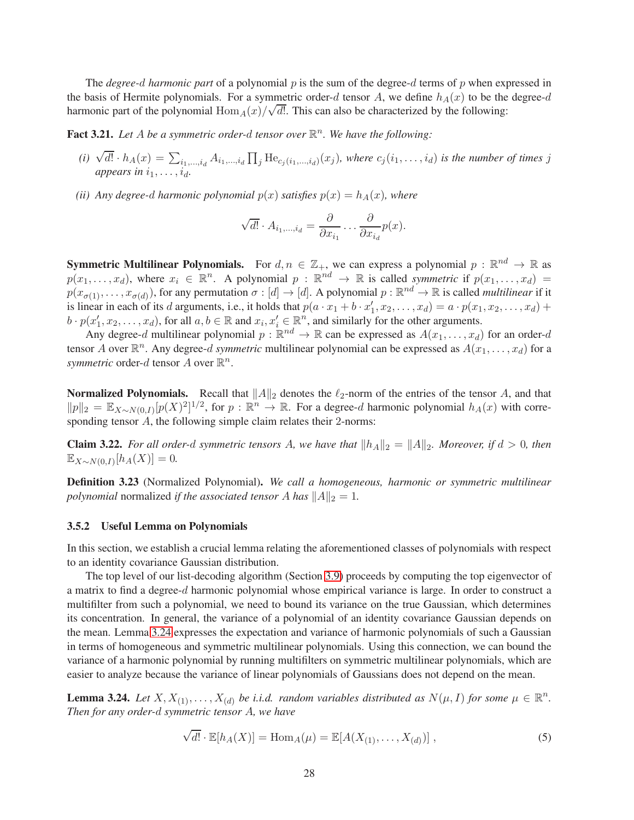The *degree-*d *harmonic part* of a polynomial p is the sum of the degree-d terms of p when expressed in the basis of Hermite polynomials. For a symmetric order-d tensor A, we define  $h_A(x)$  to be the degree-d harmonic part of the polynomial  $\text{Hom}_{A}(x)/\sqrt{d!}$ . This can also be characterized by the following:

<span id="page-28-3"></span>**Fact 3.21.** Let A be a symmetric order-d tensor over  $\mathbb{R}^n$ . We have the following:

- $(i)$   $\sqrt{d!} \cdot h_A(x) = \sum_{i_1,\dots,i_d} A_{i_1,\dots,i_d} \prod_j \text{He}_{c_j(i_1,\dots,i_d)}(x_j)$ , where  $c_j(i_1,\dots,i_d)$  is the number of times j *appears in*  $i_1, \ldots, i_d$ .
- *(ii)* Any degree-d harmonic polynomial  $p(x)$  satisfies  $p(x) = h<sub>A</sub>(x)$ , where

$$
\sqrt{d!} \cdot A_{i_1,\dots,i_d} = \frac{\partial}{\partial x_{i_1}} \dots \frac{\partial}{\partial x_{i_d}} p(x).
$$

**Symmetric Multilinear Polynomials.** For  $d, n \in \mathbb{Z}_+$ , we can express a polynomial  $p : \mathbb{R}^{nd} \to \mathbb{R}$  as  $p(x_1, \ldots, x_d)$ , where  $x_i \in \mathbb{R}^n$ . A polynomial  $p : \mathbb{R}^{nd} \to \mathbb{R}$  is called *symmetric* if  $p(x_1, \ldots, x_d) =$  $p(x_{\sigma(1)},...,x_{\sigma(d)})$ , for any permutation  $\sigma : [d] \to [d]$ . A polynomial  $p : \mathbb{R}^{nd} \to \mathbb{R}$  is called *multilinear* if it is linear in each of its d arguments, i.e., it holds that  $p(a \cdot x_1 + b \cdot x_1', x_2, \dots, x_d) = a \cdot p(x_1, x_2, \dots, x_d) +$  $b \cdot p(x_1', x_2, \dots, x_d)$ , for all  $a, b \in \mathbb{R}$  and  $x_i, x_i' \in \mathbb{R}^n$ , and similarly for the other arguments.

Any degree-d multilinear polynomial  $p : \mathbb{R}^{nd} \to \mathbb{R}$  can be expressed as  $A(x_1, \ldots, x_d)$  for an order-d tensor A over  $\mathbb{R}^n$ . Any degree-d *symmetric* multilinear polynomial can be expressed as  $A(x_1, \ldots, x_d)$  for a *symmetric* order-*d* tensor *A* over  $\mathbb{R}^n$ .

Normalized Polynomials. Recall that  $||A||_2$  denotes the  $\ell_2$ -norm of the entries of the tensor A, and that  $||p||_2 = \mathbb{E}_{X \sim N(0,I)}[p(X)^2]^{1/2}$ , for  $p : \mathbb{R}^n \to \mathbb{R}$ . For a degree-d harmonic polynomial  $h_A(x)$  with corresponding tensor A, the following simple claim relates their 2-norms:

**Claim 3.22.** For all order-d symmetric tensors A, we have that  $||h_A||_2 = ||A||_2$ . Moreover, if  $d > 0$ , then  $\mathbb{E}_{X \sim N(0,I)}[h_A(X)] = 0.$ 

Definition 3.23 (Normalized Polynomial). *We call a homogeneous, harmonic or symmetric multilinear polynomial* normalized *if the associated tensor* A has  $||A||_2 = 1$ .

## <span id="page-28-1"></span>3.5.2 Useful Lemma on Polynomials

In this section, we establish a crucial lemma relating the aforementioned classes of polynomials with respect to an identity covariance Gaussian distribution.

The top level of our list-decoding algorithm (Section [3.9\)](#page-38-0) proceeds by computing the top eigenvector of a matrix to find a degree-d harmonic polynomial whose empirical variance is large. In order to construct a multifilter from such a polynomial, we need to bound its variance on the true Gaussian, which determines its concentration. In general, the variance of a polynomial of an identity covariance Gaussian depends on the mean. Lemma [3.24](#page-28-0) expresses the expectation and variance of harmonic polynomials of such a Gaussian in terms of homogeneous and symmetric multilinear polynomials. Using this connection, we can bound the variance of a harmonic polynomial by running multifilters on symmetric multilinear polynomials, which are easier to analyze because the variance of linear polynomials of Gaussians does not depend on the mean.

<span id="page-28-0"></span>**Lemma 3.24.** Let  $X, X_{(1)}, \ldots, X_{(d)}$  be i.i.d. random variables distributed as  $N(\mu, I)$  for some  $\mu \in \mathbb{R}^n$ . *Then for any order-*d *symmetric tensor* A*, we have*

<span id="page-28-2"></span>
$$
\sqrt{d!} \cdot \mathbb{E}[h_A(X)] = \text{Hom}_A(\mu) = \mathbb{E}[A(X_{(1)}, \dots, X_{(d)})],\tag{5}
$$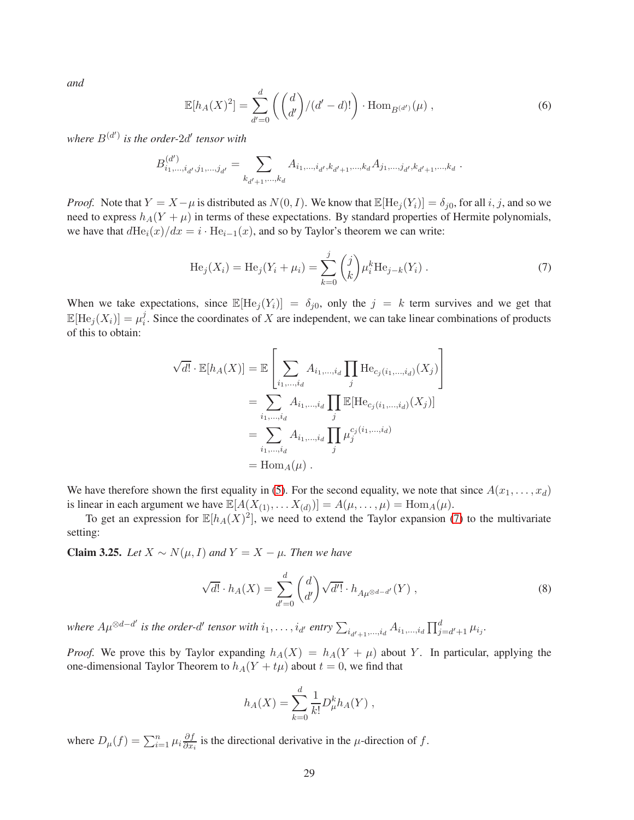*and*

$$
\mathbb{E}[h_A(X)^2] = \sum_{d'=0}^d \left( \binom{d}{d'} / (d'-d)! \right) \cdot \text{Hom}_{B(d')}(\mu) ,\tag{6}
$$

where  $B^{(d')}$  is the order-2d' tensor with

$$
B^{(d')}_{i_1,\ldots,i_{d'},j_1,\ldots,j_{d'}} = \sum_{k_{d'+1},\ldots,k_d} A_{i_1,\ldots,i_{d'},k_{d'+1},\ldots,k_d} A_{j_1,\ldots,j_{d'},k_{d'+1},\ldots,k_d}.
$$

*Proof.* Note that  $Y = X - \mu$  is distributed as  $N(0, I)$ . We know that  $\mathbb{E}[\text{He}_i(Y_i)] = \delta_{i0}$ , for all  $i, j$ , and so we need to express  $h_A(Y + \mu)$  in terms of these expectations. By standard properties of Hermite polynomials, we have that  $dHe_i(x)/dx = i \cdot He_{i-1}(x)$ , and so by Taylor's theorem we can write:

<span id="page-29-0"></span>
$$
\text{He}_j(X_i) = \text{He}_j(Y_i + \mu_i) = \sum_{k=0}^j \binom{j}{k} \mu_i^k \text{He}_{j-k}(Y_i) . \tag{7}
$$

When we take expectations, since  $\mathbb{E}[\text{He}_i(Y_i)] = \delta_{i0}$ , only the  $j = k$  term survives and we get that  $\mathbb{E}[\mathrm{He}_j(X_i)] = \mu_i^j$  $i<sub>i</sub>$ . Since the coordinates of X are independent, we can take linear combinations of products of this to obtain:

$$
\sqrt{d!} \cdot \mathbb{E}[h_A(X)] = \mathbb{E}\left[\sum_{i_1,\dots,i_d} A_{i_1,\dots,i_d} \prod_j \text{He}_{c_j(i_1,\dots,i_d)}(X_j)\right]
$$
  
= 
$$
\sum_{i_1,\dots,i_d} A_{i_1,\dots,i_d} \prod_j \mathbb{E}[\text{He}_{c_j(i_1,\dots,i_d)}(X_j)]
$$
  
= 
$$
\sum_{i_1,\dots,i_d} A_{i_1,\dots,i_d} \prod_j \mu_j^{c_j(i_1,\dots,i_d)}
$$
  
= 
$$
\text{Hom}_A(\mu) .
$$

We have therefore shown the first equality in [\(5\)](#page-28-2). For the second equality, we note that since  $A(x_1, \ldots, x_d)$ is linear in each argument we have  $\mathbb{E}[A(X_{(1)}, \dots, X_{(d)})] = A(\mu, \dots, \mu) = \text{Hom}_A(\mu)$ .

To get an expression for  $\mathbb{E}[h_A(X)^2]$ , we need to extend the Taylor expansion [\(7\)](#page-29-0) to the multivariate setting:

Claim 3.25. *Let* X ∼ N(µ, I) *and* Y = X − µ*. Then we have*

$$
\sqrt{d!} \cdot h_A(X) = \sum_{d'=0}^d \binom{d}{d'} \sqrt{d'!} \cdot h_{A\mu^{\otimes d-d'}}(Y) , \qquad (8)
$$

*where*  $A\mu^{\otimes d-d'}$  *is the order-d' tensor with*  $i_1,\ldots,i_{d'}$  *entry*  $\sum_{i_{d'+1},\ldots,i_d} A_{i_1,\ldots,i_d} \prod_{j=d'+1}^d \mu_{i_j}$ *.* 

*Proof.* We prove this by Taylor expanding  $h_A(X) = h_A(Y + \mu)$  about Y. In particular, applying the one-dimensional Taylor Theorem to  $h_A(Y + t\mu)$  about  $t = 0$ , we find that

$$
h_A(X) = \sum_{k=0}^d \frac{1}{k!} D_{\mu}^k h_A(Y) ,
$$

where  $D_{\mu}(f) = \sum_{i=1}^{n} \mu_i \frac{\partial f}{\partial x_i}$  $\frac{\partial f}{\partial x_i}$  is the directional derivative in the  $\mu$ -direction of f.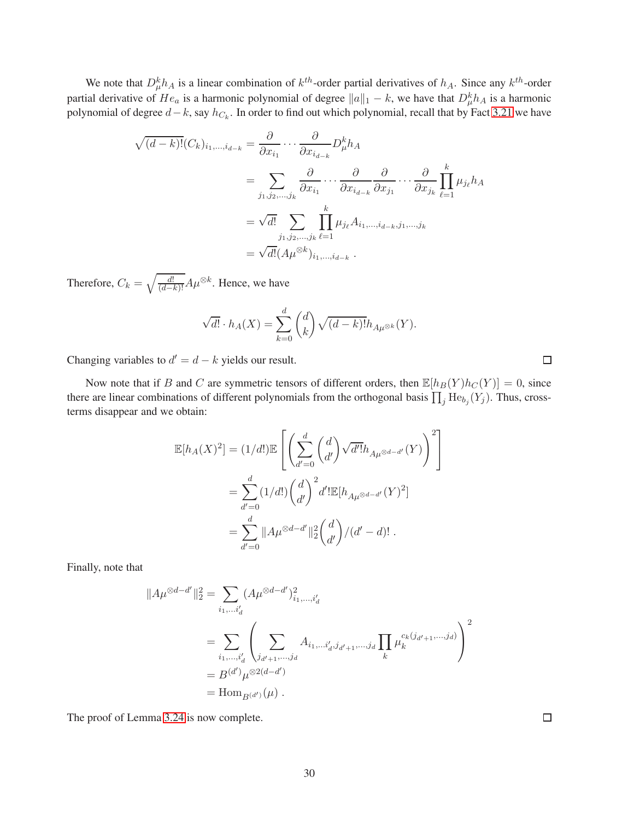We note that  $D_{\mu}^{k}h_{A}$  is a linear combination of  $k^{th}$ -order partial derivatives of  $h_{A}$ . Since any  $k^{th}$ -order partial derivative of  $He_a$  is a harmonic polynomial of degree  $||a||_1 - k$ , we have that  $D_{\mu}^{k}h_A$  is a harmonic polynomial of degree  $d-k$ , say  $h_{C_k}$ . In order to find out which polynomial, recall that by Fact [3.21](#page-28-3) we have

$$
\sqrt{(d-k)!(C_k)_{i_1,\dots,i_{d-k}}} = \frac{\partial}{\partial x_{i_1}} \cdots \frac{\partial}{\partial x_{i_{d-k}}} D^k_\mu h_A
$$
  
\n
$$
= \sum_{j_1,j_2,\dots,j_k} \frac{\partial}{\partial x_{i_1}} \cdots \frac{\partial}{\partial x_{i_{d-k}}} \frac{\partial}{\partial x_{j_1}} \cdots \frac{\partial}{\partial x_{j_k}} \prod_{\ell=1}^k \mu_{j_\ell} h_A
$$
  
\n
$$
= \sqrt{d!} \sum_{j_1,j_2,\dots,j_k} \prod_{\ell=1}^k \mu_{j_\ell} A_{i_1,\dots,i_{d-k},j_1,\dots,j_k}
$$
  
\n
$$
= \sqrt{d!} (A\mu^{\otimes k})_{i_1,\dots,i_{d-k}}.
$$

Therefore,  $C_k = \sqrt{\frac{d!}{(d-k)!}} A \mu^{\otimes k}$ . Hence, we have

$$
\sqrt{d!} \cdot h_A(X) = \sum_{k=0}^d \binom{d}{k} \sqrt{(d-k)!} h_{A\mu^{\otimes k}}(Y).
$$

Changing variables to  $d' = d - k$  yields our result.

Now note that if B and C are symmetric tensors of different orders, then  $\mathbb{E}[h_B(Y)h_C(Y)] = 0$ , since there are linear combinations of different polynomials from the orthogonal basis  $\prod_j \text{He}_{b_j}(Y_j)$ . Thus, crossterms disappear and we obtain:

$$
\mathbb{E}[h_A(X)^2] = (1/d!) \mathbb{E}\left[\left(\sum_{d'=0}^d \binom{d}{d'} \sqrt{d'}! h_{A\mu^{\otimes d-d'}}(Y)\right)^2\right]
$$
  
= 
$$
\sum_{d'=0}^d (1/d!) \binom{d}{d'}^2 d'! \mathbb{E}[h_{A\mu^{\otimes d-d'}}(Y)^2]
$$
  
= 
$$
\sum_{d'=0}^d ||A\mu^{\otimes d-d'}||_2^2 \binom{d}{d'}/(d'-d)! .
$$

Finally, note that

$$
||A\mu^{\otimes d-d'}||_2^2 = \sum_{i_1,\dots,i_d'} (A\mu^{\otimes d-d'})_{i_1,\dots,i_d'}^2
$$
  
= 
$$
\sum_{i_1,\dots,i_d'} \left( \sum_{j_{d'+1},\dots,j_d} A_{i_1,\dots,i_d',j_{d'+1},\dots,j_d} \prod_k \mu_k^{c_k(j_{d'+1},\dots,j_d)} \right)^2
$$
  
= 
$$
B^{(d')} \mu^{\otimes 2(d-d')}
$$
  
= 
$$
\text{Hom}_{B(d')}(\mu) .
$$

The proof of Lemma [3.24](#page-28-0) is now complete.

 $\Box$ 

 $\Box$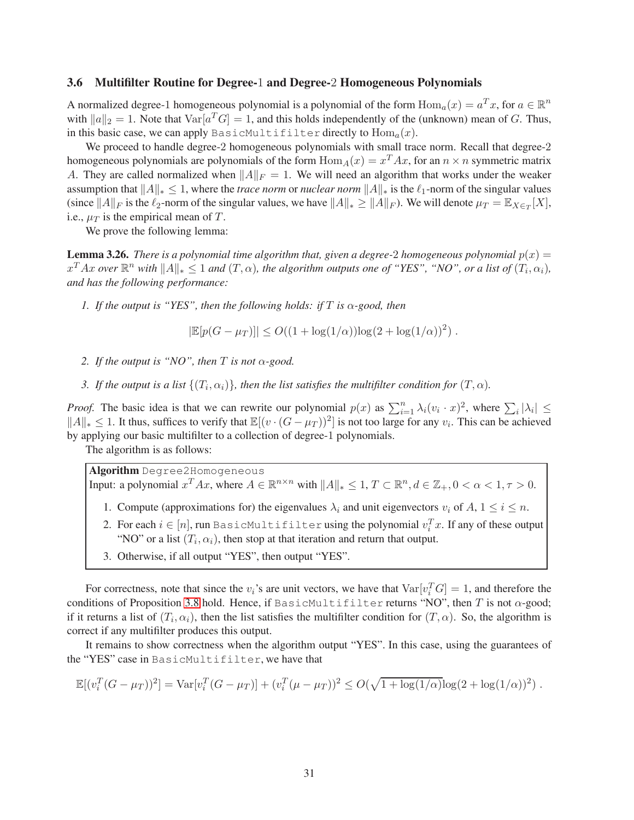## <span id="page-31-0"></span>3.6 Multifilter Routine for Degree-1 and Degree-2 Homogeneous Polynomials

A normalized degree-1 homogeneous polynomial is a polynomial of the form  $\text{Hom}_a(x) = a^T x$ , for  $a \in \mathbb{R}^n$ with  $||a||_2 = 1$ . Note that  $Var[a<sup>T</sup>G] = 1$ , and this holds independently of the (unknown) mean of G. Thus, in this basic case, we can apply BasicMultifilter directly to  $\text{Hom}_{a}(x)$ .

We proceed to handle degree-2 homogeneous polynomials with small trace norm. Recall that degree-2 homogeneous polynomials are polynomials of the form  $\text{Hom}_A(x) = x^T A x$ , for an  $n \times n$  symmetric matrix A. They are called normalized when  $||A||_F = 1$ . We will need an algorithm that works under the weaker assumption that  $||A||_* \leq 1$ , where the *trace norm* or *nuclear norm*  $||A||_*$  is the  $\ell_1$ -norm of the singular values (since  $||A||_F$  is the  $\ell_2$ -norm of the singular values, we have  $||A||_* \ge ||A||_F$ ). We will denote  $\mu_T = \mathbb{E}_{X \in_T}[X]$ , i.e.,  $\mu_T$  is the empirical mean of T.

We prove the following lemma:

**Lemma 3.26.** *There is a polynomial time algorithm that, given a degree-2 homogeneous polynomial*  $p(x)$  =  $x^T A x$  *over*  $\mathbb{R}^n$  *with*  $||A||_* \leq 1$  *and*  $(T, \alpha)$ *, the algorithm outputs one of "YES", "NO", or a list of*  $(T_i, \alpha_i)$ *, and has the following performance:*

*1. If the output is "YES", then the following holds: if* T *is* α*-good, then*

$$
|\mathbb{E}[p(G - \mu_T)]| \le O((1 + \log(1/\alpha))\log(2 + \log(1/\alpha))^2).
$$

- *2. If the output is "NO", then*  $T$  *is not*  $\alpha$ *-good.*
- *3. If the output is a list*  $\{(T_i, \alpha_i)\}$ , then the list satisfies the multifilter condition for  $(T, \alpha)$ .

*Proof.* The basic idea is that we can rewrite our polynomial  $p(x)$  as  $\sum_{i=1}^{n} \lambda_i (v_i \cdot x)^2$ , where  $\sum_i |\lambda_i| \le$  $||A||_* \le 1$ . It thus, suffices to verify that  $\mathbb{E}[(v \cdot (G - \mu_T))^2]$  is not too large for any  $v_i$ . This can be achieved by applying our basic multifilter to a collection of degree-1 polynomials.

The algorithm is as follows:

Algorithm Degree2Homogeneous Input: a polynomial  $x^T A x$ , where  $A \in \mathbb{R}^{n \times n}$  with  $||A||_* \leq 1$ ,  $T \subset \mathbb{R}^n$ ,  $d \in \mathbb{Z}_+$ ,  $0 < \alpha < 1$ ,  $\tau > 0$ .

- 1. Compute (approximations for) the eigenvalues  $\lambda_i$  and unit eigenvectors  $v_i$  of  $A$ ,  $1 \le i \le n$ .
- 2. For each  $i \in [n]$ , run BasicMultifilter using the polynomial  $v_i^T x$ . If any of these output "NO" or a list  $(T_i, \alpha_i)$ , then stop at that iteration and return that output.
- 3. Otherwise, if all output "YES", then output "YES".

For correctness, note that since the  $v_i$ 's are unit vectors, we have that  $Var[v_i^T G] = 1$ , and therefore the conditions of Proposition [3.8](#page-20-0) hold. Hence, if BasicMultifilter returns "NO", then T is not  $\alpha$ -good; if it returns a list of  $(T_i, \alpha_i)$ , then the list satisfies the multifilter condition for  $(T, \alpha)$ . So, the algorithm is correct if any multifilter produces this output.

It remains to show correctness when the algorithm output "YES". In this case, using the guarantees of the "YES" case in BasicMultifilter, we have that

$$
\mathbb{E}[(v_i^T(G-\mu_T))^2] = \text{Var}[v_i^T(G-\mu_T)] + (v_i^T(\mu-\mu_T))^2 \leq O(\sqrt{1+\log(1/\alpha)}\log(2+\log(1/\alpha))^2).
$$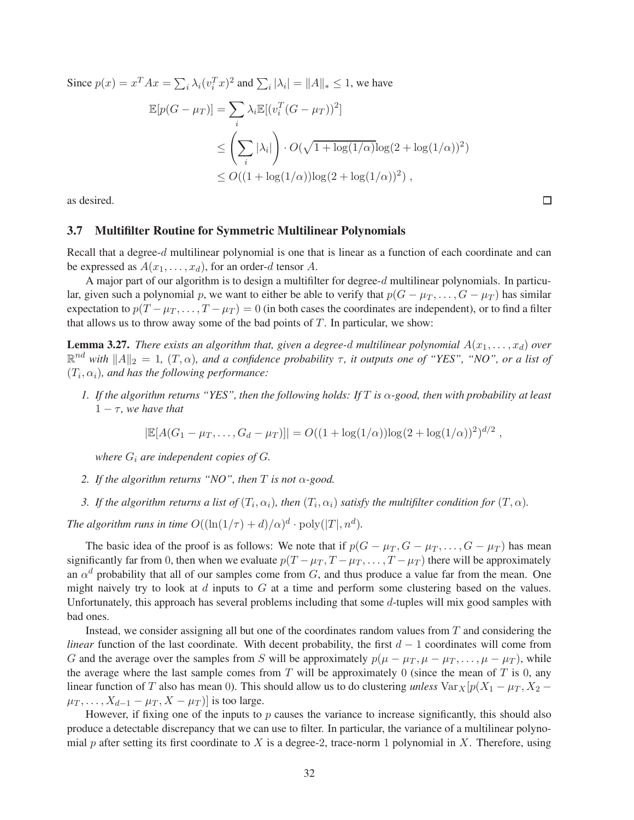Since  $p(x) = x^T A x = \sum_i \lambda_i (v_i^T x)^2$  and  $\sum_i |\lambda_i| = ||A||_* \le 1$ , we have

$$
\mathbb{E}[p(G - \mu_T)] = \sum_{i} \lambda_i \mathbb{E}[(v_i^T (G - \mu_T))^2]
$$
  
\n
$$
\leq \left(\sum_{i} |\lambda_i|\right) \cdot O(\sqrt{1 + \log(1/\alpha)} \log(2 + \log(1/\alpha))^2)
$$
  
\n
$$
\leq O((1 + \log(1/\alpha)) \log(2 + \log(1/\alpha))^2),
$$

<span id="page-32-1"></span>as desired.

## 3.7 Multifilter Routine for Symmetric Multilinear Polynomials

Recall that a degree-d multilinear polynomial is one that is linear as a function of each coordinate and can be expressed as  $A(x_1, \ldots, x_d)$ , for an order-d tensor A.

A major part of our algorithm is to design a multifilter for degree-d multilinear polynomials. In particular, given such a polynomial p, we want to either be able to verify that  $p(G - \mu_T, \dots, G - \mu_T)$  has similar expectation to  $p(T - \mu_T, \dots, T - \mu_T) = 0$  (in both cases the coordinates are independent), or to find a filter that allows us to throw away some of the bad points of  $T$ . In particular, we show:

<span id="page-32-0"></span>**Lemma 3.27.** *There exists an algorithm that, given a degree-d multilinear polynomial*  $A(x_1, \ldots, x_d)$  *over*  $\mathbb{R}^{nd}$  with  $||A||_2 = 1$ ,  $(T, \alpha)$ , and a confidence probability  $\tau$ , it outputs one of "YES", "NO", or a list of  $(T_i, \alpha_i)$ , and has the following performance:

*1. If the algorithm returns "YES", then the following holds: If* T *is* α*-good, then with probability at least*  $1 - \tau$ *, we have that* 

$$
|\mathbb{E}[A(G_1 - \mu_T, \dots, G_d - \mu_T)]| = O((1 + \log(1/\alpha))\log(2 + \log(1/\alpha))^2)^{d/2}
$$

*where*  $G_i$  *are independent copies of G.* 

- *2. If the algorithm returns "NO", then*  $T$  *is not*  $\alpha$ -good.
- 3. If the algorithm returns a list of  $(T_i, \alpha_i)$ , then  $(T_i, \alpha_i)$  satisfy the multifilter condition for  $(T, \alpha)$ .

*The algorithm runs in time*  $O((\ln(1/\tau) + d)/\alpha)^d \cdot \text{poly}(|T|, n^d)$ .

The basic idea of the proof is as follows: We note that if  $p(G - \mu_T, G - \mu_T, \ldots, G - \mu_T)$  has mean significantly far from 0, then when we evaluate  $p(T - \mu_T, T - \mu_T, \dots, T - \mu_T)$  there will be approximately an  $\alpha^d$  probability that all of our samples come from G, and thus produce a value far from the mean. One might naively try to look at  $d$  inputs to  $G$  at a time and perform some clustering based on the values. Unfortunately, this approach has several problems including that some d-tuples will mix good samples with bad ones.

Instead, we consider assigning all but one of the coordinates random values from  $T$  and considering the *linear* function of the last coordinate. With decent probability, the first d − 1 coordinates will come from G and the average over the samples from S will be approximately  $p(\mu - \mu_T, \mu - \mu_T, \dots, \mu - \mu_T)$ , while the average where the last sample comes from T will be approximately 0 (since the mean of T is 0, any linear function of T also has mean 0). This should allow us to do clustering *unless* Var<sub>X</sub> $[p(X_1 - \mu_T, X_2 \mu_T, \ldots, X_{d-1} - \mu_T, X - \mu_T$ ) is too large.

However, if fixing one of the inputs to  $p$  causes the variance to increase significantly, this should also produce a detectable discrepancy that we can use to filter. In particular, the variance of a multilinear polynomial p after setting its first coordinate to X is a degree-2, trace-norm 1 polynomial in X. Therefore, using

 $\Box$ 

,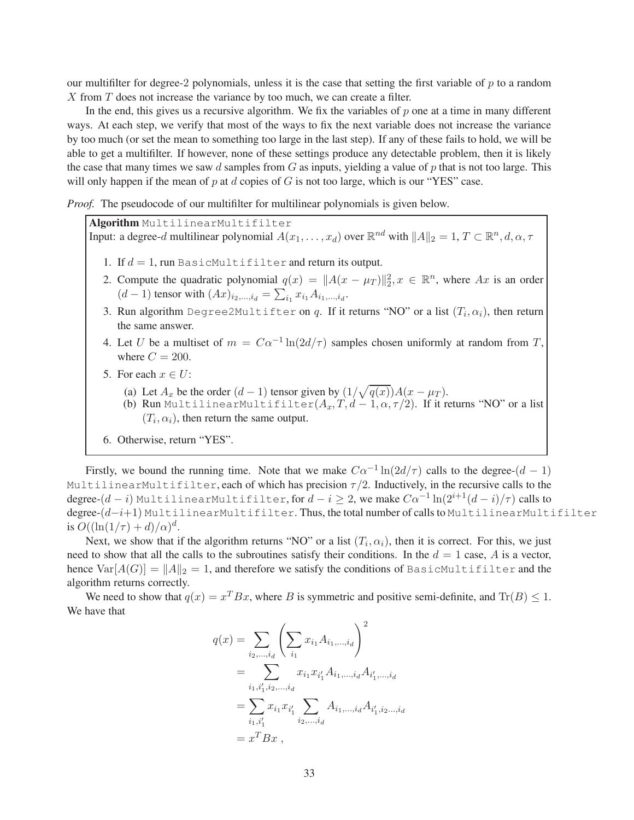our multifilter for degree-2 polynomials, unless it is the case that setting the first variable of  $p$  to a random  $X$  from  $T$  does not increase the variance by too much, we can create a filter.

In the end, this gives us a recursive algorithm. We fix the variables of  $p$  one at a time in many different ways. At each step, we verify that most of the ways to fix the next variable does not increase the variance by too much (or set the mean to something too large in the last step). If any of these fails to hold, we will be able to get a multifilter. If however, none of these settings produce any detectable problem, then it is likely the case that many times we saw d samples from  $G$  as inputs, yielding a value of  $p$  that is not too large. This will only happen if the mean of  $p$  at  $d$  copies of  $G$  is not too large, which is our "YES" case.

*Proof.* The pseudocode of our multifilter for multilinear polynomials is given below.

Algorithm MultilinearMultifilter Input: a degree-d multilinear polynomial  $A(x_1, \ldots, x_d)$  over  $\mathbb{R}^{nd}$  with  $||A||_2 = 1$ ,  $T \subset \mathbb{R}^n$ ,  $d, \alpha, \tau$ 

- 1. If  $d = 1$ , run BasicMultifilter and return its output.
- 2. Compute the quadratic polynomial  $q(x) = ||A(x \mu_T)||_2^2$ ,  $x \in \mathbb{R}^n$ , where Ax is an order  $(d-1)$  tensor with  $(Ax)_{i_2,...,i_d} = \sum_{i_1} x_{i_1} A_{i_1,...,i_d}$ .
- 3. Run algorithm <code>Degree2Multifter</code> on  $q.$  If it returns "NO" or a list  $(T_i,\alpha_i),$  then return the same answer.
- 4. Let U be a multiset of  $m = C\alpha^{-1} \ln(2d/\tau)$  samples chosen uniformly at random from T, where  $C = 200$ .
- 5. For each  $x \in U$ :
	- (a) Let  $A_x$  be the order  $(d-1)$  tensor given by  $(1/\sqrt{q(x)})A(x-\mu_T)$ .
	- (b) Run MultilinearMultifilter $(A_x, T, d 1, \alpha, \tau/2)$ . If it returns "NO" or a list  $(T_i, \alpha_i)$ , then return the same output.
- 6. Otherwise, return "YES".

Firstly, we bound the running time. Note that we make  $C\alpha^{-1}\ln(2d/\tau)$  calls to the degree- $(d-1)$ MultilinearMultifilter, each of which has precision  $\tau/2$ . Inductively, in the recursive calls to the degree- $(d-i)$  MultilinearMultifilter, for  $d-i\geq 2$ , we make  $C\alpha^{-1}\ln(2^{i+1}(d-i)/\tau)$  calls to degree-(d−i+1) MultilinearMultifilter. Thus, the total number of calls to MultilinearMultifilter is  $O((\ln(1/\tau) + d)/\alpha)^d$ .

Next, we show that if the algorithm returns "NO" or a list  $(T_i, \alpha_i)$ , then it is correct. For this, we just need to show that all the calls to the subroutines satisfy their conditions. In the  $d = 1$  case, A is a vector, hence  $Var[A(G)] = ||A||_2 = 1$ , and therefore we satisfy the conditions of BasicMultifilter and the algorithm returns correctly.

We need to show that  $q(x) = x^T B x$ , where B is symmetric and positive semi-definite, and  $\text{Tr}(B) \leq 1$ . We have that

$$
q(x) = \sum_{i_2,\dots,i_d} \left( \sum_{i_1} x_{i_1} A_{i_1,\dots,i_d} \right)^2
$$
  
= 
$$
\sum_{i_1,i'_1,i_2,\dots,i_d} x_{i_1} x_{i'_1} A_{i_1,\dots,i_d} A_{i'_1,\dots,i_d}
$$
  
= 
$$
\sum_{i_1,i'_1} x_{i_1} \sum_{i_2,\dots,i_d} A_{i_1,\dots,i_d} A_{i'_1,i_2\dots,i_d}
$$
  
= 
$$
x^T B x
$$
,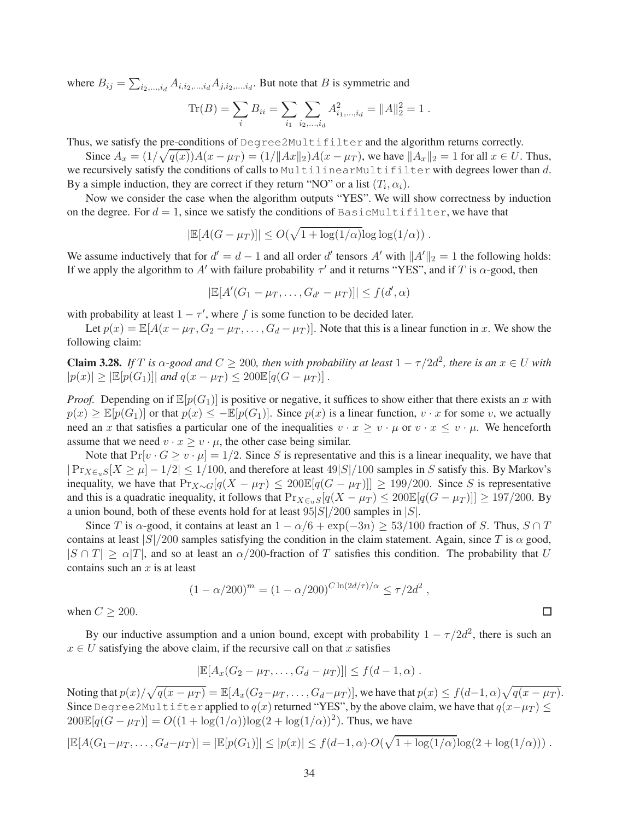where  $B_{ij} = \sum_{i_2,\dots,i_d} A_{i,i_2,\dots,i_d} A_{j,i_2,\dots,i_d}$ . But note that B is symmetric and

$$
\text{Tr}(B) = \sum_{i} B_{ii} = \sum_{i_1} \sum_{i_2, \dots, i_d} A_{i_1, \dots, i_d}^2 = ||A||_2^2 = 1.
$$

Thus, we satisfy the pre-conditions of Degree2Multifilter and the algorithm returns correctly.

Since  $A_x = (1/\sqrt{q(x)})A(x - \mu_T) = (1/\|Ax\|_2)A(x - \mu_T)$ , we have  $||A_x||_2 = 1$  for all  $x \in U$ . Thus, we recursively satisfy the conditions of calls to MultilinearMultifilter with degrees lower than d. By a simple induction, they are correct if they return "NO" or a list  $(T_i, \alpha_i)$ .

Now we consider the case when the algorithm outputs "YES". We will show correctness by induction on the degree. For  $d = 1$ , since we satisfy the conditions of BasicMultifilter, we have that

$$
|\mathbb{E}[A(G - \mu_T)]| \le O(\sqrt{1 + \log(1/\alpha)} \log \log(1/\alpha)).
$$

We assume inductively that for  $d' = d - 1$  and all order d' tensors A' with  $||A'||_2 = 1$  the following holds: If we apply the algorithm to A' with failure probability  $\tau'$  and it returns "YES", and if T is  $\alpha$ -good, then

$$
|\mathbb{E}[A'(G_1-\mu_T,\ldots,G_{d'}-\mu_T)]| \le f(d',\alpha)
$$

with probability at least  $1 - \tau'$ , where f is some function to be decided later.

Let  $p(x) = \mathbb{E}[A(x - \mu_T, G_2 - \mu_T, \dots, G_d - \mu_T)]$ . Note that this is a linear function in x. We show the following claim:

**Claim 3.28.** *If T is*  $\alpha$ -good and  $C \ge 200$ , then with probability at least  $1 - \tau/2d^2$ , there is an  $x \in U$  with  $|p(x)| \geq |\mathbb{E}[p(G_1)]|$  *and*  $q(x - \mu_T) \leq 200 \mathbb{E}[q(G - \mu_T)].$ 

*Proof.* Depending on if  $\mathbb{E}[p(G_1)]$  is positive or negative, it suffices to show either that there exists an x with  $p(x) \geq \mathbb{E}[p(G_1)]$  or that  $p(x) \leq -\mathbb{E}[p(G_1)]$ . Since  $p(x)$  is a linear function,  $v \cdot x$  for some v, we actually need an x that satisfies a particular one of the inequalities  $v \cdot x \ge v \cdot \mu$  or  $v \cdot x \le v \cdot \mu$ . We henceforth assume that we need  $v \cdot x \geq v \cdot \mu$ , the other case being similar.

Note that  $Pr[v \cdot G \ge v \cdot \mu] = 1/2$ . Since S is representative and this is a linear inequality, we have that  $|Pr_{X \in u}S[X \ge \mu] - 1/2| \le 1/100$ , and therefore at least  $49|S|/100$  samples in S satisfy this. By Markov's inequality, we have that  $Pr_{X\sim G}[q(X-\mu_T)] \leq 200\mathbb{E}[q(G-\mu_T)]] \geq 199/200$ . Since S is representative and this is a quadratic inequality, it follows that  $Pr_{X \in u}S[q(X - \mu_T) \le 200\mathbb{E}[q(G - \mu_T)]] \ge 197/200$ . By a union bound, both of these events hold for at least  $95|S|/200$  samples in  $|S|$ .

Since T is  $\alpha$ -good, it contains at least an  $1 - \alpha/6 + \exp(-3n) \geq 53/100$  fraction of S. Thus,  $S \cap T$ contains at least  $|S|/200$  samples satisfying the condition in the claim statement. Again, since T is  $\alpha$  good,  $|S \cap T| > \alpha |T|$ , and so at least an  $\alpha/200$ -fraction of T satisfies this condition. The probability that U contains such an  $x$  is at least

$$
(1 - \alpha/200)^m = (1 - \alpha/200)^{C \ln(2d/\tau)/\alpha} \le \tau/2d^2,
$$

 $\Box$ 

when  $C > 200$ .

By our inductive assumption and a union bound, except with probability  $1 - \tau/2d^2$ , there is such an  $x \in U$  satisfying the above claim, if the recursive call on that x satisfies

$$
|\mathbb{E}[A_x(G_2-\mu_T,\ldots,G_d-\mu_T)]| \leq f(d-1,\alpha) .
$$

Noting that  $p(x)/\sqrt{q(x-\mu_T)} = \mathbb{E}[A_x(G_2-\mu_T,\ldots,G_d-\mu_T)],$  we have that  $p(x) \le f(d-1,\alpha)\sqrt{q(x-\mu_T)}$ . Since Degree2Multifter applied to  $q(x)$  returned "YES", by the above claim, we have that  $q(x-\mu_T) \leq$  $200\mathbb{E}[q(G - \mu_T)] = O((1 + \log(1/\alpha))\log(2 + \log(1/\alpha))^2)$ . Thus, we have

$$
|\mathbb{E}[A(G_1 - \mu_T, \dots, G_d - \mu_T)| = |\mathbb{E}[p(G_1)]| \le |p(x)| \le f(d-1, \alpha) \cdot O(\sqrt{1 + \log(1/\alpha)} \log(2 + \log(1/\alpha)))
$$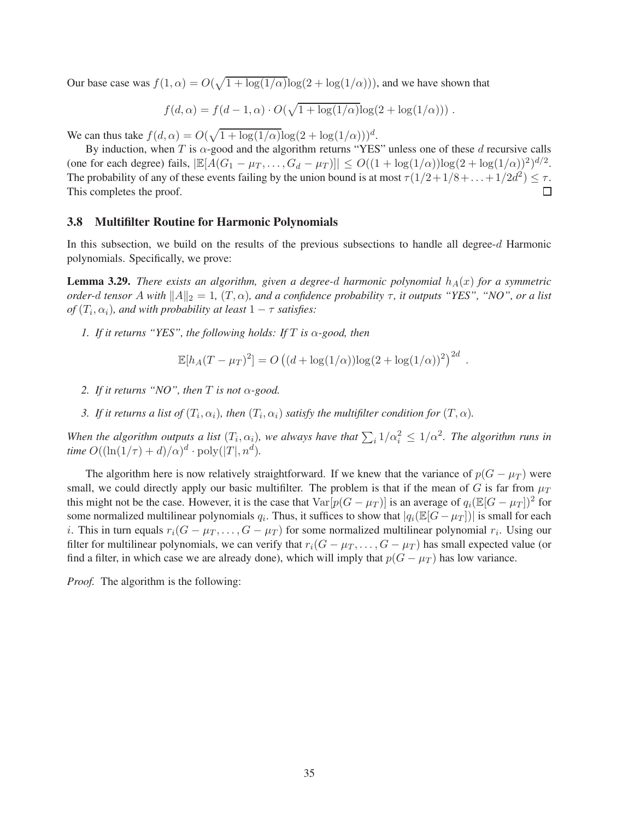Our base case was  $f(1, \alpha) = O(\sqrt{1 + \log(1/\alpha)}) \log(2 + \log(1/\alpha))$ , and we have shown that

$$
f(d,\alpha) = f(d-1,\alpha) \cdot O(\sqrt{1 + \log(1/\alpha)}\log(2 + \log(1/\alpha)))
$$
.

We can thus take  $f(d, \alpha) = O(\sqrt{1 + \log(1/\alpha)}\log(2 + \log(1/\alpha)))^d$ .

By induction, when T is  $\alpha$ -good and the algorithm returns "YES" unless one of these d recursive calls (one for each degree) fails,  $|\mathbb{E}[A(G_1 - \mu_T, ..., G_d - \mu_T)]| \le O((1 + \log(1/\alpha))\log(2 + \log(1/\alpha))^2)^{d/2}$ . The probability of any of these events failing by the union bound is at most  $\tau(1/2+1/8+\ldots+1/2d^2) \leq \tau$ . This completes the proof.

## <span id="page-35-0"></span>3.8 Multifilter Routine for Harmonic Polynomials

In this subsection, we build on the results of the previous subsections to handle all degree-d Harmonic polynomials. Specifically, we prove:

<span id="page-35-1"></span>**Lemma 3.29.** *There exists an algorithm, given a degree-d harmonic polynomial*  $h_A(x)$  *for a symmetric order-d tensor* A with  $||A||_2 = 1$ ,  $(T, \alpha)$ *, and a confidence probability*  $\tau$ *, it outputs "YES", "NO", or a list*  $of$   $(T_i, \alpha_i)$ *, and with probability at least*  $1 - \tau$  *satisfies:* 

*1. If it returns "YES", the following holds: If* T *is* α*-good, then*

$$
\mathbb{E}[h_A(T-\mu_T)^2] = O((d+\log(1/\alpha))\log(2+\log(1/\alpha))^2)^{2d}.
$$

- *2. If it returns "NO", then*  $T$  *is not*  $\alpha$ -good.
- *3. If it returns a list of*  $(T_i, \alpha_i)$ *, then*  $(T_i, \alpha_i)$  *satisfy the multifilter condition for*  $(T, \alpha)$ *.*

When the algorithm outputs a list  $(T_i, \alpha_i)$ , we always have that  $\sum_i 1/\alpha_i^2 \le 1/\alpha^2$ . The algorithm runs in *time*  $O((\ln(1/\tau) + d)/\alpha)^d \cdot \text{poly}(|T|, n^d)$ *.* 

The algorithm here is now relatively straightforward. If we knew that the variance of  $p(G - \mu_T)$  were small, we could directly apply our basic multifilter. The problem is that if the mean of G is far from  $\mu_T$ this might not be the case. However, it is the case that  $Var[p(G - \mu_T)]$  is an average of  $q_i(\mathbb{E}[G - \mu_T])^2$  for some normalized multilinear polynomials  $q_i$ . Thus, it suffices to show that  $|q_i(\mathbb{E}[G - \mu_T])|$  is small for each *i*. This in turn equals  $r_i(G - \mu_T, \dots, G - \mu_T)$  for some normalized multilinear polynomial  $r_i$ . Using our filter for multilinear polynomials, we can verify that  $r_i(G - \mu_T, \ldots, G - \mu_T)$  has small expected value (or find a filter, in which case we are already done), which will imply that  $p(G - \mu_T)$  has low variance.

*Proof.* The algorithm is the following: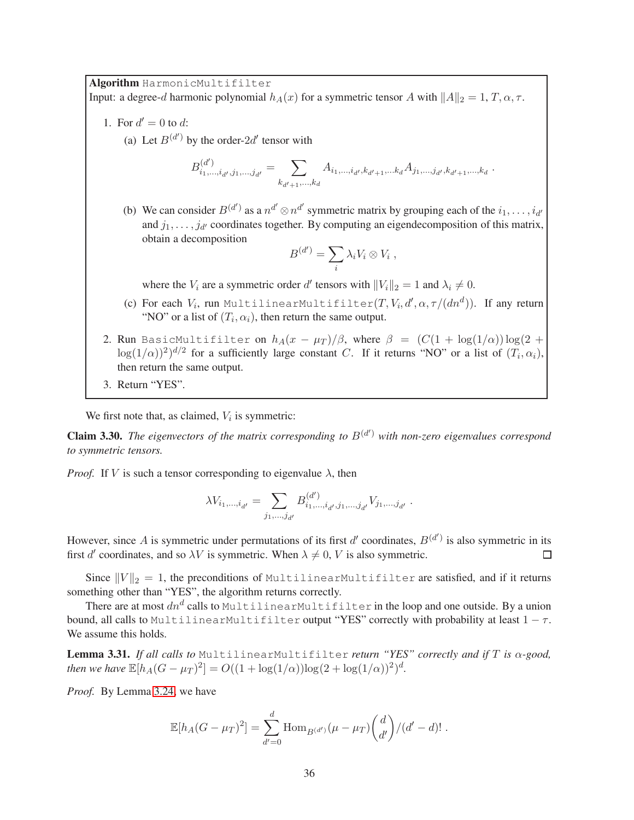Algorithm HarmonicMultifilter Input: a degree-d harmonic polynomial  $h_A(x)$  for a symmetric tensor A with  $||A||_2 = 1, T, \alpha, \tau$ .

1. For  $d' = 0$  to  $d$ :

(a) Let  $B^{(d')}$  by the order-2d' tensor with

$$
B_{i_1,\ldots,i_{d'},j_1,\ldots,j_{d'}}^{(d')} = \sum_{k_{d'+1},\ldots,k_d} A_{i_1,\ldots,i_{d'},k_{d'+1},\ldots,k_d} A_{j_1,\ldots,j_{d'},k_{d'+1},\ldots,k_d}.
$$

(b) We can consider  $B^{(d')}$  as a  $n^{d'} \otimes n^{d'}$  symmetric matrix by grouping each of the  $i_1, \ldots, i_{d'}$ and  $j_1, \ldots, j_{d'}$  coordinates together. By computing an eigendecomposition of this matrix, obtain a decomposition

$$
B^{(d')} = \sum_i \lambda_i V_i \otimes V_i
$$

,

where the  $V_i$  are a symmetric order d' tensors with  $||V_i||_2 = 1$  and  $\lambda_i \neq 0$ .

- (c) For each  $V_i$ , run MultilinearMultifilter $(T,V_i,d',\alpha,\tau/(dn^d)).$  If any return "NO" or a list of  $(T_i, \alpha_i)$ , then return the same output.
- 2. Run BasicMultifilter on  $h_A(x \mu_T)/\beta$ , where  $\beta = (C(1 + \log(1/\alpha))\log(2 +$  $\log(1/\alpha)^2$  or a sufficiently large constant C. If it returns "NO" or a list of  $(T_i, \alpha_i)$ , then return the same output.
- 3. Return "YES".

We first note that, as claimed,  $V_i$  is symmetric:

**Claim 3.30.** The eigenvectors of the matrix corresponding to  $B<sup>(d')</sup>$  with non-zero eigenvalues correspond *to symmetric tensors.*

*Proof.* If V is such a tensor corresponding to eigenvalue  $\lambda$ , then

$$
\lambda V_{i_1,...,i_{d'}} = \sum_{j_1,...,j_{d'}} B^{(d')}_{i_1,...,i_{d'},j_1,...,j_{d'}} V_{j_1,...,j_{d'}}.
$$

However, since A is symmetric under permutations of its first  $d'$  coordinates,  $B^{(d')}$  is also symmetric in its first d' coordinates, and so  $\lambda V$  is symmetric. When  $\lambda \neq 0$ , V is also symmetric. □

Since  $||V||_2 = 1$ , the preconditions of MultilinearMultifilter are satisfied, and if it returns something other than "YES", the algorithm returns correctly.

There are at most  $dn^d$  calls to <code>MultilinearMultifilter</code> in the loop and one outside. By a union bound, all calls to MultilinearMultifilter output "YES" correctly with probability at least  $1 - \tau$ . We assume this holds.

Lemma 3.31. *If all calls to* MultilinearMultifilter *return "YES" correctly and if* T *is* α*-good, then we have*  $\mathbb{E}[h_A(G - \mu_T)^2] = O((1 + \log(1/\alpha))\log(2 + \log(1/\alpha))^2)^d$ .

*Proof.* By Lemma [3.24,](#page-28-0) we have

$$
\mathbb{E}[h_A(G - \mu_T)^2] = \sum_{d'=0}^d \text{Hom}_{B^{(d')}}(\mu - \mu_T) \binom{d}{d'}/(d'-d)! .
$$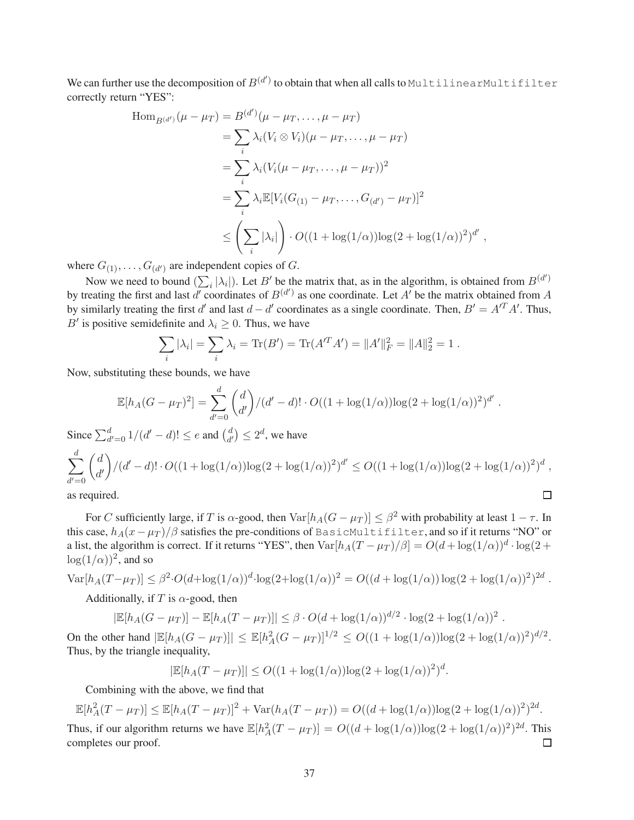We can further use the decomposition of  $B^{(d')}$  to obtain that when all calls to MultilinearMultifilter correctly return "YES":

$$
\text{Hom}_{B^{(d')}}(\mu - \mu_T) = B^{(d')}(\mu - \mu_T, \dots, \mu - \mu_T)
$$
\n
$$
= \sum_i \lambda_i (V_i \otimes V_i)(\mu - \mu_T, \dots, \mu - \mu_T)
$$
\n
$$
= \sum_i \lambda_i (V_i(\mu - \mu_T, \dots, \mu - \mu_T))^2
$$
\n
$$
= \sum_i \lambda_i \mathbb{E}[V_i(G_{(1)} - \mu_T, \dots, G_{(d')} - \mu_T)]^2
$$
\n
$$
\leq \left(\sum_i |\lambda_i|\right) \cdot O((1 + \log(1/\alpha))\log(2 + \log(1/\alpha))^2)^{d'},
$$

where  $G_{(1)}, \ldots, G_{(d')}$  are independent copies of G.

Now we need to bound  $(\sum_i |\lambda_i|)$ . Let B' be the matrix that, as in the algorithm, is obtained from  $B^{(d')}$ by treating the first and last  $d'$  coordinates of  $B^{(d')}$  as one coordinate. Let A' be the matrix obtained from A by similarly treating the first d' and last  $d - d'$  coordinates as a single coordinate. Then,  $B' = A'^T A'$ . Thus, B' is positive semidefinite and  $\lambda_i \geq 0$ . Thus, we have

$$
\sum_{i} |\lambda_{i}| = \sum_{i} \lambda_{i} = \text{Tr}(B') = \text{Tr}(A'^{T}A') = ||A'||_{F}^{2} = ||A||_{2}^{2} = 1.
$$

Now, substituting these bounds, we have

$$
\mathbb{E}[h_A(G-\mu_T)^2] = \sum_{d'=0}^d \binom{d}{d'} / (d'-d)! \cdot O((1+\log(1/\alpha))\log(2+\log(1/\alpha))^2)^{d'}.
$$

Since  $\sum_{d'=0}^{d} 1/(d'-d)! \le e$  and  $\binom{d}{d'}$  $\binom{d}{d'} \leq 2^d$ , we have

$$
\sum_{d'=0}^{d} \binom{d}{d'} / (d'-d)! \cdot O((1+\log(1/\alpha))\log(2+\log(1/\alpha))^2)^{d'} \le O((1+\log(1/\alpha))\log(2+\log(1/\alpha))^2)^{d'},
$$
as required.

as required.

For C sufficiently large, if T is  $\alpha$ -good, then  $\text{Var}[h_A(G - \mu_T)] \leq \beta^2$  with probability at least  $1 - \tau$ . In this case,  $h_A(x-\mu_T)/\beta$  satisfies the pre-conditions of BasicMultifilter, and so if it returns "NO" or a list, the algorithm is correct. If it returns "YES", then  $\text{Var}[h_A(T - \mu_T)/\beta] = O(d + \log(1/\alpha))^d \cdot \log(2 +$  $\log(1/\alpha)$ <sup>2</sup>, and so

$$
\text{Var}[h_A(T-\mu_T)] \le \beta^2 \cdot O(d + \log(1/\alpha))^d \cdot \log(2 + \log(1/\alpha))^2 = O((d + \log(1/\alpha))\log(2 + \log(1/\alpha))^2)^{2d}.
$$

Additionally, if T is  $\alpha$ -good, then

 $|\mathbb{E}[h_A(G - \mu_T)] - \mathbb{E}[h_A(T - \mu_T)]| \leq \beta \cdot O(d + \log(1/\alpha))^{d/2} \cdot \log(2 + \log(1/\alpha))^{2}$ . On the other hand  $|\mathbb{E}[h_A(G - \mu_T)]| \leq \mathbb{E}[h_A^2(G - \mu_T)]^{1/2} \leq O((1 + \log(1/\alpha))\log(2 + \log(1/\alpha))^2)^{d/2}$ . Thus, by the triangle inequality,

$$
|\mathbb{E}[h_A(T - \mu_T)]| \le O((1 + \log(1/\alpha))\log(2 + \log(1/\alpha))^2)^d
$$
.

Combining with the above, we find that

$$
\mathbb{E}[h_A^2(T - \mu_T)] \le \mathbb{E}[h_A(T - \mu_T)]^2 + \text{Var}(h_A(T - \mu_T)) = O((d + \log(1/\alpha))\log(2 + \log(1/\alpha))^2)^{2d}.
$$
  
Thus, if our algorithm returns we have  $\mathbb{E}[h_A^2(T - \mu_T)] = O((d + \log(1/\alpha))\log(2 + \log(1/\alpha))^2)^{2d}$ . This completes our proof.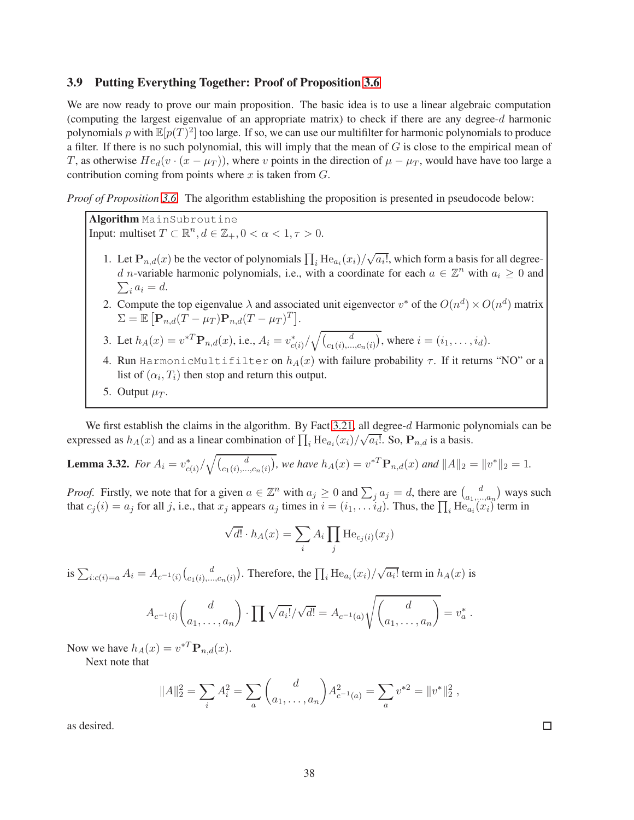# <span id="page-38-0"></span>3.9 Putting Everything Together: Proof of Proposition [3.6](#page-18-0)

We are now ready to prove our main proposition. The basic idea is to use a linear algebraic computation (computing the largest eigenvalue of an appropriate matrix) to check if there are any degree-d harmonic polynomials p with  $\mathbb{E}[p(T)^2]$  too large. If so, we can use our multifilter for harmonic polynomials to produce a filter. If there is no such polynomial, this will imply that the mean of  $G$  is close to the empirical mean of T, as otherwise  $He_d(v \cdot (x - \mu_T))$ , where v points in the direction of  $\mu - \mu_T$ , would have have too large a contribution coming from points where  $x$  is taken from  $G$ .

*Proof of Proposition [3.6.](#page-18-0)* The algorithm establishing the proposition is presented in pseudocode below:

Algorithm MainSubroutine Input: multiset  $T \subset \mathbb{R}^n, d \in \mathbb{Z}_+, 0 < \alpha < 1, \tau > 0$ .

- 1. Let  $\mathbf{P}_{n,d}(x)$  be the vector of polynomials  $\prod_i \text{He}_{a_i}(x_i)/\sqrt{a_i!}$ , which form a basis for all degreed n-variable harmonic polynomials, i.e., with a coordinate for each  $a \in \mathbb{Z}^n$  with  $a_i \geq 0$  and  $\sum_i a_i = d.$
- 2. Compute the top eigenvalue  $\lambda$  and associated unit eigenvector  $v^*$  of the  $O(n^d) \times O(n^d)$  matrix  $\Sigma = \mathbb{E}\left[\mathbf{P}_{n,d}(T-\mu_T)\mathbf{P}_{n,d}(T-\mu_T)^T\right].$
- 3. Let  $h_A(x) = v^{*T} \mathbf{P}_{n,d}(x)$ , i.e.,  $A_i = v^*_{c(i)}/\sqrt{\binom{d}{c_1(i), \dots}}$  $c_1(i),...,c_n(i)$ , where  $i = (i_1,...,i_d)$ .
- 4. Run HarmonicMultifilter on  $h_A(x)$  with failure probability  $\tau$ . If it returns "NO" or a list of  $(\alpha_i, T_i)$  then stop and return this output.
- 5. Output  $\mu_T$ .

We first establish the claims in the algorithm. By Fact [3.21,](#page-28-3) all degree-d Harmonic polynomials can be expressed as  $h_A(x)$  and as a linear combination of  $\prod_i H e_{a_i}(x_i)/\sqrt{a_i!}$ . So,  $P_{n,d}$  is a basis.

**Lemma 3.32.** For 
$$
A_i = v_{c(i)}^*/\sqrt{\binom{d}{c_1(i), \dots, c_n(i)}}
$$
, we have  $h_A(x) = v^{*T} \mathbf{P}_{n,d}(x)$  and  $||A||_2 = ||v^*||_2 = 1$ .

*Proof.* Firstly, we note that for a given  $a \in \mathbb{Z}^n$  with  $a_j \ge 0$  and  $\sum_j a_j = d$ , there are  $\begin{pmatrix} d \\ a_1, \dots \end{pmatrix}$  $\binom{d}{a_1,\dots,a_n}$  ways such that  $c_j(i) = a_j$  for all j, i.e., that  $x_j$  appears  $a_j$  times in  $i = (i_1, \ldots, i_d)$ . Thus, the  $\prod_i \text{He}_{a_i}(x_i)$  term in

$$
\sqrt{d!} \cdot h_A(x) = \sum_i A_i \prod_j \text{He}_{c_j(i)}(x_j)
$$

is  $\sum_{i:c(i)=a} A_i = A_{c^{-1}(i)} {d \choose c_1(i),...}$  $\bigcup_{c_1(i),...,c_n(i)}^d$ . Therefore, the  $\prod_i He_{a_i}(x_i)/\sqrt{a_i!}$  term in  $h_A(x)$  is

$$
A_{c^{-1}(i)}\binom{d}{a_1,\ldots,a_n} \cdot \prod \sqrt{a_i!}/\sqrt{d!} = A_{c^{-1}(a)}\sqrt{\binom{d}{a_1,\ldots,a_n}} = v_a^*
$$

Now we have  $h_A(x) = v^{*T} \mathbf{P}_{n,d}(x)$ .

Next note that

$$
||A||_2^2 = \sum_i A_i^2 = \sum_a \binom{d}{a_1, \dots, a_n} A_{c^{-1}(a)}^2 = \sum_a v^{*2} = ||v^*||_2^2,
$$

as desired.

 $\Box$ 

.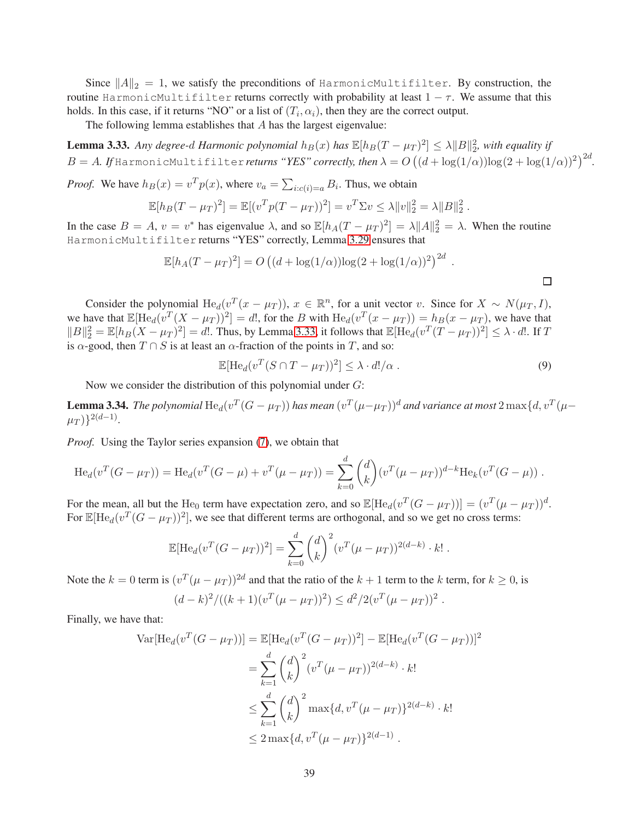Since  $||A||_2 = 1$ , we satisfy the preconditions of HarmonicMultifilter. By construction, the routine HarmonicMultifilter returns correctly with probability at least  $1 - \tau$ . We assume that this holds. In this case, if it returns "NO" or a list of  $(T_i, \alpha_i)$ , then they are the correct output.

The following lemma establishes that A has the largest eigenvalue:

<span id="page-39-0"></span>**Lemma 3.33.** Any degree-d Harmonic polynomial  $h_B(x)$  has  $\mathbb{E}[h_B(T-\mu_T)^2] \leq \lambda ||B||_2^2$ , with equality if  $B=A$ . If HarmonicMultifilter returns "YES" correctly, then  $\lambda=O\left((d+\log(1/\alpha))\log(2+\log(1/\alpha))^2\right)^{2d}$ .

*Proof.* We have  $h_B(x) = v^T p(x)$ , where  $v_a = \sum_{i:c(i)=a} B_i$ . Thus, we obtain

$$
\mathbb{E}[h_B(T-\mu_T)^2] = \mathbb{E}[(v^T p(T-\mu_T))^2] = v^T \Sigma v \le \lambda ||v||_2^2 = \lambda ||B||_2^2.
$$

In the case  $B = A$ ,  $v = v^*$  has eigenvalue  $\lambda$ , and so  $\mathbb{E}[h_A(T - \mu_T)^2] = \lambda ||A||_2^2 = \lambda$ . When the routine HarmonicMultifilter returns "YES" correctly, Lemma [3.29](#page-35-1) ensures that

$$
\mathbb{E}[h_A(T-\mu_T)^2] = O((d+\log(1/\alpha))\log(2+\log(1/\alpha))^2)^{2d}.
$$

Consider the polynomial He<sub>d</sub>( $v^T(x - \mu_T)$ ),  $x \in \mathbb{R}^n$ , for a unit vector v. Since for  $X \sim N(\mu_T, I)$ , we have that  $\mathbb{E}[\text{He}_d(v^T(X - \mu_T))^2] = d!$ , for the B with  $\text{He}_d(v^T(x - \mu_T)) = h_B(x - \mu_T)$ , we have that  $||B||_2^2 = \mathbb{E}[h_B(X - \mu_T)^2] = d!$ . Thus, by Lemma [3.33,](#page-39-0) it follows that  $\mathbb{E}[\text{He}_d(v^T(T - \mu_T))^2] \leq \lambda \cdot d!$ . If T is  $\alpha$ -good, then  $T \cap S$  is at least an  $\alpha$ -fraction of the points in T, and so:

<span id="page-39-1"></span>
$$
\mathbb{E}[\text{He}_d(v^T(S \cap T - \mu_T))^2] \le \lambda \cdot d!/\alpha \,. \tag{9}
$$

 $\Box$ 

Now we consider the distribution of this polynomial under G:

**Lemma 3.34.** *The polynomial*  $\text{He}_d(v^T(G - \mu_T))$  *has mean*  $(v^T(\mu - \mu_T))^d$  *and variance at most*  $2 \max\{d, v^T(\mu - \mu_T)\}$  $(\mu_T)\}^{2(d-1)}$ .

*Proof.* Using the Taylor series expansion [\(7\)](#page-29-0), we obtain that

$$
\text{He}_{d}(v^{T}(G - \mu_{T})) = \text{He}_{d}(v^{T}(G - \mu) + v^{T}(\mu - \mu_{T})) = \sum_{k=0}^{d} {d \choose k} (v^{T}(\mu - \mu_{T}))^{d-k} \text{He}_{k}(v^{T}(G - \mu)).
$$

For the mean, all but the He<sub>0</sub> term have expectation zero, and so  $\mathbb{E}[\text{He}_d(v^T(G - \mu_T))] = (v^T(\mu - \mu_T))^d$ . For  $\mathbb{E}[\text{He}_d(v^T(G - \mu_T))^2]$ , we see that different terms are orthogonal, and so we get no cross terms:

$$
\mathbb{E}[\text{He}_{d}(v^{T}(G - \mu_{T}))^{2}] = \sum_{k=0}^{d} {d \choose k}^{2} (v^{T}(\mu - \mu_{T}))^{2(d-k)} \cdot k! .
$$

Note the  $k = 0$  term is  $(v^T(\mu - \mu_T))^{2d}$  and that the ratio of the  $k + 1$  term to the k term, for  $k \ge 0$ , is  $(d-k)^2/((k+1)(v^T(\mu-\mu_T))^2) \leq d^2/2(v^T(\mu-\mu_T))^2$ .

$$
\begin{array}{c}\n\lambda & \lambda & \lambda \\
\lambda & \lambda & \lambda\n\end{array}
$$

Finally, we have that:

$$
\operatorname{Var}[\operatorname{He}_{d}(v^{T}(G - \mu_{T}))] = \mathbb{E}[\operatorname{He}_{d}(v^{T}(G - \mu_{T}))^{2}] - \mathbb{E}[\operatorname{He}_{d}(v^{T}(G - \mu_{T}))]^{2}
$$
  
\n
$$
= \sum_{k=1}^{d} {d \choose k}^{2} (v^{T}(\mu - \mu_{T}))^{2(d-k)} \cdot k!
$$
  
\n
$$
\leq \sum_{k=1}^{d} {d \choose k}^{2} \max\{d, v^{T}(\mu - \mu_{T})\}^{2(d-k)} \cdot k!
$$
  
\n
$$
\leq 2 \max\{d, v^{T}(\mu - \mu_{T})\}^{2(d-1)}.
$$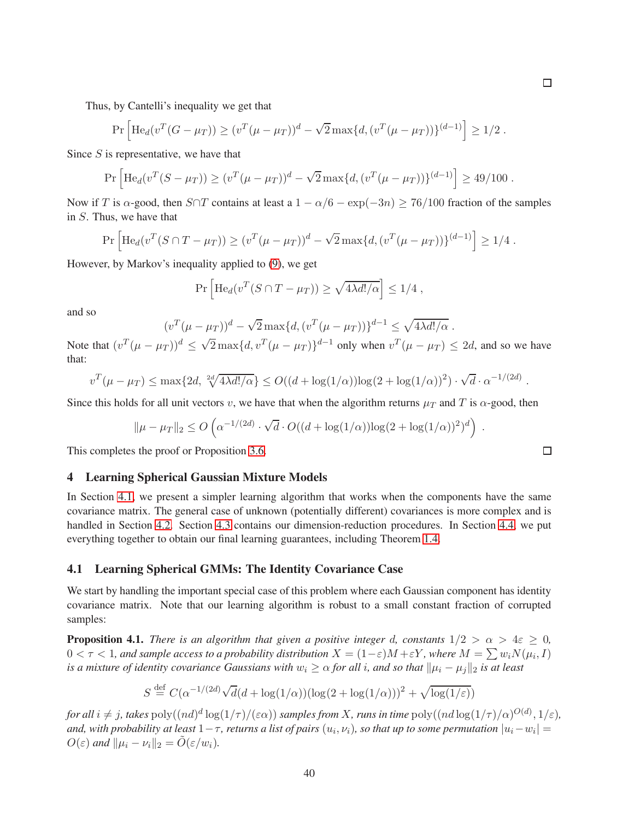Thus, by Cantelli's inequality we get that

$$
\Pr\left[\text{He}_{d}(v^{T}(G-\mu_{T}))\geq (v^{T}(\mu-\mu_{T}))^{d} - \sqrt{2}\max\{d,(v^{T}(\mu-\mu_{T}))\}^{(d-1)}\right] \geq 1/2.
$$

Since  $S$  is representative, we have that

$$
\Pr\left[\text{He}_{d}(v^{T}(S-\mu_{T}))\geq (v^{T}(\mu-\mu_{T}))^{d} - \sqrt{2}\max\{d,(v^{T}(\mu-\mu_{T}))\}^{(d-1)}\right] \geq 49/100.
$$

Now if T is  $\alpha$ -good, then S∩T contains at least a  $1 - \alpha/6 - \exp(-3n) \ge 76/100$  fraction of the samples in S. Thus, we have that

$$
\Pr\left[\text{He}_{d}(v^{T}(S \cap T - \mu_{T})) \ge (v^{T}(\mu - \mu_{T}))^{d} - \sqrt{2}\max\{d, (v^{T}(\mu - \mu_{T}))\}^{(d-1)}\right] \ge 1/4.
$$

However, by Markov's inequality applied to [\(9\)](#page-39-1), we get

$$
\Pr\left[\text{He}_{d}(v^{T}(S \cap T - \mu_{T})) \ge \sqrt{4\lambda d!/ \alpha}\right] \le 1/4,
$$

and so

$$
(v^T(\mu - \mu_T))^d - \sqrt{2} \max\{d, (v^T(\mu - \mu_T))\}^{d-1} \le \sqrt{4\lambda d!/\alpha}.
$$

Note that  $(v^T(\mu - \mu_T))^d \leq \sqrt{2} \max\{d, v^T(\mu - \mu_T)\}^{d-1}$  only when  $v^T(\mu - \mu_T) \leq 2d$ , and so we have that:

$$
v^T(\mu - \mu_T) \le \max\{2d, \sqrt[2d]{4\lambda d!/ \alpha}\} \le O((d + \log(1/\alpha))\log(2 + \log(1/\alpha))^2) \cdot \sqrt{d} \cdot \alpha^{-1/(2d)}.
$$

Since this holds for all unit vectors v, we have that when the algorithm returns  $\mu_T$  and T is  $\alpha$ -good, then

$$
\|\mu - \mu_T\|_2 \le O\left(\alpha^{-1/(2d)} \cdot \sqrt{d} \cdot O((d + \log(1/\alpha))\log(2 + \log(1/\alpha))^2)^d\right)
$$

<span id="page-40-0"></span>This completes the proof or Proposition [3.6.](#page-18-0)

## 4 Learning Spherical Gaussian Mixture Models

In Section [4.1,](#page-40-1) we present a simpler learning algorithm that works when the components have the same covariance matrix. The general case of unknown (potentially different) covariances is more complex and is handled in Section [4.2.](#page-42-1) Section [4.3](#page-45-0) contains our dimension-reduction procedures. In Section [4.4,](#page-48-1) we put everything together to obtain our final learning guarantees, including Theorem [1.4.](#page-6-0)

## <span id="page-40-1"></span>4.1 Learning Spherical GMMs: The Identity Covariance Case

We start by handling the important special case of this problem where each Gaussian component has identity covariance matrix. Note that our learning algorithm is robust to a small constant fraction of corrupted samples:

<span id="page-40-2"></span>**Proposition 4.1.** *There is an algorithm that given a positive integer d, constants*  $1/2 > \alpha > 4\varepsilon \geq 0$ *,*  $0 < \tau < 1$ , and sample access to a probability distribution  $X = (1 - \varepsilon)M + \varepsilon Y$ , where  $M = \sum w_i N(\mu_i, I)$ *is a mixture of identity covariance Gaussians with*  $w_i \geq \alpha$  *for all i, and so that*  $\|\mu_i - \mu_j\|_2$  *is at least* 

$$
S \stackrel{\text{def}}{=} C(\alpha^{-1/(2d)}\sqrt{d}(d + \log(1/\alpha))(\log(2 + \log(1/\alpha)))^{2} + \sqrt{\log(1/\varepsilon)})
$$

 $f$ or all  $i \neq j$ , takes  $\text{poly}((nd)^d \log(1/\tau)/(\varepsilon \alpha))$  samples from  $X$ , runs in time  $\text{poly}((nd \log(1/\tau)/\alpha)^{O(d)}, 1/\varepsilon)$ , and, with probability at least  $1-\tau$ , returns a list of pairs  $(u_i, v_i)$ , so that up to some permutation  $|u_i - w_i| =$  $O(\varepsilon)$  and  $\|\mu_i - \nu_i\|_2 = \tilde{O}(\varepsilon/w_i)$ .

 $\Box$ 

 $\Box$ 

.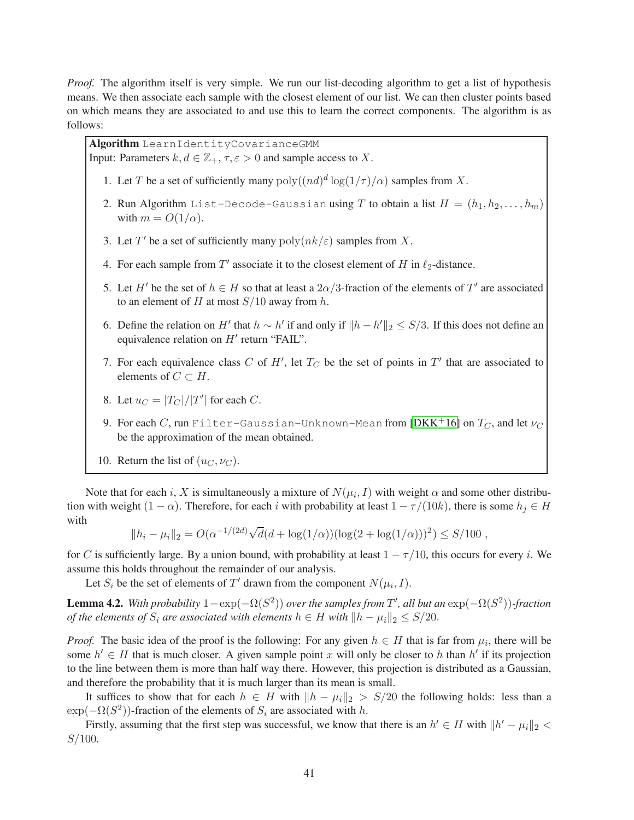*Proof.* The algorithm itself is very simple. We run our list-decoding algorithm to get a list of hypothesis means. We then associate each sample with the closest element of our list. We can then cluster points based on which means they are associated to and use this to learn the correct components. The algorithm is as follows:

Algorithm LearnIdentityCovarianceGMM Input: Parameters  $k, d \in \mathbb{Z}_+, \tau, \varepsilon > 0$  and sample access to X.

- 1. Let T be a set of sufficiently many  $\text{poly}((nd)^d \log(1/\tau)/\alpha)$  samples from X.
- 2. Run Algorithm List-Decode-Gaussian using T to obtain a list  $H = (h_1, h_2, \ldots, h_m)$ with  $m = O(1/\alpha)$ .
- 3. Let T' be a set of sufficiently many  $poly(nk/\varepsilon)$  samples from X.
- 4. For each sample from  $T'$  associate it to the closest element of H in  $\ell_2$ -distance.
- 5. Let H' be the set of  $h \in H$  so that at least a  $2\alpha/3$ -fraction of the elements of T' are associated to an element of H at most  $S/10$  away from h.
- <span id="page-41-1"></span>6. Define the relation on H' that  $h \sim h'$  if and only if  $||h - h'||_2 \leq S/3$ . If this does not define an equivalence relation on  $H'$  return "FAIL".
- <span id="page-41-2"></span>7. For each equivalence class C of H', let  $T_C$  be the set of points in T' that are associated to elements of  $C \subset H$ .
- 8. Let  $u_C = |T_C|/|T'|$  for each C.
- 9. For each C, run Filter-Gaussian-Unknown-Mean from [\[DKK](#page-56-2)<sup>+</sup>16] on  $T_C$ , and let  $\nu_C$ be the approximation of the mean obtained.
- 10. Return the list of  $(u_C, \nu_C)$ .

Note that for each i, X is simultaneously a mixture of  $N(\mu_i, I)$  with weight  $\alpha$  and some other distribution with weight  $(1 - \alpha)$ . Therefore, for each i with probability at least  $1 - \tau/(10k)$ , there is some  $h_j \in H$ with

$$
||h_i - \mu_i||_2 = O(\alpha^{-1/(2d)} \sqrt{d} (d + \log(1/\alpha))(\log(2 + \log(1/\alpha)))^2) \le S/100,
$$

for C is sufficiently large. By a union bound, with probability at least  $1 - \tau/10$ , this occurs for every i. We assume this holds throughout the remainder of our analysis.

Let  $S_i$  be the set of elements of  $T'$  drawn from the component  $N(\mu_i, I)$ .

<span id="page-41-0"></span>**Lemma 4.2.** With probability  $1 - \exp(-\Omega(S^2))$  over the samples from  $T'$ , all but an  $\exp(-\Omega(S^2))$ -fraction *of the elements of*  $S_i$  *are associated with elements*  $h \in H$  *with*  $||h - \mu_i||_2 \leq S/20$ .

*Proof.* The basic idea of the proof is the following: For any given  $h \in H$  that is far from  $\mu_i$ , there will be some  $h' \in H$  that is much closer. A given sample point x will only be closer to h than h' if its projection to the line between them is more than half way there. However, this projection is distributed as a Gaussian, and therefore the probability that it is much larger than its mean is small.

It suffices to show that for each  $h \in H$  with  $||h - \mu_i||_2 > S/20$  the following holds: less than a  $\exp(-\Omega(S^2))$ -fraction of the elements of  $S_i$  are associated with h.

Firstly, assuming that the first step was successful, we know that there is an  $h' \in H$  with  $||h' - \mu_i||_2 <$  $S/100.$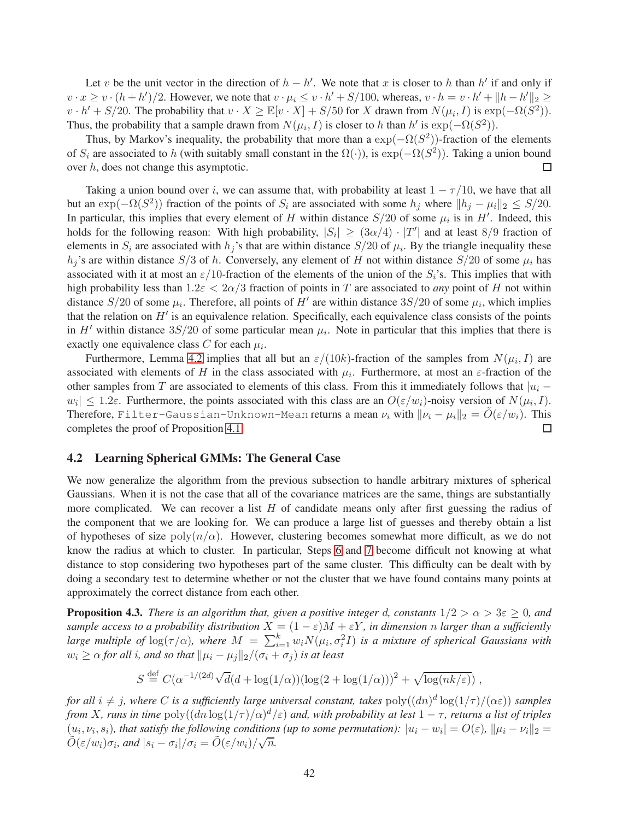Let v be the unit vector in the direction of  $h - h'$ . We note that x is closer to h than h' if and only if  $v \cdot x \geq v \cdot (h + h')/2$ . However, we note that  $v \cdot \mu_i \leq v \cdot h' + S/100$ , whereas,  $v \cdot h = v \cdot h' + ||h - h'||_2 \geq$  $v \cdot h' + S/20$ . The probability that  $v \cdot X \geq \mathbb{E}[v \cdot X] + S/50$  for X drawn from  $N(\mu_i, I)$  is  $\exp(-\Omega(S^2))$ . Thus, the probability that a sample drawn from  $N(\mu_i, I)$  is closer to h than  $h'$  is  $\exp(-\Omega(S^2))$ .

Thus, by Markov's inequality, the probability that more than a  $\exp(-\Omega(S^2))$ -fraction of the elements of  $S_i$  are associated to h (with suitably small constant in the  $\Omega(\cdot)$ ), is  $\exp(-\Omega(S^2))$ . Taking a union bound over  $h$ , does not change this asymptotic.  $\Box$ 

Taking a union bound over i, we can assume that, with probability at least  $1 - \tau/10$ , we have that all but an  $\exp(-\Omega(S^2))$  fraction of the points of  $S_i$  are associated with some  $h_j$  where  $||h_j - \mu_i||_2 \leq S/20$ . In particular, this implies that every element of H within distance  $S/20$  of some  $\mu_i$  is in H'. Indeed, this holds for the following reason: With high probability,  $|S_i| \geq (3\alpha/4) \cdot |T'|$  and at least 8/9 fraction of elements in  $S_i$  are associated with  $h_j$ 's that are within distance  $S/20$  of  $\mu_i$ . By the triangle inequality these  $h_j$ 's are within distance  $S/3$  of h. Conversely, any element of H not within distance  $S/20$  of some  $\mu_i$  has associated with it at most an  $\varepsilon/10$ -fraction of the elements of the union of the  $S_i$ 's. This implies that with high probability less than  $1.2\varepsilon < 2\alpha/3$  fraction of points in T are associated to *any* point of H not within distance  $S/20$  of some  $\mu_i$ . Therefore, all points of H' are within distance  $3S/20$  of some  $\mu_i$ , which implies that the relation on  $H'$  is an equivalence relation. Specifically, each equivalence class consists of the points in H' within distance  $3S/20$  of some particular mean  $\mu_i$ . Note in particular that this implies that there is exactly one equivalence class C for each  $\mu_i$ .

Furthermore, Lemma [4.2](#page-41-0) implies that all but an  $\varepsilon/(10k)$ -fraction of the samples from  $N(\mu_i, I)$  are associated with elements of H in the class associated with  $\mu_i$ . Furthermore, at most an  $\varepsilon$ -fraction of the other samples from T are associated to elements of this class. From this it immediately follows that  $|u_i |w_i| \leq 1.2\varepsilon$ . Furthermore, the points associated with this class are an  $O(\varepsilon/w_i)$ -noisy version of  $N(\mu_i, I)$ . Therefore, Filter-Gaussian-Unknown-Mean returns a mean  $\nu_i$  with  $\|\nu_i - \mu_i\|_2 = O(\varepsilon/w_i)$ . This completes the proof of Proposition 4.1. completes the proof of Proposition [4.1.](#page-40-2)

# <span id="page-42-1"></span>4.2 Learning Spherical GMMs: The General Case

We now generalize the algorithm from the previous subsection to handle arbitrary mixtures of spherical Gaussians. When it is not the case that all of the covariance matrices are the same, things are substantially more complicated. We can recover a list  $H$  of candidate means only after first guessing the radius of the component that we are looking for. We can produce a large list of guesses and thereby obtain a list of hypotheses of size  $poly(n/\alpha)$ . However, clustering becomes somewhat more difficult, as we do not know the radius at which to cluster. In particular, Steps [6](#page-41-1) and [7](#page-41-2) become difficult not knowing at what distance to stop considering two hypotheses part of the same cluster. This difficulty can be dealt with by doing a secondary test to determine whether or not the cluster that we have found contains many points at approximately the correct distance from each other.

<span id="page-42-0"></span>**Proposition 4.3.** *There is an algorithm that, given a positive integer d, constants*  $1/2 > \alpha > 3\varepsilon \geq 0$ *, and sample access to a probability distribution*  $X = (1 - \varepsilon)M + \varepsilon Y$ *, in dimension n larger than a sufficiently large multiple of*  $log(\tau/\alpha)$ , where  $M = \sum_{i=1}^{k} w_i N(\mu_i, \sigma_i^2 I)$  *is a mixture of spherical Gaussians with*  $w_i \geq \alpha$  for all *i*, and so that  $\|\mu_i - \mu_j\|_2/(\sigma_i + \sigma_j)$  is at least

$$
S \stackrel{\text{def}}{=} C(\alpha^{-1/(2d)}\sqrt{d}(d+\log(1/\alpha))(\log(2+\log(1/\alpha)))^2 + \sqrt{\log(nk/\varepsilon)}) ,
$$

*for all*  $i \neq j$ , where C is a sufficiently large universal constant, takes  $poly((dn)^d \log(1/\tau)/(\alpha \varepsilon))$  samples *from* X, runs in time  $poly((dn \log(1/\tau)/\alpha)^d/\varepsilon)$  and, with probability at lest  $1-\tau$ , returns a list of triples  $(u_i, v_i, s_i)$ , that satisfy the following conditions (up to some permutation):  $|u_i - w_i| = O(\varepsilon)$ ,  $\|\mu_i - \nu_i\|_2 =$  $\widetilde{O}(\varepsilon/w_i)\sigma_i$ , and  $|s_i - \sigma_i|/\sigma_i = \widetilde{O}(\varepsilon/w_i)/\sqrt{n}$ .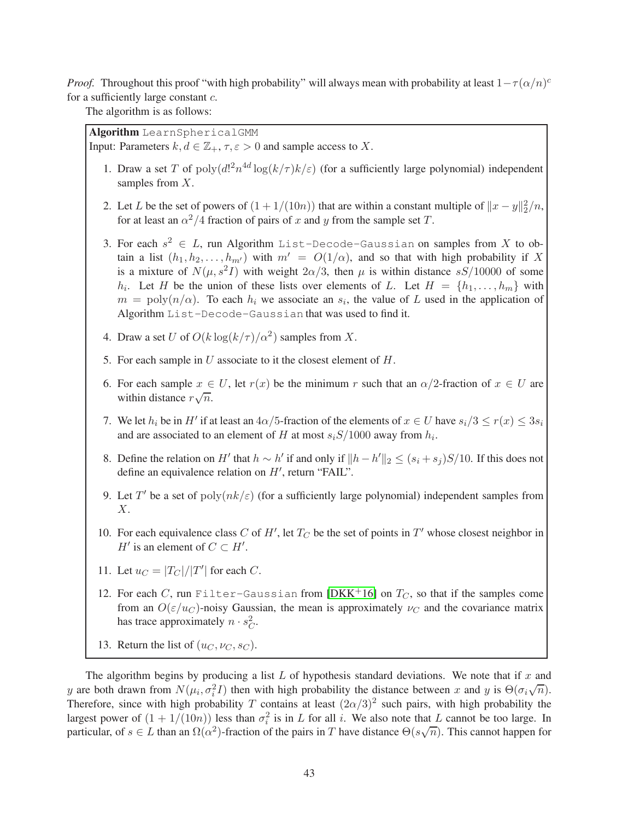*Proof.* Throughout this proof "with high probability" will always mean with probability at least  $1 - \tau (\alpha/n)^c$ for a sufficiently large constant c.

The algorithm is as follows:

Algorithm LearnSphericalGMM Input: Parameters  $k, d \in \mathbb{Z}_+, \tau, \varepsilon > 0$  and sample access to X.

- 1. Draw a set T of  $\text{poly}(d!^2n^{4d}\log(k/\tau)k/\varepsilon)$  (for a sufficiently large polynomial) independent samples from X.
- 2. Let L be the set of powers of  $(1 + 1/(10n))$  that are within a constant multiple of  $||x y||_2^2/n$ , for at least an  $\alpha^2/4$  fraction of pairs of x and y from the sample set T.
- 3. For each  $s^2 \in L$ , run Algorithm List-Decode-Gaussian on samples from X to obtain a list  $(h_1, h_2, \ldots, h_{m'})$  with  $m' = O(1/\alpha)$ , and so that with high probability if X is a mixture of  $N(\mu, s^2I)$  with weight  $2\alpha/3$ , then  $\mu$  is within distance  $sS/10000$  of some  $h_i$ . Let H be the union of these lists over elements of L. Let  $H = \{h_1, \ldots, h_m\}$  with  $m = \text{poly}(n/\alpha)$ . To each  $h_i$  we associate an  $s_i$ , the value of L used in the application of Algorithm List-Decode-Gaussian that was used to find it.
- 4. Draw a set U of  $O(k \log(k/\tau)/\alpha^2)$  samples from X.
- 5. For each sample in U associate to it the closest element of  $H$ .
- 6. For each sample  $x \in U$ , let  $r(x)$  be the minimum r such that an  $\alpha/2$ -fraction of  $x \in U$  are within distance  $r\sqrt{n}$ .
- 7. We let  $h_i$  be in  $H'$  if at least an  $4\alpha/5$ -fraction of the elements of  $x \in U$  have  $s_i/3 \le r(x) \le 3s_i$ and are associated to an element of H at most  $s_i S/1000$  away from  $h_i$ .
- 8. Define the relation on H' that  $h \sim h'$  if and only if  $||h h'||_2 ≤ (s_i + s_j)S/10$ . If this does not define an equivalence relation on  $H'$ , return "FAIL".
- 9. Let T' be a set of  $poly(nk/\varepsilon)$  (for a sufficiently large polynomial) independent samples from  $X$ .
- 10. For each equivalence class C of  $H'$ , let  $T_C$  be the set of points in  $T'$  whose closest neighbor in  $H'$  is an element of  $C \subset H'$ .
- 11. Let  $u_C = |T_C|/|T'|$  for each C.
- 12. For each C, run Filter-Gaussian from [\[DKK](#page-56-2)<sup>+</sup>16] on  $T_C$ , so that if the samples come from an  $O(\varepsilon/u_C)$ -noisy Gaussian, the mean is approximately  $\nu_C$  and the covariance matrix has trace approximately  $n \cdot s_C^2$ .
- 13. Return the list of  $(u_C, v_C, s_C)$ .

The algorithm begins by producing a list  $L$  of hypothesis standard deviations. We note that if  $x$  and y are both drawn from  $N(\mu_i, \sigma_i^2 I)$  then with high probability the distance between x and y is  $\Theta(\sigma_i\sqrt{n})$ . Therefore, since with high probability T contains at least  $(2\alpha/3)^2$  such pairs, with high probability the largest power of  $(1 + 1/(10n))$  less than  $\sigma_i^2$  is in L for all i. We also note that L cannot be too large. In particular, of  $s \in L$  than an  $\Omega(\alpha^2)$ -fraction of the pairs in T have distance  $\Theta(s\sqrt{n})$ . This cannot happen for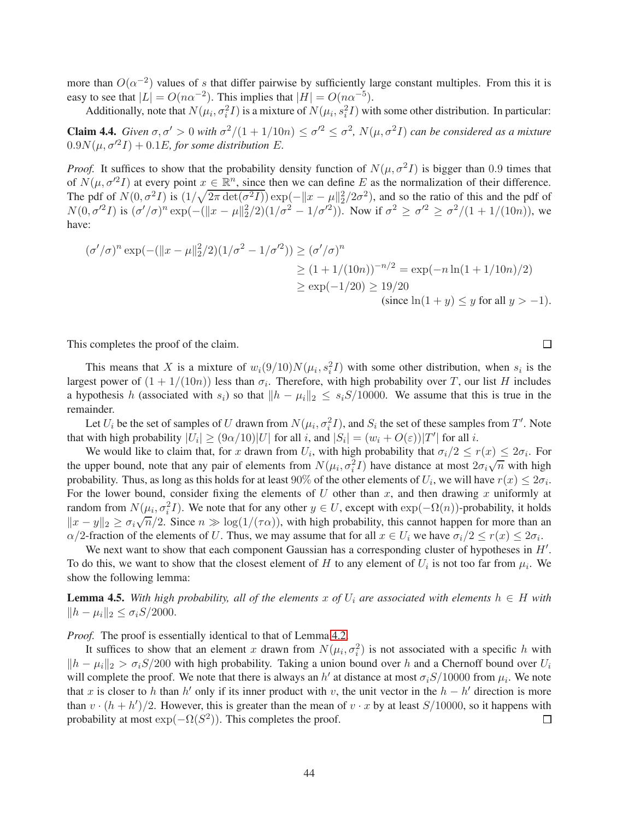more than  $O(\alpha^{-2})$  values of s that differ pairwise by sufficiently large constant multiples. From this it is easy to see that  $|L| = O(n\alpha^{-2})$ . This implies that  $|H| = O(n\alpha^{-5})$ .

Additionally, note that  $N(\mu_i, \sigma_i^2 I)$  is a mixture of  $N(\mu_i, s_i^2 I)$  with some other distribution. In particular: **Claim 4.4.** *Given*  $\sigma$ ,  $\sigma' > 0$  *with*  $\sigma^2/(1 + 1/10n) \le \sigma'^2 \le \sigma^2$ ,  $N(\mu, \sigma^2 I)$  *can be considered as a mixture*  $0.9N(\mu, \sigma^{\prime 2}I) + 0.1E$ , for some distribution E.

*Proof.* It suffices to show that the probability density function of  $N(\mu, \sigma^2 I)$  is bigger than 0.9 times that of  $N(\mu, \sigma^2 I)$  at every point  $x \in \mathbb{R}^n$ , since then we can define E as the normalization of their difference. The pdf of  $N(0, \sigma^2 I)$  is  $(1/\sqrt{2\pi \det(\sigma^2 I)}) \exp(-\|x - \mu\|_2^2/2\sigma^2)$ , and so the ratio of this and the pdf of  $N(0, \sigma^2 I)$  is  $(\sigma'/\sigma)^n \exp(-(\|x - \mu\|_2^2/2)(1/\sigma^2 - 1/\sigma^2))$ . Now if  $\sigma^2 \ge \sigma^2 \ge \sigma^2/(1 + 1/(10n))$ , we have:

$$
(\sigma'/\sigma)^n \exp(-(\|x - \mu\|_2^2/2)(1/\sigma^2 - 1/\sigma'^2)) \ge (\sigma'/\sigma)^n
$$
  
\n
$$
\ge (1 + 1/(10n))^{-n/2} = \exp(-n\ln(1 + 1/10n)/2)
$$
  
\n
$$
\ge \exp(-1/20) \ge 19/20
$$
  
\n(since  $\ln(1 + y) \le y$  for all  $y > -1$ )

This completes the proof of the claim.

This means that X is a mixture of  $w_i(9/10)N(\mu_i, s_i^2I)$  with some other distribution, when  $s_i$  is the largest power of  $(1 + 1/(10n))$  less than  $\sigma_i$ . Therefore, with high probability over T, our list H includes a hypothesis h (associated with  $s_i$ ) so that  $||h - \mu_i||_2 \leq s_i S/10000$ . We assume that this is true in the remainder.

Let  $U_i$  be the set of samples of U drawn from  $N(\mu_i, \sigma_i^2 I)$ , and  $S_i$  the set of these samples from  $T'$ . Note that with high probability  $|U_i| \ge (9\alpha/10)|U|$  for all i, and  $|S_i| = (w_i + O(\varepsilon))|T'|$  for all i.

We would like to claim that, for x drawn from  $U_i$ , with high probability that  $\sigma_i/2 \le r(x) \le 2\sigma_i$ . For the upper bound, note that any pair of elements from  $N(\mu_i, \sigma_i^2 I)$  have distance at most  $2\sigma_i\sqrt{n}$  with high probability. Thus, as long as this holds for at least 90% of the other elements of  $U_i$ , we will have  $r(x) \le 2\sigma_i$ . For the lower bound, consider fixing the elements of  $U$  other than  $x$ , and then drawing  $x$  uniformly at random from  $N(\mu_i, \sigma_i^2 I)$ . We note that for any other  $y \in U$ , except with  $\exp(-\Omega(n))$ -probability, it holds  $||x-y||_2 \ge \sigma_i \sqrt{n/2}$ . Since  $n \gg \log(1/(\tau \alpha))$ , with high probability, this cannot happen for more than an  $\alpha/2$ -fraction of the elements of U. Thus, we may assume that for all  $x \in U_i$  we have  $\sigma_i/2 \le r(x) \le 2\sigma_i$ .

We next want to show that each component Gaussian has a corresponding cluster of hypotheses in  $H'$ . To do this, we want to show that the closest element of H to any element of  $U_i$  is not too far from  $\mu_i$ . We show the following lemma:

<span id="page-44-0"></span>**Lemma 4.5.** *With high probability, all of the elements* x of  $U_i$  are associated with elements  $h \in H$  with  $||h - \mu_i||_2 \leq \sigma_i S/2000.$ 

*Proof.* The proof is essentially identical to that of Lemma [4.2.](#page-41-0)

It suffices to show that an element x drawn from  $N(\mu_i, \sigma_i^2)$  is not associated with a specific h with  $||h - \mu_i||_2 > \sigma_i S/200$  with high probability. Taking a union bound over h and a Chernoff bound over  $U_i$ will complete the proof. We note that there is always an h' at distance at most  $\sigma_i S/10000$  from  $\mu_i$ . We note that x is closer to h than h' only if its inner product with v, the unit vector in the  $h - h'$  direction is more than  $v \cdot (h + h')/2$ . However, this is greater than the mean of  $v \cdot x$  by at least  $S/10000$ , so it happens with probability at most  $\exp(-\Omega(S^2))$ . This completes the proof.

 $\Box$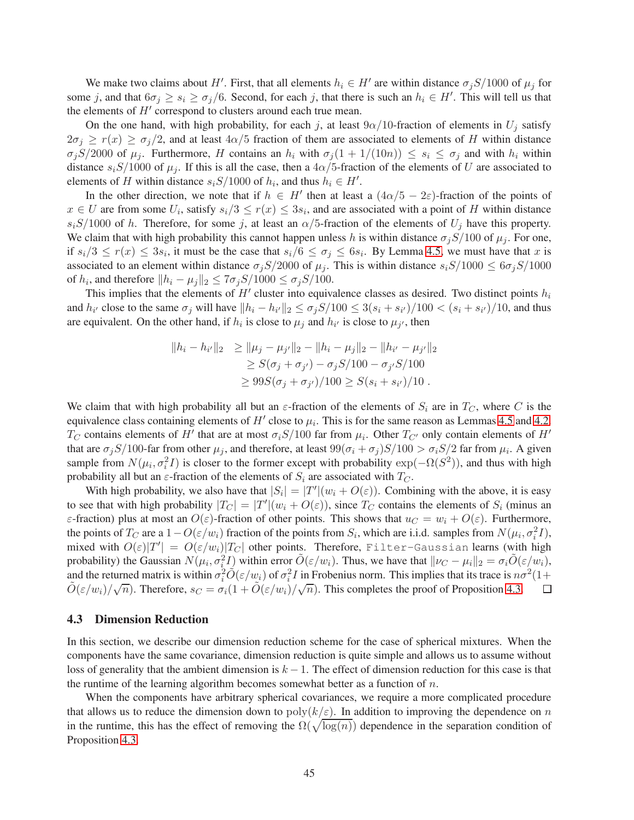We make two claims about H'. First, that all elements  $h_i \in H'$  are within distance  $\sigma_j S/1000$  of  $\mu_j$  for some j, and that  $6\sigma_j \ge s_i \ge \sigma_j/6$ . Second, for each j, that there is such an  $h_i \in H'$ . This will tell us that the elements of  $H'$  correspond to clusters around each true mean.

On the one hand, with high probability, for each j, at least  $9\alpha/10$ -fraction of elements in  $U_j$  satisfy  $2\sigma_j \ge r(x) \ge \sigma_j/2$ , and at least  $4\alpha/5$  fraction of them are associated to elements of H within distance  $\sigma_jS/2000$  of  $\mu_j$ . Furthermore, H contains an  $h_i$  with  $\sigma_j(1 + 1/(10n)) \leq s_i \leq \sigma_j$  and with  $h_i$  within distance  $s_iS/1000$  of  $\mu_j$ . If this is all the case, then a  $4\alpha/5$ -fraction of the elements of U are associated to elements of H within distance  $s_i S/1000$  of  $h_i$ , and thus  $h_i \in H'$ .

In the other direction, we note that if  $h \in H'$  then at least a  $(4\alpha/5 - 2\varepsilon)$ -fraction of the points of  $x \in U$  are from some  $U_i$ , satisfy  $s_i/3 \le r(x) \le 3s_i$ , and are associated with a point of H within distance  $s_i S/1000$  of h. Therefore, for some j, at least an  $\alpha/5$ -fraction of the elements of  $U_i$  have this property. We claim that with high probability this cannot happen unless h is within distance  $\sigma_j S/100$  of  $\mu_j$ . For one, if  $s_i/3 \le r(x) \le 3s_i$ , it must be the case that  $s_i/6 \le \sigma_j \le 6s_i$ . By Lemma [4.5,](#page-44-0) we must have that x is associated to an element within distance  $\sigma_j S/2000$  of  $\mu_j$ . This is within distance  $s_i S/1000 \leq 6\sigma_j S/1000$ of  $h_i$ , and therefore  $||h_i - \mu_j||_2 \le 7\sigma_j S/1000 \le \sigma_j S/100$ .

This implies that the elements of  $H'$  cluster into equivalence classes as desired. Two distinct points  $h_i$ and  $h_{i'}$  close to the same  $\sigma_j$  will have  $||h_i - h_{i'}||_2 \le \sigma_j S/100 \le 3(s_i + s_{i'})/100 < (s_i + s_{i'})/10$ , and thus are equivalent. On the other hand, if  $h_i$  is close to  $\mu_j$  and  $h_{i'}$  is close to  $\mu_{j'}$ , then

$$
||h_i - h_{i'}||_2 \ge ||\mu_j - \mu_{j'}||_2 - ||h_i - \mu_j||_2 - ||h_{i'} - \mu_{j'}||_2
$$
  
\n
$$
\ge S(\sigma_j + \sigma_{j'}) - \sigma_j S/100 - \sigma_{j'} S/100
$$
  
\n
$$
\ge 99S(\sigma_j + \sigma_{j'})/100 \ge S(s_i + s_{i'})/10.
$$

We claim that with high probability all but an  $\varepsilon$ -fraction of the elements of  $S_i$  are in  $T_C$ , where C is the equivalence class containing elements of  $H'$  close to  $\mu_i$ . This is for the same reason as Lemmas [4.5](#page-44-0) and [4.2.](#page-41-0)  $T_C$  contains elements of H' that are at most  $\sigma_i S/100$  far from  $\mu_i$ . Other  $T_{C'}$  only contain elements of H' that are  $\sigma_j S/100$ -far from other  $\mu_j$ , and therefore, at least  $99(\sigma_i + \sigma_j)S/100 > \sigma_i S/2$  far from  $\mu_i$ . A given sample from  $N(\mu_i, \sigma_i^2 I)$  is closer to the former except with probability  $\exp(-\Omega(S^2))$ , and thus with high probability all but an  $\varepsilon$ -fraction of the elements of  $S_i$  are associated with  $T_C$ .

With high probability, we also have that  $|S_i| = |T'| (w_i + O(\varepsilon))$ . Combining with the above, it is easy to see that with high probability  $|T_C| = |T'| (w_i + O(\varepsilon))$ , since  $T_C$  contains the elements of  $S_i$  (minus an  $\varepsilon$ -fraction) plus at most an  $O(\varepsilon)$ -fraction of other points. This shows that  $u_C = w_i + O(\varepsilon)$ . Furthermore, the points of  $T_C$  are a  $1 - O(\varepsilon/w_i)$  fraction of the points from  $S_i$ , which are i.i.d. samples from  $N(\mu_i, \sigma_i^2 I)$ , mixed with  $O(\varepsilon)|T'| = O(\varepsilon/w_i)|T_C|$  other points. Therefore, Filter-Gaussian learns (with high probability) the Gaussian  $N(\mu_i, \sigma_i^2 I)$  within error  $\tilde{O}(\varepsilon/w_i)$ . Thus, we have that  $\|\nu_C - \mu_i\|_2 = \sigma_i \tilde{O}(\varepsilon/w_i)$ , and the returned matrix is within  $\sigma_i^2 \tilde{O}(\varepsilon/w_i)$  of  $\sigma_i^2 I$  in Frobenius norm. This implies that its trace is  $n\sigma^2(1+\sigma_i)$  $\tilde{O}(\varepsilon/w_i)/\sqrt{n}$ ). Therefore,  $s_C = \sigma_i(1 + \tilde{O}(\varepsilon/w_i)/\sqrt{n})$ . This completes the proof of Proposition [4.3.](#page-42-0)  $\Box$ 

## <span id="page-45-0"></span>4.3 Dimension Reduction

In this section, we describe our dimension reduction scheme for the case of spherical mixtures. When the components have the same covariance, dimension reduction is quite simple and allows us to assume without loss of generality that the ambient dimension is  $k - 1$ . The effect of dimension reduction for this case is that the runtime of the learning algorithm becomes somewhat better as a function of  $n$ .

When the components have arbitrary spherical covariances, we require a more complicated procedure that allows us to reduce the dimension down to  $poly(k/\varepsilon)$ . In addition to improving the dependence on n in the runtime, this has the effect of removing the  $\Omega(\sqrt{\log(n)})$  dependence in the separation condition of Proposition [4.3.](#page-42-0)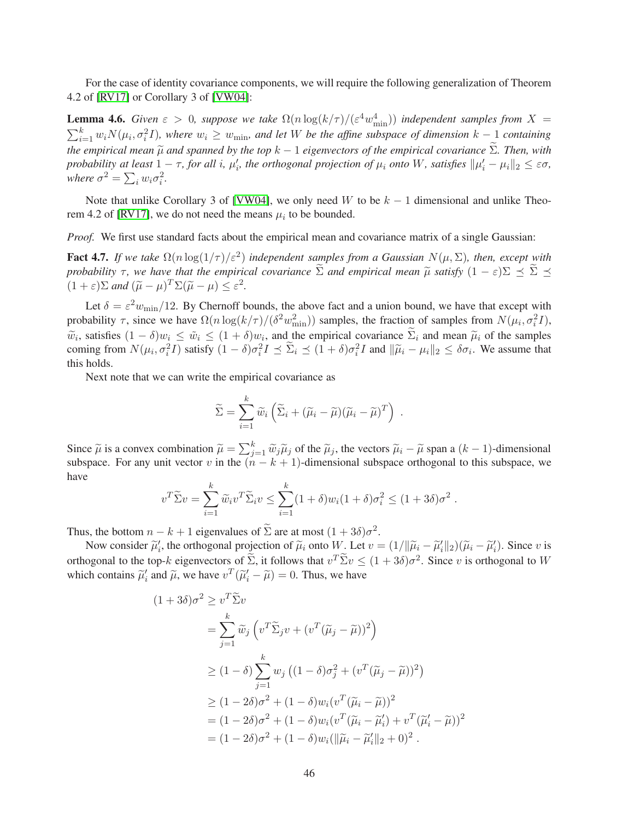For the case of identity covariance components, we will require the following generalization of Theorem 4.2 of [\[RV17\]](#page-58-1) or Corollary 3 of [\[VW04\]](#page-58-13):

<span id="page-46-0"></span>**Lemma 4.6.** *Given*  $\varepsilon > 0$ , *suppose we take*  $\Omega(n \log(k/\tau) / (\varepsilon^4 w_n^4))$ **Lemma 4.6.** Given  $\varepsilon > 0$ , suppose we take  $\Omega(n \log(k/\tau)/(\varepsilon^4 w_{\min}^4))$  independent samples from  $X = \sum_{i=1}^k w_i N(\mu_i, \sigma_i^2 I)$ , where  $w_i \ge w_{\min}$ , and let W be the affine subspace of dimension  $k - 1$  containing *the empirical mean*  $\widetilde{\mu}$  *and spanned by the top*  $k - 1$  *eigenvectors of the empirical covariance*  $\widetilde{\Sigma}$ *. Then, with probability at least*  $1 - \tau$ , *for all i,*  $\mu'_i$ , *the orthogonal projection of*  $\mu_i$  *onto* W, *satisfies*  $\|\mu'_i - \mu_i\|_2 \leq \varepsilon \sigma$ , where  $\sigma^2 = \sum_i w_i \sigma_i^2$ .

Note that unlike Corollary 3 of [\[VW04\]](#page-58-13), we only need W to be  $k - 1$  dimensional and unlike Theo-rem 4.2 of [\[RV17\]](#page-58-1), we do not need the means  $\mu_i$  to be bounded.

*Proof.* We first use standard facts about the empirical mean and covariance matrix of a single Gaussian:

Fact 4.7. If we take  $\Omega(n \log(1/\tau)/\varepsilon^2)$  independent samples from a Gaussian  $N(\mu, \Sigma)$ , then, except with *probability*  $\tau$ *, we have that the empirical covariance*  $\Sigma$  *and empirical mean*  $\widetilde{\mu}$  *satisfy*  $(1 - \varepsilon)\Sigma \preceq \Sigma$  $(1+\varepsilon)\Sigma$  and  $(\widetilde{\mu}-\mu)^T\Sigma(\widetilde{\mu}-\mu)\leq \varepsilon^2$ .

Let  $\delta = \varepsilon^2 w_{\text{min}}/12$ . By Chernoff bounds, the above fact and a union bound, we have that except with probability  $\tau$ , since we have  $\Omega(n \log(k/\tau)/(\delta^2 w_{\min}^2))$  samples, the fraction of samples from  $N(\mu_i, \sigma_i^2 I)$ ,  $\widetilde{w}_i$ , satisfies  $(1 - \delta)w_i \leq \widetilde{w}_i \leq (1 + \delta)w_i$ , and the empirical covariance  $\Sigma_i$  and mean  $\widetilde{\mu}_i$  of the samples coming from  $N(\mu_i, \sigma_i^2 I)$  satisfy  $(1 - \delta)\sigma_i^2 I \preceq \tilde{\Sigma}_i \preceq (1 + \delta)\sigma_i^2 I$  and  $\|\tilde{\mu}_i - \mu_i\|_2 \leq \delta\sigma_i$ . We assume that this holds.

Next note that we can write the empirical covariance as

$$
\widetilde{\Sigma} = \sum_{i=1}^{k} \widetilde{w}_i \left( \widetilde{\Sigma}_i + (\widetilde{\mu}_i - \widetilde{\mu}) (\widetilde{\mu}_i - \widetilde{\mu})^T \right) .
$$

Since  $\tilde{\mu}$  is a convex combination  $\tilde{\mu} = \sum_{j=1}^{k} \tilde{w}_j \tilde{\mu}_j$  of the  $\tilde{\mu}_j$ , the vectors  $\tilde{\mu}_i - \tilde{\mu}$  span a  $(k-1)$ -dimensional subspace. For any unit vector v in the  $(n - k + 1)$ -dimensional subspace orthogonal to this subspace, we have

$$
v^T \widetilde{\Sigma} v = \sum_{i=1}^k \widetilde{w}_i v^T \widetilde{\Sigma}_i v \le \sum_{i=1}^k (1+\delta) w_i (1+\delta) \sigma_i^2 \le (1+3\delta) \sigma^2.
$$

Thus, the bottom  $n - k + 1$  eigenvalues of  $\Sigma$  are at most  $(1 + 3\delta)\sigma^2$ .

Now consider  $\tilde{\mu}'_i$ , the orthogonal projection of  $\tilde{\mu}_i$  onto W. Let  $v = (1/||\tilde{\mu}_i - \tilde{\mu}'_i||_2)(\tilde{\mu}_i - \tilde{\mu}'_i)$ . Since v is orthogonal to the top-k eigenvectors of  $\Sigma$ , it follows that  $v^T \Sigma v \le (1+3\delta)\sigma^2$ . Since v is orthogonal to W which contains  $\tilde{\mu}'_i$  and  $\tilde{\mu}$ , we have  $v^T(\tilde{\mu}'_i - \tilde{\mu}) = 0$ . Thus, we have

$$
(1+3\delta)\sigma^2 \ge v^T \tilde{\Sigma}v
$$
  
\n
$$
= \sum_{j=1}^k \tilde{w}_j \left( v^T \tilde{\Sigma}_j v + (v^T (\tilde{\mu}_j - \tilde{\mu}))^2 \right)
$$
  
\n
$$
\ge (1-\delta) \sum_{j=1}^k w_j \left( (1-\delta)\sigma_j^2 + (v^T (\tilde{\mu}_j - \tilde{\mu}))^2 \right)
$$
  
\n
$$
\ge (1-2\delta)\sigma^2 + (1-\delta)w_i (v^T (\tilde{\mu}_i - \tilde{\mu}))^2
$$
  
\n
$$
= (1-2\delta)\sigma^2 + (1-\delta)w_i (v^T (\tilde{\mu}_i - \tilde{\mu}'_i) + v^T (\tilde{\mu}'_i - \tilde{\mu}))^2
$$
  
\n
$$
= (1-2\delta)\sigma^2 + (1-\delta)w_i (\|\tilde{\mu}_i - \tilde{\mu}'_i\|_2 + 0)^2.
$$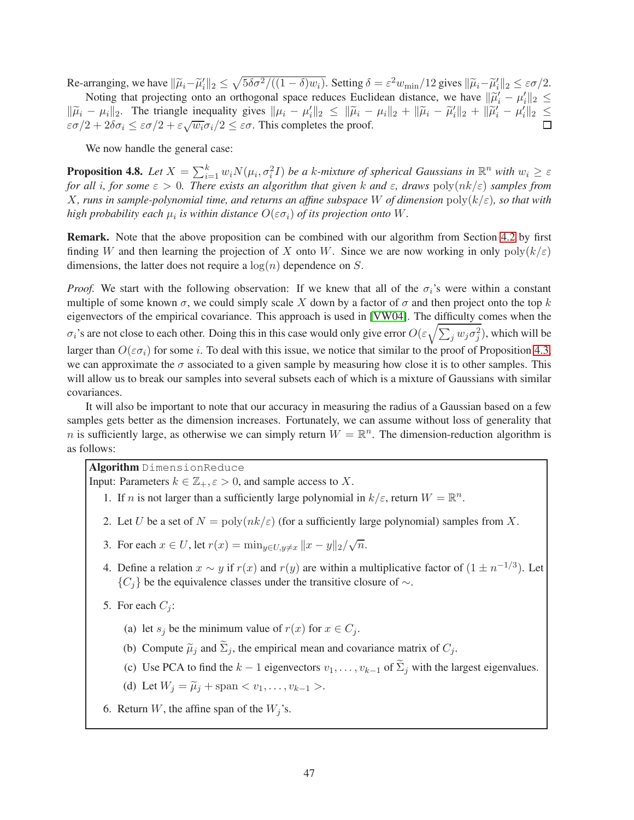Re-arranging, we have  $\|\widetilde{\mu}_i-\widetilde{\mu}'_i\|_2 \leq \sqrt{5\delta\sigma^2/((1-\delta)w_i)}$ . Setting  $\delta = \varepsilon^2 w_{\min}/12$  gives  $\|\widetilde{\mu}_i-\widetilde{\mu}'_i\|_2 \leq \varepsilon\sigma/2$ .

Noting that projecting onto an orthogonal space reduces Euclidean distance, we have  $\|\widetilde{\mu}'_i - \mu'_i\|_2 \le$  $\|\tilde{\mu}_i - \mu_i\|_2$ . The triangle inequality gives  $\|\mu_i - \mu'_i\|_2 \leq \|\tilde{\mu}_i - \mu_i\|_2 + \|\tilde{\mu}_i - \tilde{\mu}'_i\|_2 + \|\tilde{\mu}'_i - \mu'_i\|_2 \leq$  $\epsilon \sigma/2 + 2\delta \sigma_i \leq \epsilon \sigma/2 + \epsilon \sqrt{w_i \sigma_i}/2 \leq \epsilon \sigma$ . This completes the proof.

We now handle the general case:

<span id="page-47-0"></span>**Proposition 4.8.** Let  $X = \sum_{i=1}^{k} w_i N(\mu_i, \sigma_i^2 I)$  be a k-mixture of spherical Gaussians in  $\mathbb{R}^n$  with  $w_i \geq \varepsilon$ *for all* i*, for some* ε > 0*. There exists an algorithm that given* k *and* ε*, draws* poly(nk/ε) *samples from* X*, runs in sample-polynomial time, and returns an affine subspace* W *of dimension* poly(k/ε)*, so that with high probability each*  $\mu_i$  *is within distance*  $O(\varepsilon \sigma_i)$  *of its projection onto*  $W$ *.* 

Remark. Note that the above proposition can be combined with our algorithm from Section [4.2](#page-42-1) by first finding W and then learning the projection of X onto W. Since we are now working in only  $poly(k/\varepsilon)$ dimensions, the latter does not require a  $log(n)$  dependence on S.

*Proof.* We start with the following observation: If we knew that all of the  $\sigma_i$ 's were within a constant multiple of some known  $\sigma$ , we could simply scale X down by a factor of  $\sigma$  and then project onto the top k eigenvectors of the empirical covariance. This approach is used in [\[VW04\]](#page-58-13). The difficulty comes when the  $\sigma_i$ 's are not close to each other. Doing this in this case would only give error  $O(\varepsilon \sqrt{\sum_j w_j \sigma_j^2})$ , which will be larger than  $O(\varepsilon \sigma_i)$  for some i. To deal with this issue, we notice that similar to the proof of Proposition [4.3,](#page-42-0) we can approximate the  $\sigma$  associated to a given sample by measuring how close it is to other samples. This will allow us to break our samples into several subsets each of which is a mixture of Gaussians with similar covariances.

It will also be important to note that our accuracy in measuring the radius of a Gaussian based on a few samples gets better as the dimension increases. Fortunately, we can assume without loss of generality that *n* is sufficiently large, as otherwise we can simply return  $W = \mathbb{R}^n$ . The dimension-reduction algorithm is as follows:

Algorithm DimensionReduce

Input: Parameters  $k \in \mathbb{Z}_+, \varepsilon > 0$ , and sample access to X.

- 1. If *n* is not larger than a sufficiently large polynomial in  $k/\varepsilon$ , return  $W = \mathbb{R}^n$ .
- 2. Let U be a set of  $N = \text{poly}(nk/\varepsilon)$  (for a sufficiently large polynomial) samples from X.
- 3. For each  $x \in U$ , let  $r(x) = \min_{y \in U, y \neq x} ||x y||_2 / \sqrt{n}$ .
- 4. Define a relation  $x \sim y$  if  $r(x)$  and  $r(y)$  are within a multiplicative factor of  $(1 \pm n^{-1/3})$ . Let  ${C<sub>i</sub>}$  be the equivalence classes under the transitive closure of ∼.
- 5. For each  $C_i$ :
	- (a) let  $s_j$  be the minimum value of  $r(x)$  for  $x \in C_j$ .
	- (b) Compute  $\tilde{\mu}_j$  and  $\tilde{\Sigma}_j$ , the empirical mean and covariance matrix of  $C_j$ .
	- (c) Use PCA to find the  $k 1$  eigenvectors  $v_1, \ldots, v_{k-1}$  of  $\widetilde{\Sigma}_i$  with the largest eigenvalues.
	- (d) Let  $W_j = \widetilde{\mu}_j + \text{span} < v_1, \ldots, v_{k-1} >$ .
- 6. Return W, the affine span of the  $W_i$ 's.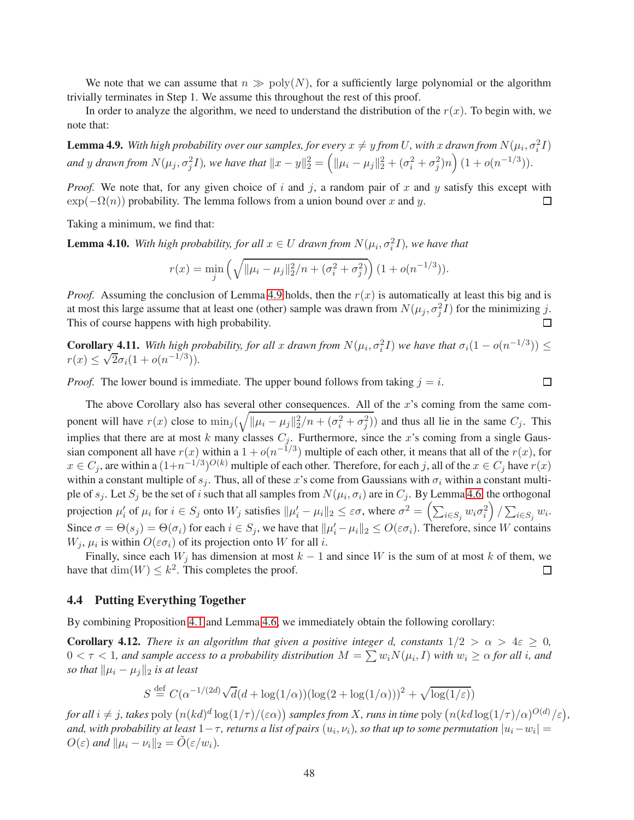We note that we can assume that  $n \gg \text{poly}(N)$ , for a sufficiently large polynomial or the algorithm trivially terminates in Step 1. We assume this throughout the rest of this proof.

In order to analyze the algorithm, we need to understand the distribution of the  $r(x)$ . To begin with, we note that:

<span id="page-48-2"></span>**Lemma 4.9.** With high probability over our samples, for every  $x \neq y$  from U, with x drawn from  $N(\mu_i, \sigma_i^2 I)$ and y drawn from  $N(\mu_j, \sigma_j^2 I)$ , we have that  $||x - y||_2^2 = \left( ||\mu_i - \mu_j||_2^2 + (\sigma_i^2 + \sigma_j^2)n \right) (1 + o(n^{-1/3}))$ .

*Proof.* We note that, for any given choice of i and j, a random pair of x and y satisfy this except with  $\exp(-\Omega(n))$  probability. The lemma follows from a union bound over x and y.  $\Box$ 

Taking a minimum, we find that:

**Lemma 4.10.** With high probability, for all  $x \in U$  drawn from  $N(\mu_i, \sigma_i^2 I)$ , we have that

$$
r(x) = \min_{j} \left( \sqrt{\|\mu_i - \mu_j\|_2^2/n + (\sigma_i^2 + \sigma_j^2)} \right) (1 + o(n^{-1/3})).
$$

*Proof.* Assuming the conclusion of Lemma [4.9](#page-48-2) holds, then the  $r(x)$  is automatically at least this big and is at most this large assume that at least one (other) sample was drawn from  $N(\mu_j, \sigma_j^2 I)$  for the minimizing j. This of course happens with high probability.  $\Box$ 

**Corollary 4.11.** With high probability, for all x drawn from  $N(\mu_i, \sigma_i^2 I)$  we have that  $\sigma_i(1 - o(n^{-1/3})) \le$  $r(x) \leq \sqrt{2}\sigma_i(1 + o(n^{-1/3})).$ 

*Proof.* The lower bound is immediate. The upper bound follows from taking  $i = i$ .

The above Corollary also has several other consequences. All of the  $x$ 's coming from the same component will have  $r(x)$  close to  $\min_j(\sqrt{\|\mu_i - \mu_j\|_2^2/n + (\sigma_i^2 + \sigma_j^2)})$  and thus all lie in the same  $C_j$ . This implies that there are at most k many classes  $C_j$ . Furthermore, since the x's coming from a single Gaussian component all have  $r(x)$  within a  $1 + o(n^{-1/3})$  multiple of each other, it means that all of the  $r(x)$ , for  $x \in C_j$ , are within a  $(1+n^{-1/3})^{O(k)}$  multiple of each other. Therefore, for each j, all of the  $x \in C_j$  have  $r(x)$ within a constant multiple of  $s_j$ . Thus, all of these x's come from Gaussians with  $\sigma_i$  within a constant multiple of  $s_j$ . Let  $S_j$  be the set of i such that all samples from  $N(\mu_i, \sigma_i)$  are in  $C_j$ . By Lemma [4.6,](#page-46-0) the orthogonal projection  $\mu'_i$  of  $\mu_i$  for  $i \in S_j$  onto  $W_j$  satisfies  $\|\mu'_i - \mu_i\|_2 \leq \varepsilon \sigma$ , where  $\sigma^2 = \left(\sum_{i \in S_j} w_i \sigma_i^2\right)$  $\Big) / \sum_{i \in S_j} w_i.$ Since  $\sigma = \Theta(s_j) = \Theta(\sigma_i)$  for each  $i \in S_j$ , we have that  $||\mu'_i - \mu_i||_2 \leq O(\varepsilon \sigma_i)$ . Therefore, since W contains  $W_j$ ,  $\mu_i$  is within  $O(\varepsilon \sigma_i)$  of its projection onto W for all i.

Finally, since each  $W_j$  has dimension at most  $k - 1$  and since W is the sum of at most k of them, we e that  $\dim(W) \leq k^2$ . This completes the proof. have that  $\dim(W) \leq k^2$ . This completes the proof.

## <span id="page-48-1"></span>4.4 Putting Everything Together

By combining Proposition [4.1](#page-40-2) and Lemma [4.6,](#page-46-0) we immediately obtain the following corollary:

<span id="page-48-0"></span>**Corollary 4.12.** *There is an algorithm that given a positive integer d, constants*  $1/2 > \alpha > 4\varepsilon \geq 0$ ,  $0 < \tau < 1$ , and sample access to a probability distribution  $M = \sum w_i N(\mu_i, I)$  with  $w_i \ge \alpha$  for all i, and *so that*  $\|\mu_i - \mu_j\|_2$  *is at least* 

$$
S\stackrel{\mathrm{def}}{=} C(\alpha^{-1/(2d)}\sqrt{d}(d+\log(1/\alpha))(\log(2+\log(1/\alpha)))^2+\sqrt{\log(1/\varepsilon)})
$$

 $f$ or all  $i \neq j$ , takes  $\text{poly}\left(n(kd)^d\log(1/\tau)/(\varepsilon\alpha)\right)$  samples from  $X$ , runs in time  $\text{poly}\left(n(kd\log(1/\tau)/\alpha)^{O(d)}/\varepsilon\right)$ , and, with probability at least  $1-\tau$ , returns a list of pairs  $(u_i, v_i)$ , so that up to some permutation  $|u_i - w_i| =$  $O(\varepsilon)$  and  $\|\mu_i - \nu_i\|_2 = \tilde{O}(\varepsilon/w_i)$ .

 $\Box$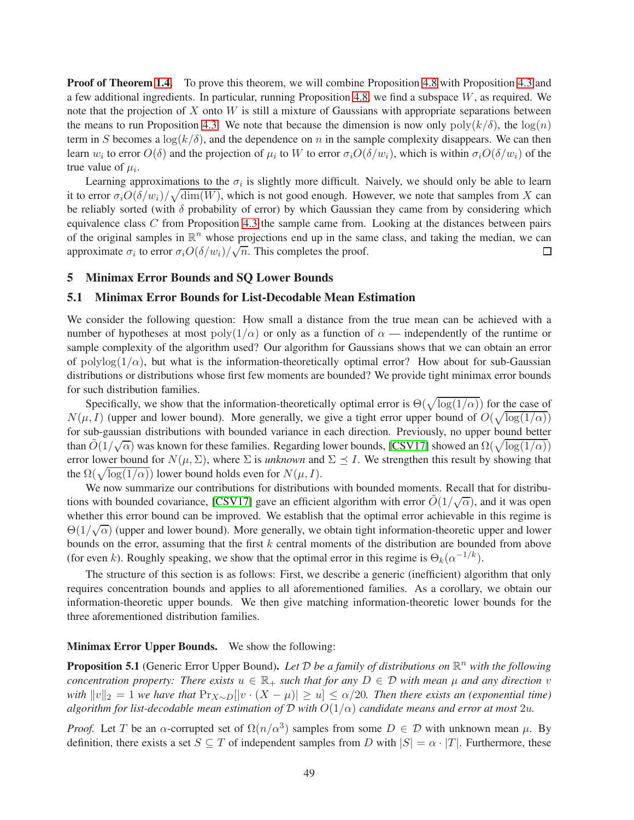**Proof of Theorem [1.4.](#page-6-0)** To prove this theorem, we will combine Proposition [4.8](#page-47-0) with Proposition [4.3](#page-42-0) and a few additional ingredients. In particular, running Proposition [4.8,](#page-47-0) we find a subspace W, as required. We note that the projection of X onto W is still a mixture of Gaussians with appropriate separations between the means to run Proposition [4.3.](#page-42-0) We note that because the dimension is now only  $poly(k/\delta)$ , the  $log(n)$ term in S becomes a  $log(k/\delta)$ , and the dependence on n in the sample complexity disappears. We can then learn  $w_i$  to error  $O(\delta)$  and the projection of  $\mu_i$  to W to error  $\sigma_i O(\delta/w_i)$ , which is within  $\sigma_i O(\delta/w_i)$  of the true value of  $\mu_i$ .

Learning approximations to the  $\sigma_i$  is slightly more difficult. Naively, we should only be able to learn it to error  $\sigma_i O(\delta/w_i)/\sqrt{\dim(W)}$ , which is not good enough. However, we note that samples from X can be reliably sorted (with  $\delta$  probability of error) by which Gaussian they came from by considering which equivalence class  $C$  from Proposition [4.3](#page-42-0) the sample came from. Looking at the distances between pairs of the original samples in  $\mathbb{R}^n$  whose projections end up in the same class, and taking the median, we can approximate  $\sigma_i$  to error  $\sigma_i O(\delta/w_i)/\sqrt{n}$ . This completes the proof.  $\Box$ 

## <span id="page-49-0"></span>5 Minimax Error Bounds and SQ Lower Bounds

#### 5.1 Minimax Error Bounds for List-Decodable Mean Estimation

We consider the following question: How small a distance from the true mean can be achieved with a number of hypotheses at most poly $(1/\alpha)$  or only as a function of  $\alpha$  — independently of the runtime or sample complexity of the algorithm used? Our algorithm for Gaussians shows that we can obtain an error of polylog( $1/\alpha$ ), but what is the information-theoretically optimal error? How about for sub-Gaussian distributions or distributions whose first few moments are bounded? We provide tight minimax error bounds for such distribution families.

Specifically, we show that the information-theoretically optimal error is  $\Theta(\sqrt{\log(1/\alpha)})$  for the case of  $N(\mu, I)$  (upper and lower bound). More generally, we give a tight error upper bound of  $O(\sqrt{\log(1/\alpha)})$ for sub-gaussian distributions with bounded variance in each direction. Previously, no upper bound better than  $\tilde{O}(1/\sqrt{\alpha})$  was known for these families. Regarding lower bounds, [\[CSV17\]](#page-56-0) showed an  $\Omega(\sqrt{\log(1/\alpha)})$ error lower bound for  $N(\mu, \Sigma)$ , where  $\Sigma$  is *unknown* and  $\Sigma \preceq I$ . We strengthen this result by showing that the  $\Omega(\sqrt{\log(1/\alpha)})$  lower bound holds even for  $N(\mu, I)$ .

We now summarize our contributions for distributions with bounded moments. Recall that for distribu-tions with bounded covariance, [\[CSV17\]](#page-56-0) gave an efficient algorithm with error  $\tilde{O}(1/\sqrt{\alpha})$ , and it was open whether this error bound can be improved. We establish that the optimal error achievable in this regime is  $\Theta(1/\sqrt{\alpha})$  (upper and lower bound). More generally, we obtain tight information-theoretic upper and lower bounds on the error, assuming that the first  $k$  central moments of the distribution are bounded from above (for even k). Roughly speaking, we show that the optimal error in this regime is  $\Theta_k(\alpha^{-1/k})$ .

The structure of this section is as follows: First, we describe a generic (inefficient) algorithm that only requires concentration bounds and applies to all aforementioned families. As a corollary, we obtain our information-theoretic upper bounds. We then give matching information-theoretic lower bounds for the three aforementioned distribution families.

## Minimax Error Upper Bounds. We show the following:

<span id="page-49-1"></span>**Proposition 5.1** (Generic Error Upper Bound). Let D be a family of distributions on  $\mathbb{R}^n$  with the following *concentration property: There exists*  $u \in \mathbb{R}_+$  *such that for any*  $D \in \mathcal{D}$  *with mean*  $\mu$  *and any direction*  $v$ *with*  $||v||_2 = 1$  *we have that*  $Pr_{X \sim D}||v \cdot (X - \mu)| \ge u| \le \alpha/20$ *. Then there exists an (exponential time) algorithm for list-decodable mean estimation of*  $\mathcal{D}$  *with*  $O(1/\alpha)$  *candidate means and error at most* 2*u.* 

*Proof.* Let T be an  $\alpha$ -corrupted set of  $\Omega(n/\alpha^3)$  samples from some  $D \in \mathcal{D}$  with unknown mean  $\mu$ . By definition, there exists a set  $S \subseteq T$  of independent samples from D with  $|S| = \alpha \cdot |T|$ . Furthermore, these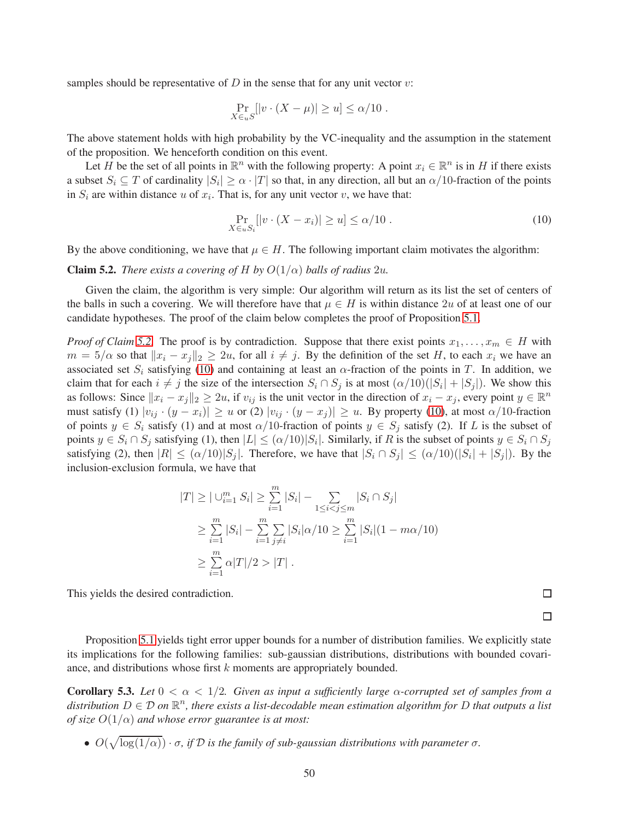samples should be representative of  $D$  in the sense that for any unit vector  $v$ :

$$
\Pr_{X \in uS} [|v \cdot (X - \mu)| \ge u] \le \alpha/10.
$$

The above statement holds with high probability by the VC-inequality and the assumption in the statement of the proposition. We henceforth condition on this event.

Let H be the set of all points in  $\mathbb{R}^n$  with the following property: A point  $x_i \in \mathbb{R}^n$  is in H if there exists a subset  $S_i \subseteq T$  of cardinality  $|S_i| \ge \alpha \cdot |T|$  so that, in any direction, all but an  $\alpha/10$ -fraction of the points in  $S_i$  are within distance u of  $x_i$ . That is, for any unit vector v, we have that:

<span id="page-50-1"></span>
$$
\Pr_{X \in uS_i} [|v \cdot (X - x_i)| \ge u] \le \alpha/10.
$$
\n(10)

By the above conditioning, we have that  $\mu \in H$ . The following important claim motivates the algorithm:

<span id="page-50-0"></span>**Claim 5.2.** *There exists a covering of H by*  $O(1/\alpha)$  *balls of radius* 2*u*.

Given the claim, the algorithm is very simple: Our algorithm will return as its list the set of centers of the balls in such a covering. We will therefore have that  $\mu \in H$  is within distance 2u of at least one of our candidate hypotheses. The proof of the claim below completes the proof of Proposition [5.1.](#page-49-1)

*Proof of Claim* [5.2.](#page-50-0) The proof is by contradiction. Suppose that there exist points  $x_1, \ldots, x_m \in H$  with  $m = 5/\alpha$  so that  $||x_i - x_j||_2 \ge 2u$ , for all  $i \ne j$ . By the definition of the set H, to each  $x_i$  we have an associated set  $S_i$  satisfying [\(10\)](#page-50-1) and containing at least an  $\alpha$ -fraction of the points in T. In addition, we claim that for each  $i \neq j$  the size of the intersection  $S_i \cap S_j$  is at most  $(\alpha/10)(|S_i| + |S_j|)$ . We show this as follows: Since  $||x_i - x_j||_2 \ge 2u$ , if  $v_{ij}$  is the unit vector in the direction of  $x_i - x_j$ , every point  $y \in \mathbb{R}^n$ must satisfy (1)  $|v_{ij} \cdot (y - x_i)| \ge u$  or (2)  $|v_{ij} \cdot (y - x_j)| \ge u$ . By property [\(10\)](#page-50-1), at most  $\alpha/10$ -fraction of points  $y \in S_i$  satisfy (1) and at most  $\alpha/10$ -fraction of points  $y \in S_j$  satisfy (2). If L is the subset of points  $y \in S_i \cap S_j$  satisfying (1), then  $|L| \leq (\alpha/10)|S_i|$ . Similarly, if R is the subset of points  $y \in S_i \cap S_j$ satisfying (2), then  $|R| \leq (\alpha/10)|S_j|$ . Therefore, we have that  $|S_i \cap S_j| \leq (\alpha/10)(|S_i| + |S_j|)$ . By the inclusion-exclusion formula, we have that

$$
|T| \geq |\bigcup_{i=1}^{m} S_i| \geq \sum_{i=1}^{m} |S_i| - \sum_{1 \leq i < j \leq m} |S_i \cap S_j|
$$
  
\n
$$
\geq \sum_{i=1}^{m} |S_i| - \sum_{i=1}^{m} \sum_{j \neq i} |S_i| \alpha/10 \geq \sum_{i=1}^{m} |S_i| (1 - m\alpha/10)
$$
  
\n
$$
\geq \sum_{i=1}^{m} \alpha |T|/2 > |T|.
$$

This yields the desired contradiction.

 $\Box$ 

 $\Box$ 

Proposition [5.1](#page-49-1) yields tight error upper bounds for a number of distribution families. We explicitly state its implications for the following families: sub-gaussian distributions, distributions with bounded covariance, and distributions whose first  $k$  moments are appropriately bounded.

**Corollary 5.3.** Let  $0 < \alpha < 1/2$ . Given as input a sufficiently large  $\alpha$ -corrupted set of samples from a distribution  $D \in \mathcal{D}$  on  $\mathbb{R}^n$ , there exists a list-decodable mean estimation algorithm for D that outputs a list *of size*  $O(1/\alpha)$  *and whose error guarantee is at most:* 

•  $O(\sqrt{\log(1/\alpha)}) \cdot \sigma$ , if  $D$  is the family of sub-gaussian distributions with parameter  $\sigma$ .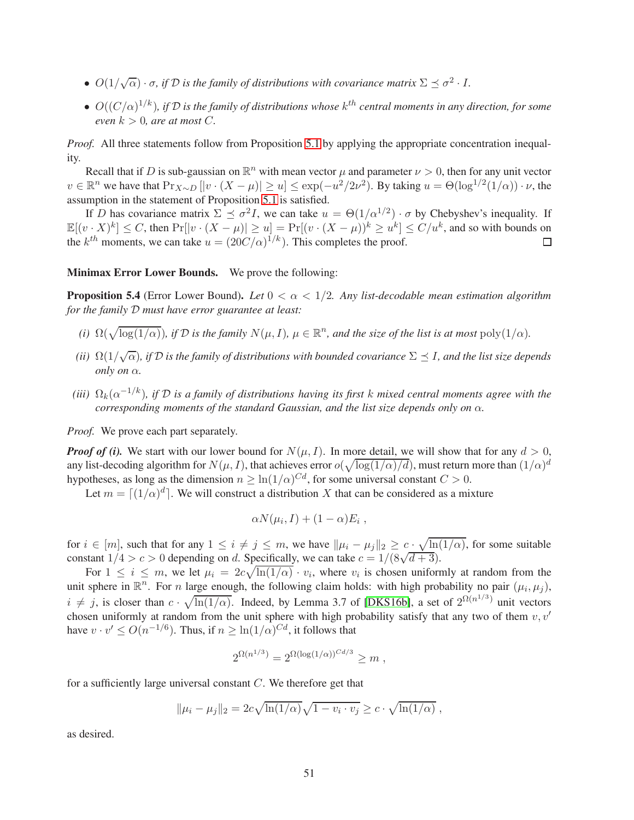- $O(1/\sqrt{\alpha}) \cdot \sigma$ , if  $D$  is the family of distributions with covariance matrix  $\Sigma \preceq \sigma^2 \cdot I$ .
- $O((C/\alpha)^{1/k})$ , if  $D$  is the family of distributions whose  $k^{th}$  central moments in any direction, for some *even*  $k > 0$ *, are at most*  $C$ *.*

*Proof.* All three statements follow from Proposition [5.1](#page-49-1) by applying the appropriate concentration inequality.

Recall that if D is sub-gaussian on  $\mathbb{R}^n$  with mean vector  $\mu$  and parameter  $\nu > 0$ , then for any unit vector  $v \in \mathbb{R}^n$  we have that  $Pr_{X \sim D} [ |v \cdot (X - \mu)| \ge u] \le \exp(-u^2/2\nu^2)$ . By taking  $u = \Theta(\log^{1/2}(1/\alpha)) \cdot \nu$ , the assumption in the statement of Proposition [5.1](#page-49-1) is satisfied.

If D has covariance matrix  $\Sigma \preceq \sigma^2 I$ , we can take  $u = \Theta(1/\alpha^{1/2}) \cdot \sigma$  by Chebyshev's inequality. If  $\mathbb{E}[(v \cdot X)^k] \leq C$ , then  $\Pr[|v \cdot (X - \mu)| \geq u] = \Pr[(v \cdot (X - \mu))^k \geq u^k] \leq C/u^k$ , and so with bounds on the  $k^{th}$  moments, we can take  $u = (20C/\alpha)^{1/k}$ ). This completes the proof.  $\Box$ 

## Minimax Error Lower Bounds. We prove the following:

**Proposition 5.4** (Error Lower Bound). Let  $0 < \alpha < 1/2$ . Any list-decodable mean estimation algorithm *for the family* D *must have error guarantee at least:*

- *(i)*  $\Omega(\sqrt{\log(1/\alpha)})$ , if  $D$  is the family  $N(\mu, I)$ ,  $\mu \in \mathbb{R}^n$ , and the size of the list is at most  $\text{poly}(1/\alpha)$ .
- *(ii)*  $\Omega(1/\sqrt{\alpha})$ , if  $D$  is the family of distributions with bounded covariance  $\Sigma \preceq I$ , and the list size depends *only on*  $\alpha$ *.*
- *(iii)*  $\Omega_k(\alpha^{-1/k})$ , if  $D$  is a family of distributions having its first k mixed central moments agree with the *corresponding moments of the standard Gaussian, and the list size depends only on*  $\alpha$ *.*

*Proof.* We prove each part separately.

*Proof of (i).* We start with our lower bound for  $N(\mu, I)$ . In more detail, we will show that for any  $d > 0$ , any list-decoding algorithm for  $N(\mu, I)$ , that achieves error  $o(\sqrt{\log(1/\alpha)/d})$ , must return more than  $(1/\alpha)^d$ hypotheses, as long as the dimension  $n \geq \ln(1/\alpha)^{Cd}$ , for some universal constant  $C > 0$ .

Let  $m = \lfloor (1/\alpha)^d \rfloor$ . We will construct a distribution X that can be considered as a mixture

$$
\alpha N(\mu_i, I) + (1 - \alpha) E_i ,
$$

for  $i \in [m]$ , such that for any  $1 \leq i \neq j \leq m$ , we have  $\|\mu_i - \mu_j\|_2 \geq c \cdot \sqrt{\ln(1/\alpha)}$ , for some suitable constant  $1/4 > c > 0$  depending on d. Specifically, we can take  $c = 1/(8\sqrt{d+3})$ .

For  $1 \leq i \leq m$ , we let  $\mu_i = 2c\sqrt{\ln(1/\alpha)} \cdot v_i$ , where  $v_i$  is chosen uniformly at random from the unit sphere in  $\mathbb{R}^n$ . For *n* large enough, the following claim holds: with high probability no pair  $(\mu_i, \mu_j)$ ,  $i \neq j$ , is closer than  $c \cdot \sqrt{\ln(1/\alpha)}$ . Indeed, by Lemma 3.7 of [\[DKS16b\]](#page-56-6), a set of  $2^{\Omega(n^{1/3})}$  unit vectors chosen uniformly at random from the unit sphere with high probability satisfy that any two of them  $v, v'$ have  $v \cdot v' \leq O(n^{-1/6})$ . Thus, if  $n \geq \ln(1/\alpha)^{Cd}$ , it follows that

$$
2^{\Omega(n^{1/3})} = 2^{\Omega(\log(1/\alpha))^{Cd/3}} \ge m ,
$$

for a sufficiently large universal constant C. We therefore get that

$$
\|\mu_i - \mu_j\|_2 = 2c\sqrt{\ln(1/\alpha)}\sqrt{1 - v_i \cdot v_j} \ge c \cdot \sqrt{\ln(1/\alpha)},
$$

as desired.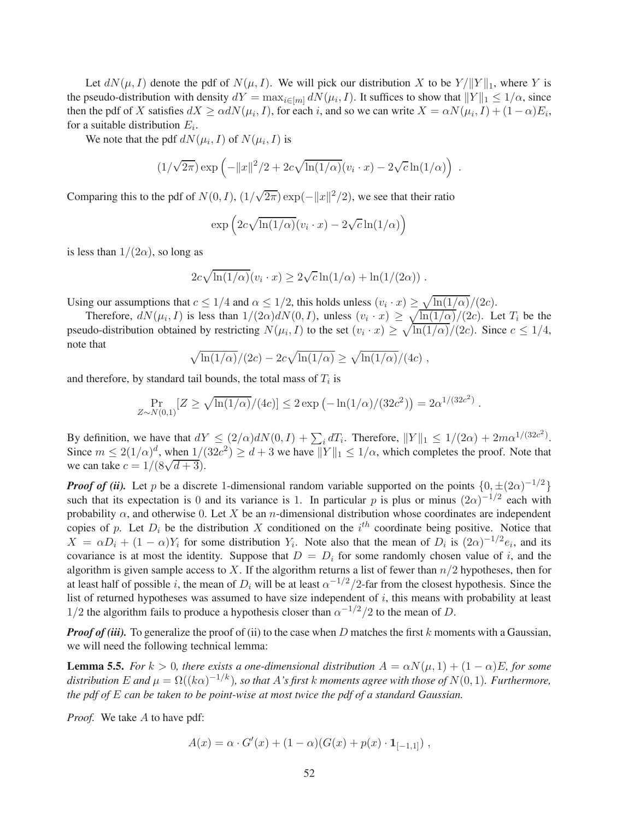Let  $dN(\mu, I)$  denote the pdf of  $N(\mu, I)$ . We will pick our distribution X to be  $Y/||Y||_1$ , where Y is the pseudo-distribution with density  $dY = \max_{i \in [m]} dN(\mu_i, I)$ . It suffices to show that  $||Y||_1 \leq 1/\alpha$ , since then the pdf of X satisfies  $dX \ge \alpha dN(\mu_i, I)$ , for each i, and so we can write  $X = \alpha N(\mu_i, I) + (1 - \alpha)E_i$ , for a suitable distribution  $E_i$ .

We note that the pdf  $dN(\mu_i, I)$  of  $N(\mu_i, I)$  is

$$
(1/\sqrt{2\pi})\exp\left(-\|x\|^2/2+2c\sqrt{\ln(1/\alpha)}(v_i\cdot x)-2\sqrt{c}\ln(1/\alpha)\right).
$$

Comparing this to the pdf of  $N(0, I)$ ,  $(1/\sqrt{2\pi}) \exp(-||x||^2/2)$ , we see that their ratio

$$
\exp\left(2c\sqrt{\ln(1/\alpha)}(v_i\cdot x) - 2\sqrt{c}\ln(1/\alpha)\right)
$$

is less than  $1/(2\alpha)$ , so long as

$$
2c\sqrt{\ln(1/\alpha)}(v_i \cdot x) \ge 2\sqrt{c}\ln(1/\alpha) + \ln(1/(2\alpha))
$$
.

Using our assumptions that  $c \leq 1/4$  and  $\alpha \leq 1/2$ , this holds unless  $(v_i \cdot x) \geq \sqrt{\ln(1/\alpha)}/(2c)$ .

Therefore,  $dN(\mu_i, I)$  is less than  $1/(2\alpha)dN(0, I)$ , unless  $(v_i \cdot x) \geq \sqrt{\ln(1/\alpha)}/(2c)$ . Let  $T_i$  be the pseudo-distribution obtained by restricting  $N(\mu_i, I)$  to the set  $(v_i \cdot x) \ge \sqrt{\ln(1/\alpha)}/(2c)$ . Since  $c \le 1/4$ , note that

$$
\sqrt{\ln(1/\alpha)}/(2c) - 2c\sqrt{\ln(1/\alpha)} \ge \sqrt{\ln(1/\alpha)}/(4c) ,
$$

and therefore, by standard tail bounds, the total mass of  $T_i$  is

$$
\Pr_{Z \sim N(0,1)}[Z \ge \sqrt{\ln(1/\alpha)}/(4c)] \le 2 \exp(-\ln(1/\alpha)/(32c^2)) = 2\alpha^{1/(32c^2)}.
$$

By definition, we have that  $dY \leq (2/\alpha)dN(0, I) + \sum_i dT_i$ . Therefore,  $||Y||_1 \leq 1/(2\alpha) + 2m\alpha^{1/(32c^2)}$ . Since  $m \leq 2(1/\alpha)^d$ , when  $1/(32c^2) \geq d+3$  we have  $||Y||_1 \leq 1/\alpha$ , which completes the proof. Note that we can take  $c = 1/(8\sqrt{d+3})$ .

*Proof of (ii).* Let p be a discrete 1-dimensional random variable supported on the points  $\{0, \pm (2\alpha)^{-1/2}\}$ such that its expectation is 0 and its variance is 1. In particular p is plus or minus  $(2\alpha)^{-1/2}$  each with probability  $\alpha$ , and otherwise 0. Let X be an *n*-dimensional distribution whose coordinates are independent copies of p. Let  $D_i$  be the distribution X conditioned on the  $i^{th}$  coordinate being positive. Notice that  $X = \alpha D_i + (1 - \alpha)Y_i$  for some distribution  $Y_i$ . Note also that the mean of  $D_i$  is  $(2\alpha)^{-1/2}e_i$ , and its covariance is at most the identity. Suppose that  $D = D_i$  for some randomly chosen value of i, and the algorithm is given sample access to X. If the algorithm returns a list of fewer than  $n/2$  hypotheses, then for at least half of possible *i*, the mean of  $D_i$  will be at least  $\alpha^{-1/2}/2$ -far from the closest hypothesis. Since the list of returned hypotheses was assumed to have size independent of  $i$ , this means with probability at least 1/2 the algorithm fails to produce a hypothesis closer than  $\alpha^{-1/2}/2$  to the mean of D.

*Proof of (iii).* To generalize the proof of (ii) to the case when D matches the first k moments with a Gaussian, we will need the following technical lemma:

<span id="page-52-0"></span>**Lemma 5.5.** *For*  $k > 0$ *, there exists a one-dimensional distribution*  $A = \alpha N(\mu, 1) + (1 - \alpha)E$ *, for some* distribution E and  $\mu = \Omega((k\alpha)^{-1/k})$ , so that A's first k moments agree with those of  $N(0, 1)$ . Furthermore, *the pdf of* E *can be taken to be point-wise at most twice the pdf of a standard Gaussian.*

*Proof.* We take A to have pdf:

$$
A(x) = \alpha \cdot G'(x) + (1 - \alpha)(G(x) + p(x) \cdot \mathbf{1}_{[-1,1]}) ,
$$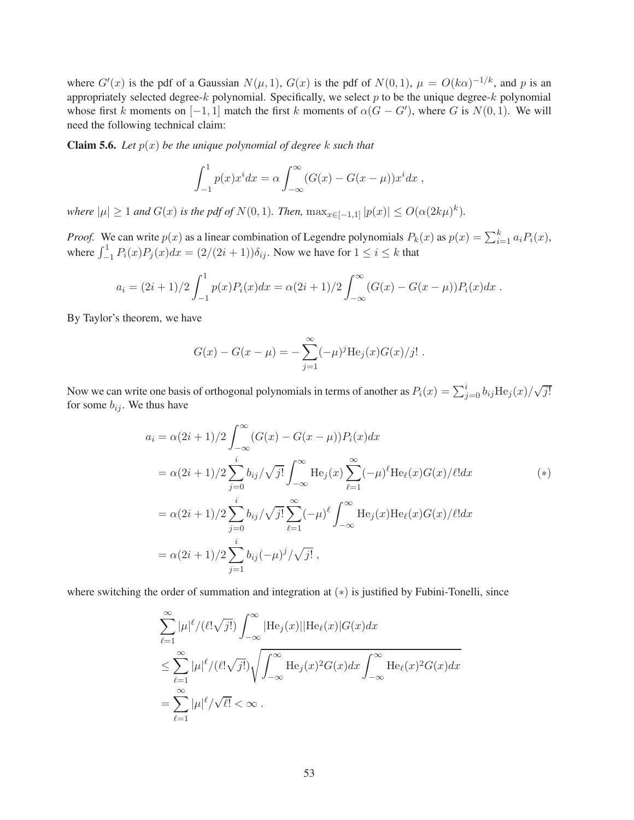where  $G'(x)$  is the pdf of a Gaussian  $N(\mu, 1)$ ,  $G(x)$  is the pdf of  $N(0, 1)$ ,  $\mu = O(k\alpha)^{-1/k}$ , and p is an appropriately selected degree-k polynomial. Specifically, we select  $p$  to be the unique degree-k polynomial whose first k moments on  $[-1, 1]$  match the first k moments of  $\alpha(G - G')$ , where G is  $N(0, 1)$ . We will need the following technical claim:

<span id="page-53-0"></span>**Claim 5.6.** Let  $p(x)$  be the unique polynomial of degree k such that

$$
\int_{-1}^{1} p(x)x^{i} dx = \alpha \int_{-\infty}^{\infty} (G(x) - G(x - \mu))x^{i} dx ,
$$

*where*  $|\mu| \ge 1$  *and*  $G(x)$  *is the pdf of*  $N(0, 1)$ *. Then,*  $\max_{x \in [-1, 1]} |p(x)| \le O(\alpha(2k\mu)^k)$ *.* 

*Proof.* We can write  $p(x)$  as a linear combination of Legendre polynomials  $P_k(x)$  as  $p(x) = \sum_{i=1}^k a_i P_i(x)$ , where  $\int_{-1}^{1} P_i(x)P_j(x)dx = (2/(2i + 1))\delta_{ij}$ . Now we have for  $1 \le i \le k$  that

$$
a_i = (2i+1)/2 \int_{-1}^1 p(x)P_i(x)dx = \alpha(2i+1)/2 \int_{-\infty}^\infty (G(x) - G(x-\mu))P_i(x)dx.
$$

By Taylor's theorem, we have

$$
G(x) - G(x - \mu) = -\sum_{j=1}^{\infty} (-\mu)^j \text{He}_j(x) G(x)/j! .
$$

Now we can write one basis of orthogonal polynomials in terms of another as  $P_i(x) = \sum_{j=0}^{i} b_{ij} \text{He}_j(x) / \sqrt{j!}$ for some  $b_{ij}$ . We thus have

$$
a_i = \alpha(2i+1)/2 \int_{-\infty}^{\infty} (G(x) - G(x - \mu)) P_i(x) dx
$$
  
\n
$$
= \alpha(2i+1)/2 \sum_{j=0}^{i} b_{ij} / \sqrt{j!} \int_{-\infty}^{\infty} \text{He}_j(x) \sum_{\ell=1}^{\infty} (-\mu)^{\ell} \text{He}_{\ell}(x) G(x) / \ell! dx \qquad (*)
$$
  
\n
$$
= \alpha(2i+1)/2 \sum_{j=0}^{i} b_{ij} / \sqrt{j!} \sum_{\ell=1}^{\infty} (-\mu)^{\ell} \int_{-\infty}^{\infty} \text{He}_j(x) \text{He}_{\ell}(x) G(x) / \ell! dx
$$
  
\n
$$
= \alpha(2i+1)/2 \sum_{j=1}^{i} b_{ij} (-\mu)^j / \sqrt{j!},
$$

where switching the order of summation and integration at (∗) is justified by Fubini-Tonelli, since

$$
\sum_{\ell=1}^{\infty} |\mu|^{\ell} / (\ell! \sqrt{j!}) \int_{-\infty}^{\infty} |{\rm He}_j(x)| |{\rm He}_{\ell}(x)| G(x) dx
$$
  
\n
$$
\leq \sum_{\ell=1}^{\infty} |\mu|^{\ell} / (\ell! \sqrt{j!}) \sqrt{\int_{-\infty}^{\infty} {\rm He}_j(x)^2 G(x) dx} \int_{-\infty}^{\infty} {\rm He}_{\ell}(x)^2 G(x) dx
$$
  
\n
$$
= \sum_{\ell=1}^{\infty} |\mu|^{\ell} / \sqrt{\ell!} < \infty .
$$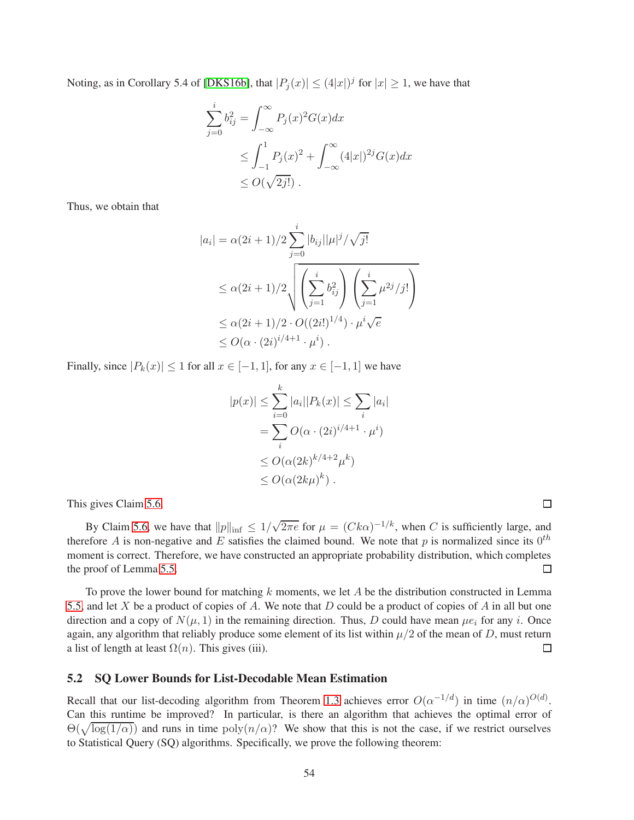Noting, as in Corollary 5.4 of [\[DKS16b\]](#page-56-6), that  $|P_j(x)| \leq (4|x|)^j$  for  $|x| \geq 1$ , we have that

$$
\sum_{j=0}^{i} b_{ij}^{2} = \int_{-\infty}^{\infty} P_j(x)^2 G(x) dx
$$
  
\n
$$
\leq \int_{-1}^{1} P_j(x)^2 + \int_{-\infty}^{\infty} (4|x|)^{2j} G(x) dx
$$
  
\n
$$
\leq O(\sqrt{2j!}).
$$

Thus, we obtain that

$$
|a_i| = \alpha (2i + 1)/2 \sum_{j=0}^i |b_{ij}| |\mu|^j / \sqrt{j!}
$$
  
\n
$$
\leq \alpha (2i + 1)/2 \sqrt{\left(\sum_{j=1}^i b_{ij}^2\right) \left(\sum_{j=1}^i \mu^{2j}/j!\right)}
$$
  
\n
$$
\leq \alpha (2i + 1)/2 \cdot O((2i!)^{1/4}) \cdot \mu^i \sqrt{e}
$$
  
\n
$$
\leq O(\alpha \cdot (2i)^{i/4+1} \cdot \mu^i).
$$

Finally, since  $|P_k(x)| \le 1$  for all  $x \in [-1, 1]$ , for any  $x \in [-1, 1]$  we have

$$
|p(x)| \leq \sum_{i=0}^{k} |a_i| |P_k(x)| \leq \sum_i |a_i|
$$
  
= 
$$
\sum_i O(\alpha \cdot (2i)^{i/4+1} \cdot \mu^i)
$$
  

$$
\leq O(\alpha (2k)^{k/4+2} \mu^k)
$$
  

$$
\leq O(\alpha (2k\mu)^k).
$$

This gives Claim [5.6.](#page-53-0)

By Claim [5.6,](#page-53-0) we have that  $||p||_{\text{inf}} \leq 1/\sqrt{2\pi e}$  for  $\mu = (Ck\alpha)^{-1/k}$ , when C is sufficiently large, and therefore A is non-negative and E satisfies the claimed bound. We note that p is normalized since its  $0^{th}$ moment is correct. Therefore, we have constructed an appropriate probability distribution, which completes the proof of Lemma [5.5.](#page-52-0)  $\Box$ 

To prove the lower bound for matching k moments, we let A be the distribution constructed in Lemma [5.5,](#page-52-0) and let X be a product of copies of A. We note that D could be a product of copies of A in all but one direction and a copy of  $N(\mu, 1)$  in the remaining direction. Thus, D could have mean  $\mu e_i$  for any i. Once again, any algorithm that reliably produce some element of its list within  $\mu/2$  of the mean of D, must return a list of length at least  $\Omega(n)$ . This gives (iii).  $\Box$ 

## <span id="page-54-0"></span>5.2 SQ Lower Bounds for List-Decodable Mean Estimation

Recall that our list-decoding algorithm from Theorem [1.3](#page-4-1) achieves error  $O(\alpha^{-1/d})$  in time  $(n/\alpha)^{O(d)}$ . Can this runtime be improved? In particular, is there an algorithm that achieves the optimal error of  $\Theta(\sqrt{\log(1/\alpha)})$  and runs in time  $\text{poly}(n/\alpha)$ ? We show that this is not the case, if we restrict ourselves to Statistical Query (SQ) algorithms. Specifically, we prove the following theorem:

 $\Box$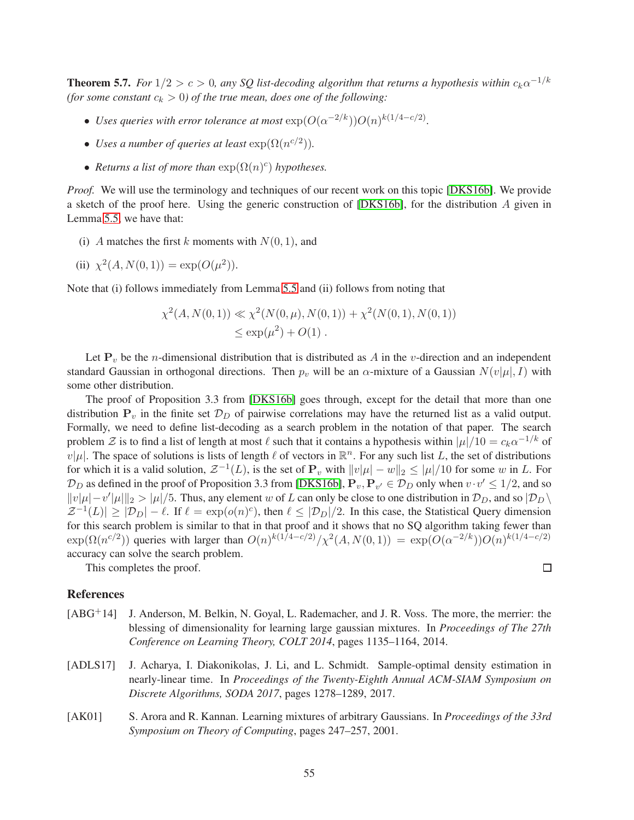**Theorem 5.7.** *For*  $1/2 > c > 0$ , any SQ list-decoding algorithm that returns a hypothesis within  $c_k \alpha^{-1/k}$ *(for some constant*  $c_k > 0$ *) of the true mean, does one of the following:* 

- Uses queries with error tolerance at most  $\exp(O(\alpha^{-2/k}))O(n)^{k(1/4-c/2)}$ .
- *Uses a number of queries at least*  $\exp(\Omega(n^{c/2}))$ .
- *Returns a list of more than*  $\exp(\Omega(n)^c)$  *hypotheses.*

*Proof.* We will use the terminology and techniques of our recent work on this topic [\[DKS16b\]](#page-56-6). We provide a sketch of the proof here. Using the generic construction of [\[DKS16b\]](#page-56-6), for the distribution A given in Lemma [5.5,](#page-52-0) we have that:

- (i) A matches the first k moments with  $N(0, 1)$ , and
- (ii)  $\chi^2(A, N(0, 1)) = \exp(O(\mu^2)).$

Note that (i) follows immediately from Lemma [5.5](#page-52-0) and (ii) follows from noting that

$$
\chi^2(A, N(0, 1)) \ll \chi^2(N(0, \mu), N(0, 1)) + \chi^2(N(0, 1), N(0, 1))
$$
  
\$\leq \exp(\mu^2) + O(1)\$.

Let  $P_v$  be the *n*-dimensional distribution that is distributed as A in the *v*-direction and an independent standard Gaussian in orthogonal directions. Then  $p_v$  will be an  $\alpha$ -mixture of a Gaussian  $N(v|\mu|, I)$  with some other distribution.

The proof of Proposition 3.3 from [\[DKS16b\]](#page-56-6) goes through, except for the detail that more than one distribution  $P_v$  in the finite set  $\mathcal{D}_D$  of pairwise correlations may have the returned list as a valid output. Formally, we need to define list-decoding as a search problem in the notation of that paper. The search problem  $\mathcal Z$  is to find a list of length at most  $\ell$  such that it contains a hypothesis within  $|\mu|/10 = c_k \alpha^{-1/k}$  of  $v|\mu|$ . The space of solutions is lists of length  $\ell$  of vectors in  $\mathbb{R}^n$ . For any such list L, the set of distributions for which it is a valid solution,  $\mathcal{Z}^{-1}(L)$ , is the set of  $P_v$  with  $||v|| \mu - w||_2 \leq |\mu|/10$  for some w in L. For  $\mathcal{D}_D$  as defined in the proof of Proposition 3.3 from [\[DKS16b\]](#page-56-6),  $P_v$ ,  $P_{v'} \in \mathcal{D}_D$  only when  $v \cdot v' \le 1/2$ , and so  $||v|\mu|-v'|\mu|||_2 > |\mu|/5$ . Thus, any element w of L can only be close to one distribution in  $\mathcal{D}_D$ , and so  $|\mathcal{D}_D \setminus \mathcal{D}_D|$  $\mathcal{Z}^{-1}(L)| \geq |\mathcal{D}_D| - \ell$ . If  $\ell = \exp(o(n)^c)$ , then  $\ell \leq |\mathcal{D}_D|/2$ . In this case, the Statistical Query dimension for this search problem is similar to that in that proof and it shows that no SQ algorithm taking fewer than  $\exp(\Omega(n^{c/2}))$  queries with larger than  $O(n)^{k(1/4-c/2)}/\chi^2(A, N(0, 1)) = \exp(O(\alpha^{-2/k}))O(n)^{k(1/4-c/2)}$ accuracy can solve the search problem.

This completes the proof.

## References

<span id="page-55-1"></span>[ABG+14] J. Anderson, M. Belkin, N. Goyal, L. Rademacher, and J. R. Voss. The more, the merrier: the blessing of dimensionality for learning large gaussian mixtures. In *Proceedings of The 27th Conference on Learning Theory, COLT 2014*, pages 1135–1164, 2014.

 $\Box$ 

- <span id="page-55-2"></span>[ADLS17] J. Acharya, I. Diakonikolas, J. Li, and L. Schmidt. Sample-optimal density estimation in nearly-linear time. In *Proceedings of the Twenty-Eighth Annual ACM-SIAM Symposium on Discrete Algorithms, SODA 2017*, pages 1278–1289, 2017.
- <span id="page-55-0"></span>[AK01] S. Arora and R. Kannan. Learning mixtures of arbitrary Gaussians. In *Proceedings of the 33rd Symposium on Theory of Computing*, pages 247–257, 2001.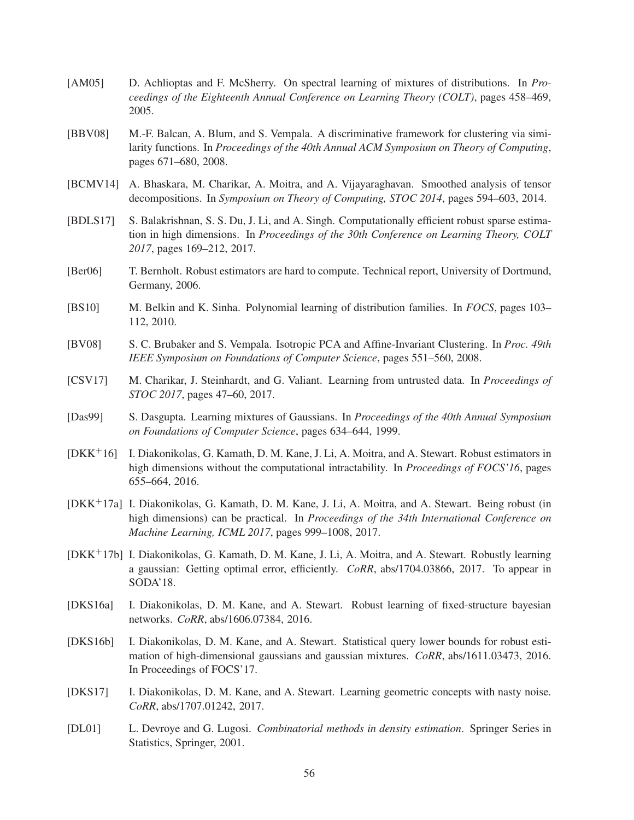- <span id="page-56-11"></span>[AM05] D. Achlioptas and F. McSherry. On spectral learning of mixtures of distributions. In *Proceedings of the Eighteenth Annual Conference on Learning Theory (COLT)*, pages 458–469, 2005.
- <span id="page-56-4"></span>[BBV08] M.-F. Balcan, A. Blum, and S. Vempala. A discriminative framework for clustering via similarity functions. In *Proceedings of the 40th Annual ACM Symposium on Theory of Computing*, pages 671–680, 2008.
- <span id="page-56-14"></span>[BCMV14] A. Bhaskara, M. Charikar, A. Moitra, and A. Vijayaraghavan. Smoothed analysis of tensor decompositions. In *Symposium on Theory of Computing, STOC 2014*, pages 594–603, 2014.
- <span id="page-56-8"></span>[BDLS17] S. Balakrishnan, S. S. Du, J. Li, and A. Singh. Computationally efficient robust sparse estimation in high dimensions. In *Proceedings of the 30th Conference on Learning Theory, COLT 2017*, pages 169–212, 2017.
- <span id="page-56-1"></span>[Ber06] T. Bernholt. Robust estimators are hard to compute. Technical report, University of Dortmund, Germany, 2006.
- <span id="page-56-13"></span>[BS10] M. Belkin and K. Sinha. Polynomial learning of distribution families. In *FOCS*, pages 103– 112, 2010.
- <span id="page-56-12"></span>[BV08] S. C. Brubaker and S. Vempala. Isotropic PCA and Affine-Invariant Clustering. In *Proc. 49th IEEE Symposium on Foundations of Computer Science*, pages 551–560, 2008.
- <span id="page-56-0"></span>[CSV17] M. Charikar, J. Steinhardt, and G. Valiant. Learning from untrusted data. In *Proceedings of STOC 2017*, pages 47–60, 2017.
- <span id="page-56-5"></span>[Das99] S. Dasgupta. Learning mixtures of Gaussians. In *Proceedings of the 40th Annual Symposium on Foundations of Computer Science*, pages 634–644, 1999.
- <span id="page-56-2"></span>[DKK+16] I. Diakonikolas, G. Kamath, D. M. Kane, J. Li, A. Moitra, and A. Stewart. Robust estimators in high dimensions without the computational intractability. In *Proceedings of FOCS'16*, pages 655–664, 2016.
- <span id="page-56-10"></span>[DKK+17a] I. Diakonikolas, G. Kamath, D. M. Kane, J. Li, A. Moitra, and A. Stewart. Being robust (in high dimensions) can be practical. In *Proceedings of the 34th International Conference on Machine Learning, ICML 2017*, pages 999–1008, 2017.
- <span id="page-56-3"></span>[DKK+17b] I. Diakonikolas, G. Kamath, D. M. Kane, J. Li, A. Moitra, and A. Stewart. Robustly learning a gaussian: Getting optimal error, efficiently. *CoRR*, abs/1704.03866, 2017. To appear in SODA'18.
- <span id="page-56-7"></span>[DKS16a] I. Diakonikolas, D. M. Kane, and A. Stewart. Robust learning of fixed-structure bayesian networks. *CoRR*, abs/1606.07384, 2016.
- <span id="page-56-6"></span>[DKS16b] I. Diakonikolas, D. M. Kane, and A. Stewart. Statistical query lower bounds for robust estimation of high-dimensional gaussians and gaussian mixtures. *CoRR*, abs/1611.03473, 2016. In Proceedings of FOCS'17.
- <span id="page-56-9"></span>[DKS17] I. Diakonikolas, D. M. Kane, and A. Stewart. Learning geometric concepts with nasty noise. *CoRR*, abs/1707.01242, 2017.
- <span id="page-56-15"></span>[DL01] L. Devroye and G. Lugosi. *Combinatorial methods in density estimation*. Springer Series in Statistics, Springer, 2001.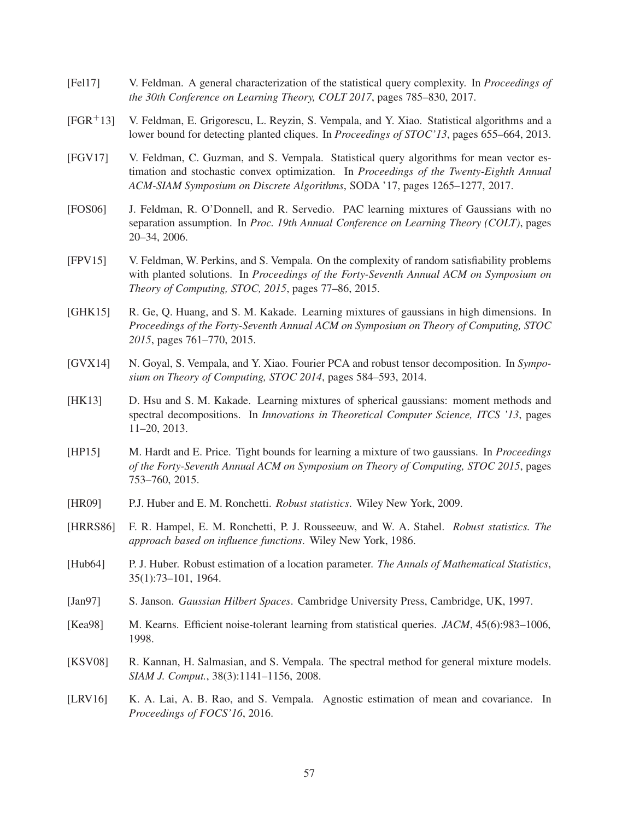- <span id="page-57-8"></span>[Fel17] V. Feldman. A general characterization of the statistical query complexity. In *Proceedings of the 30th Conference on Learning Theory, COLT 2017*, pages 785–830, 2017.
- <span id="page-57-5"></span>[FGR+13] V. Feldman, E. Grigorescu, L. Reyzin, S. Vempala, and Y. Xiao. Statistical algorithms and a lower bound for detecting planted cliques. In *Proceedings of STOC'13*, pages 655–664, 2013.
- <span id="page-57-7"></span>[FGV17] V. Feldman, C. Guzman, and S. Vempala. Statistical query algorithms for mean vector estimation and stochastic convex optimization. In *Proceedings of the Twenty-Eighth Annual ACM-SIAM Symposium on Discrete Algorithms*, SODA '17, pages 1265–1277, 2017.
- <span id="page-57-14"></span>[FOS06] J. Feldman, R. O'Donnell, and R. Servedio. PAC learning mixtures of Gaussians with no separation assumption. In *Proc. 19th Annual Conference on Learning Theory (COLT)*, pages 20–34, 2006.
- <span id="page-57-6"></span>[FPV15] V. Feldman, W. Perkins, and S. Vempala. On the complexity of random satisfiability problems with planted solutions. In *Proceedings of the Forty-Seventh Annual ACM on Symposium on Theory of Computing, STOC, 2015*, pages 77–86, 2015.
- <span id="page-57-13"></span>[GHK15] R. Ge, Q. Huang, and S. M. Kakade. Learning mixtures of gaussians in high dimensions. In *Proceedings of the Forty-Seventh Annual ACM on Symposium on Theory of Computing, STOC 2015*, pages 761–770, 2015.
- <span id="page-57-12"></span>[GVX14] N. Goyal, S. Vempala, and Y. Xiao. Fourier PCA and robust tensor decomposition. In *Symposium on Theory of Computing, STOC 2014*, pages 584–593, 2014.
- <span id="page-57-11"></span>[HK13] D. Hsu and S. M. Kakade. Learning mixtures of spherical gaussians: moment methods and spectral decompositions. In *Innovations in Theoretical Computer Science, ITCS '13*, pages 11–20, 2013.
- <span id="page-57-3"></span>[HP15] M. Hardt and E. Price. Tight bounds for learning a mixture of two gaussians. In *Proceedings of the Forty-Seventh Annual ACM on Symposium on Theory of Computing, STOC 2015*, pages 753–760, 2015.
- <span id="page-57-1"></span>[HR09] P.J. Huber and E. M. Ronchetti. *Robust statistics*. Wiley New York, 2009.
- <span id="page-57-0"></span>[HRRS86] F. R. Hampel, E. M. Ronchetti, P. J. Rousseeuw, and W. A. Stahel. *Robust statistics. The approach based on influence functions*. Wiley New York, 1986.
- <span id="page-57-9"></span>[Hub64] P. J. Huber. Robust estimation of a location parameter. *The Annals of Mathematical Statistics*, 35(1):73–101, 1964.
- <span id="page-57-15"></span>[Jan97] S. Janson. *Gaussian Hilbert Spaces*. Cambridge University Press, Cambridge, UK, 1997.
- <span id="page-57-4"></span>[Kea98] M. Kearns. Efficient noise-tolerant learning from statistical queries. *JACM*, 45(6):983–1006, 1998.
- <span id="page-57-10"></span>[KSV08] R. Kannan, H. Salmasian, and S. Vempala. The spectral method for general mixture models. *SIAM J. Comput.*, 38(3):1141–1156, 2008.
- <span id="page-57-2"></span>[LRV16] K. A. Lai, A. B. Rao, and S. Vempala. Agnostic estimation of mean and covariance. In *Proceedings of FOCS'16*, 2016.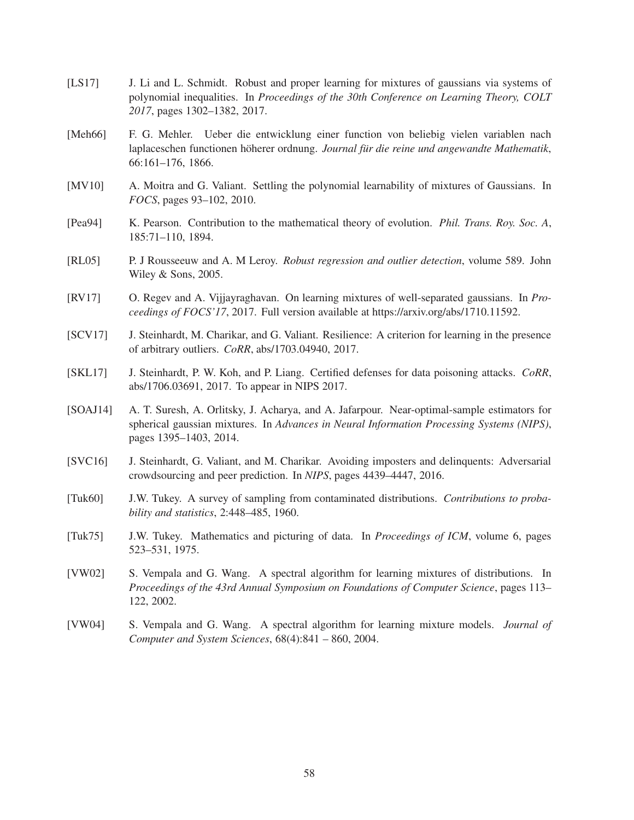- <span id="page-58-11"></span>[LS17] J. Li and L. Schmidt. Robust and proper learning for mixtures of gaussians via systems of polynomial inequalities. In *Proceedings of the 30th Conference on Learning Theory, COLT 2017*, pages 1302–1382, 2017.
- <span id="page-58-12"></span>[Meh66] F. G. Mehler. Ueber die entwicklung einer function von beliebig vielen variablen nach laplaceschen functionen höherer ordnung. *Journal für die reine und angewandte Mathematik*, 66:161–176, 1866.
- <span id="page-58-6"></span>[MV10] A. Moitra and G. Valiant. Settling the polynomial learnability of mixtures of Gaussians. In *FOCS*, pages 93–102, 2010.
- <span id="page-58-5"></span>[Pea94] K. Pearson. Contribution to the mathematical theory of evolution. *Phil. Trans. Roy. Soc. A*, 185:71–110, 1894.
- <span id="page-58-8"></span>[RL05] P. J Rousseeuw and A. M Leroy. *Robust regression and outlier detection*, volume 589. John Wiley & Sons, 2005.
- <span id="page-58-1"></span>[RV17] O. Regev and A. Vijjayraghavan. On learning mixtures of well-separated gaussians. In *Proceedings of FOCS'17*, 2017. Full version available at https://arxiv.org/abs/1710.11592.
- <span id="page-58-9"></span>[SCV17] J. Steinhardt, M. Charikar, and G. Valiant. Resilience: A criterion for learning in the presence of arbitrary outliers. *CoRR*, abs/1703.04940, 2017.
- <span id="page-58-4"></span>[SKL17] J. Steinhardt, P. W. Koh, and P. Liang. Certified defenses for data poisoning attacks. *CoRR*, abs/1706.03691, 2017. To appear in NIPS 2017.
- <span id="page-58-10"></span>[SOAJ14] A. T. Suresh, A. Orlitsky, J. Acharya, and A. Jafarpour. Near-optimal-sample estimators for spherical gaussian mixtures. In *Advances in Neural Information Processing Systems (NIPS)*, pages 1395–1403, 2014.
- <span id="page-58-3"></span>[SVC16] J. Steinhardt, G. Valiant, and M. Charikar. Avoiding imposters and delinquents: Adversarial crowdsourcing and peer prediction. In *NIPS*, pages 4439–4447, 2016.
- <span id="page-58-7"></span>[Tuk60] J.W. Tukey. A survey of sampling from contaminated distributions. *Contributions to probability and statistics*, 2:448–485, 1960.
- <span id="page-58-2"></span>[Tuk75] J.W. Tukey. Mathematics and picturing of data. In *Proceedings of ICM*, volume 6, pages 523–531, 1975.
- <span id="page-58-0"></span>[VW02] S. Vempala and G. Wang. A spectral algorithm for learning mixtures of distributions. In *Proceedings of the 43rd Annual Symposium on Foundations of Computer Science*, pages 113– 122, 2002.
- <span id="page-58-13"></span>[VW04] S. Vempala and G. Wang. A spectral algorithm for learning mixture models. *Journal of Computer and System Sciences*, 68(4):841 – 860, 2004.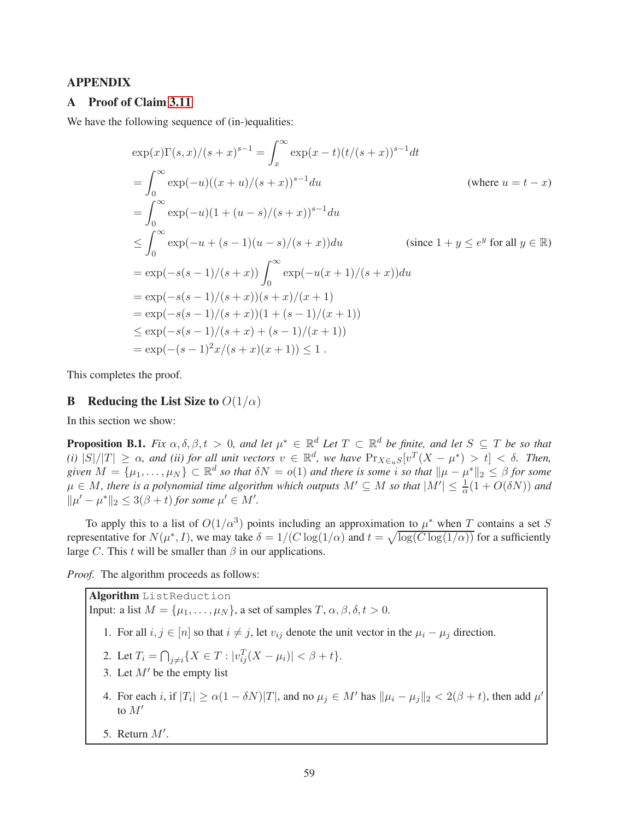# <span id="page-59-1"></span>APPENDIX

# A Proof of Claim [3.11](#page-23-0)

We have the following sequence of (in-)equalities:

$$
\exp(x)\Gamma(s,x)/(s+x)^{s-1} = \int_{x}^{\infty} \exp(x-t)(t/(s+x))^{s-1}dt
$$
  
\n
$$
= \int_{0}^{\infty} \exp(-u)((x+u)/(s+x))^{s-1}du \qquad \text{(where } u = t-x)
$$
  
\n
$$
= \int_{0}^{\infty} \exp(-u)(1+(u-s)/(s+x))^{s-1}du
$$
  
\n
$$
\leq \int_{0}^{\infty} \exp(-u+(s-1)(u-s)/(s+x))du \qquad \text{(since } 1+y \leq e^{y} \text{ for all } y \in \mathbb{R})
$$
  
\n
$$
= \exp(-s(s-1)/(s+x)) \int_{0}^{\infty} \exp(-u(x+1)/(s+x))du
$$
  
\n
$$
= \exp(-s(s-1)/(s+x))(s+x)/(x+1)
$$
  
\n
$$
= \exp(-s(s-1)/(s+x) + (s-1)/(x+1))
$$
  
\n
$$
\leq \exp(-s(s-1)/(s+x) + (s-1)/(x+1))
$$
  
\n
$$
= \exp(-(s-1)^{2}x/(s+x)(x+1)) \leq 1.
$$

This completes the proof.

# **B** Reducing the List Size to  $O(1/\alpha)$

In this section we show:

<span id="page-59-0"></span>**Proposition B.1.** *Fix*  $\alpha, \delta, \beta, t > 0$ , and let  $\mu^* \in \mathbb{R}^d$  *Let*  $T \subset \mathbb{R}^d$  *be finite, and let*  $S \subseteq T$  *be so that*  $(i)$   $|S|/|T| \geq \alpha$ , and (ii) for all unit vectors  $v \in \mathbb{R}^d$ , we have  $\Pr_{X \in u} S[v^T(X - \mu^*) > t] < \delta$ . Then,  $given M = \{\mu_1, \ldots, \mu_N\} \subset \mathbb{R}^d$  so that  $\delta N = o(1)$  and there is some i so that  $\|\mu - \mu^*\|_2 \leq \beta$  for some  $\mu \in M$ , there is a polynomial time algorithm which outputs  $M' \subseteq M$  so that  $|M'| \leq \frac{1}{\alpha}(1 + O(\delta N))$  and  $\|\mu' - \mu^*\|_2 \leq 3(\beta + t)$  *for some*  $\mu' \in M'.$ 

To apply this to a list of  $O(1/\alpha^3)$  points including an approximation to  $\mu^*$  when T contains a set S representative for  $N(\mu^*, I)$ , we may take  $\delta = 1/(C \log(1/\alpha))$  and  $t = \sqrt{\log(C \log(1/\alpha))}$  for a sufficiently large C. This t will be smaller than  $\beta$  in our applications.

*Proof.* The algorithm proceeds as follows:

Algorithm ListReduction Input: a list  $M = {\mu_1, \ldots, \mu_N}$ , a set of samples  $T, \alpha, \beta, \delta, t > 0$ . 1. For all  $i, j \in [n]$  so that  $i \neq j$ , let  $v_{ij}$  denote the unit vector in the  $\mu_i - \mu_j$  direction. 2. Let  $T_i = \bigcap_{j \neq i} \{ X \in T : |v_{ij}^T(X - \mu_i)| < \beta + t \}.$ 3. Let  $M'$  be the empty list 4. For each *i*, if  $|T_i| \ge \alpha(1 - \delta N)|T|$ , and no  $\mu_j \in M'$  has  $\|\mu_i - \mu_j\|_2 < 2(\beta + t)$ , then add  $\mu'$ to  $M'$ 

5. Return 
$$
M'
$$
.